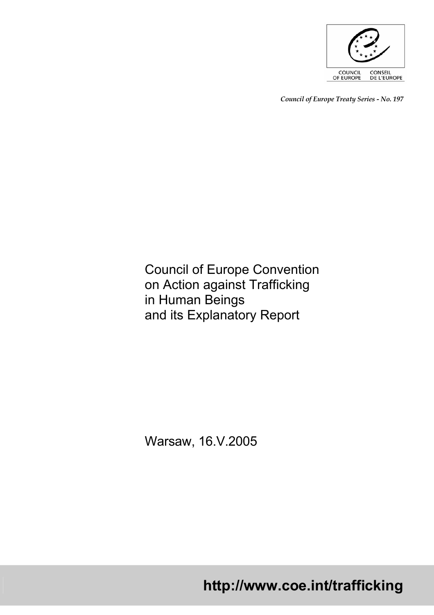

*Council of Europe Treaty Series - No. 197* 

Council of Europe Convention on Action against Trafficking in Human Beings and its Explanatory Report

Warsaw, 16.V.2005

**http://www.coe.int/trafficking**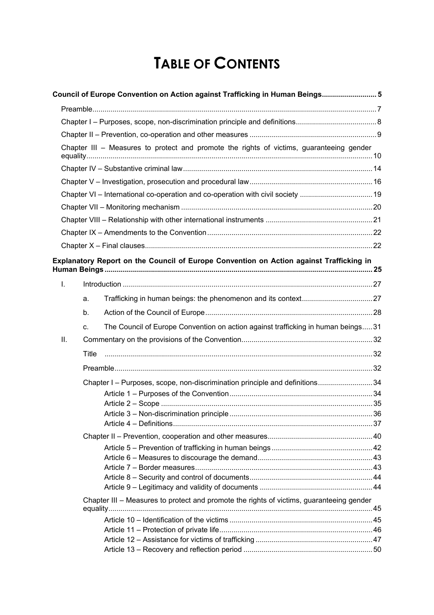# **TABLE OF CONTENTS**

|                                                                                |         | Council of Europe Convention on Action against Trafficking in Human Beings 5             |  |
|--------------------------------------------------------------------------------|---------|------------------------------------------------------------------------------------------|--|
|                                                                                |         |                                                                                          |  |
|                                                                                |         |                                                                                          |  |
|                                                                                |         |                                                                                          |  |
|                                                                                |         | Chapter III – Measures to protect and promote the rights of victims, guaranteeing gender |  |
|                                                                                |         |                                                                                          |  |
|                                                                                |         |                                                                                          |  |
| Chapter VI - International co-operation and co-operation with civil society 19 |         |                                                                                          |  |
|                                                                                |         |                                                                                          |  |
|                                                                                |         |                                                                                          |  |
|                                                                                |         |                                                                                          |  |
|                                                                                |         |                                                                                          |  |
|                                                                                |         | Explanatory Report on the Council of Europe Convention on Action against Trafficking in  |  |
| I.                                                                             |         |                                                                                          |  |
|                                                                                | a.      |                                                                                          |  |
|                                                                                | $b_{-}$ |                                                                                          |  |
|                                                                                | C.      | The Council of Europe Convention on action against trafficking in human beings31         |  |
| ΙΙ.                                                                            |         |                                                                                          |  |
|                                                                                |         |                                                                                          |  |
|                                                                                | Title   |                                                                                          |  |
|                                                                                |         |                                                                                          |  |
|                                                                                |         | Chapter I - Purposes, scope, non-discrimination principle and definitions34              |  |
|                                                                                |         |                                                                                          |  |
|                                                                                |         |                                                                                          |  |
|                                                                                |         |                                                                                          |  |
|                                                                                |         |                                                                                          |  |
|                                                                                |         |                                                                                          |  |
|                                                                                |         |                                                                                          |  |
|                                                                                |         |                                                                                          |  |
|                                                                                |         |                                                                                          |  |
|                                                                                |         | Chapter III – Measures to protect and promote the rights of victims, guaranteeing gender |  |
|                                                                                |         |                                                                                          |  |
|                                                                                |         |                                                                                          |  |
|                                                                                |         |                                                                                          |  |
|                                                                                |         |                                                                                          |  |
|                                                                                |         |                                                                                          |  |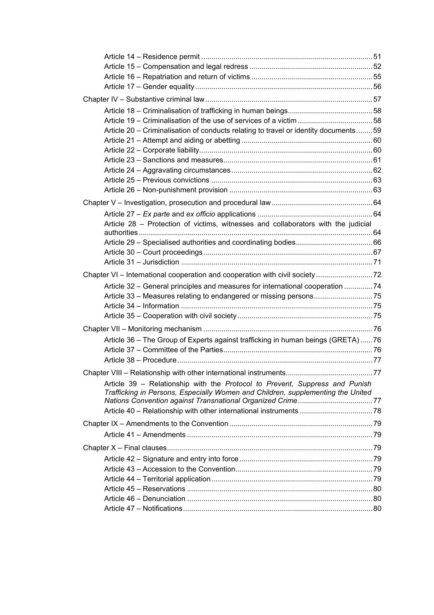| Article 20 – Criminalisation of conducts relating to travel or identity documents59                                                                            |  |
|----------------------------------------------------------------------------------------------------------------------------------------------------------------|--|
|                                                                                                                                                                |  |
|                                                                                                                                                                |  |
|                                                                                                                                                                |  |
|                                                                                                                                                                |  |
|                                                                                                                                                                |  |
|                                                                                                                                                                |  |
|                                                                                                                                                                |  |
|                                                                                                                                                                |  |
| Article 28 - Protection of victims, witnesses and collaborators with the judicial                                                                              |  |
|                                                                                                                                                                |  |
|                                                                                                                                                                |  |
|                                                                                                                                                                |  |
|                                                                                                                                                                |  |
|                                                                                                                                                                |  |
| Article 32 - General principles and measures for international cooperation 74                                                                                  |  |
|                                                                                                                                                                |  |
|                                                                                                                                                                |  |
|                                                                                                                                                                |  |
|                                                                                                                                                                |  |
| Article 36 - The Group of Experts against trafficking in human beings (GRETA)76                                                                                |  |
|                                                                                                                                                                |  |
|                                                                                                                                                                |  |
|                                                                                                                                                                |  |
| Article 39 - Relationship with the Protocol to Prevent, Suppress and Punish<br>Trafficking in Persons, Especially Women and Children, supplementing the United |  |
|                                                                                                                                                                |  |
|                                                                                                                                                                |  |
|                                                                                                                                                                |  |
|                                                                                                                                                                |  |
|                                                                                                                                                                |  |
|                                                                                                                                                                |  |
|                                                                                                                                                                |  |
|                                                                                                                                                                |  |
|                                                                                                                                                                |  |
|                                                                                                                                                                |  |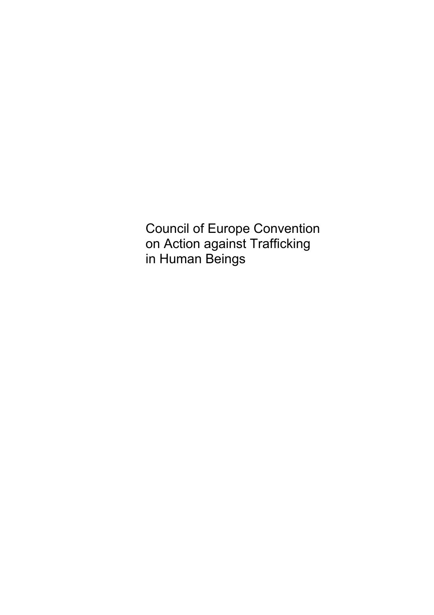Council of Europe Convention on Action against Trafficking in Human Beings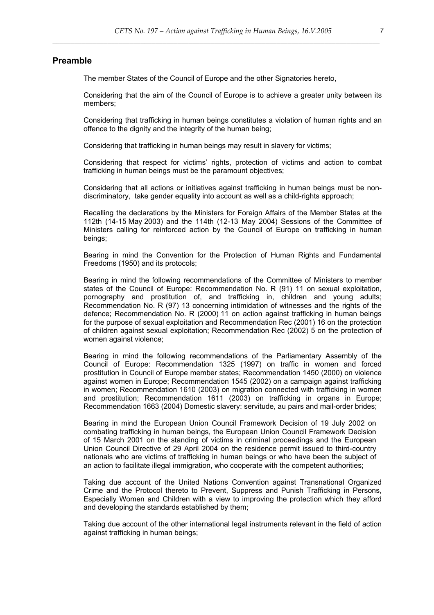# **Preamble**

The member States of the Council of Europe and the other Signatories hereto,

 Considering that the aim of the Council of Europe is to achieve a greater unity between its members;

 Considering that trafficking in human beings constitutes a violation of human rights and an offence to the dignity and the integrity of the human being;

Considering that trafficking in human beings may result in slavery for victims;

 Considering that respect for victims' rights, protection of victims and action to combat trafficking in human beings must be the paramount objectives;

 Considering that all actions or initiatives against trafficking in human beings must be nondiscriminatory, take gender equality into account as well as a child-rights approach;

 Recalling the declarations by the Ministers for Foreign Affairs of the Member States at the 112th (14-15 May 2003) and the 114th (12-13 May 2004) Sessions of the Committee of Ministers calling for reinforced action by the Council of Europe on trafficking in human beings;

 Bearing in mind the Convention for the Protection of Human Rights and Fundamental Freedoms (1950) and its protocols;

 Bearing in mind the following recommendations of the Committee of Ministers to member states of the Council of Europe: Recommendation No. R (91) 11 on sexual exploitation, pornography and prostitution of, and trafficking in, children and young adults; Recommendation No. R (97) 13 concerning intimidation of witnesses and the rights of the defence; Recommendation No. R (2000) 11 on action against trafficking in human beings for the purpose of sexual exploitation and Recommendation Rec (2001) 16 on the protection of children against sexual exploitation; Recommendation Rec (2002) 5 on the protection of women against violence;

 Bearing in mind the following recommendations of the Parliamentary Assembly of the Council of Europe: Recommendation 1325 (1997) on traffic in women and forced prostitution in Council of Europe member states; Recommendation 1450 (2000) on violence against women in Europe; Recommendation 1545 (2002) on a campaign against trafficking in women; Recommendation 1610 (2003) on migration connected with trafficking in women and prostitution; Recommendation 1611 (2003) on trafficking in organs in Europe; Recommendation 1663 (2004) Domestic slavery: servitude, au pairs and mail-order brides;

 Bearing in mind the European Union Council Framework Decision of 19 July 2002 on combating trafficking in human beings, the European Union Council Framework Decision of 15 March 2001 on the standing of victims in criminal proceedings and the European Union Council Directive of 29 April 2004 on the residence permit issued to third-country nationals who are victims of trafficking in human beings or who have been the subject of an action to facilitate illegal immigration, who cooperate with the competent authorities;

 Taking due account of the United Nations Convention against Transnational Organized Crime and the Protocol thereto to Prevent, Suppress and Punish Trafficking in Persons, Especially Women and Children with a view to improving the protection which they afford and developing the standards established by them;

 Taking due account of the other international legal instruments relevant in the field of action against trafficking in human beings;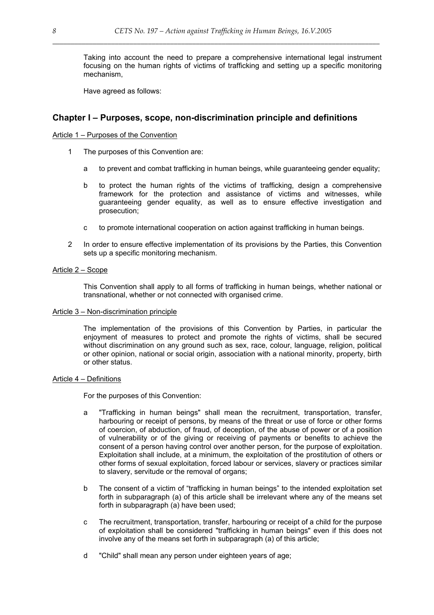Taking into account the need to prepare a comprehensive international legal instrument focusing on the human rights of victims of trafficking and setting up a specific monitoring mechanism,

Have agreed as follows:

# **Chapter I – Purposes, scope, non-discrimination principle and definitions**

# Article 1 – Purposes of the Convention

- 1 The purposes of this Convention are:
	- a to prevent and combat trafficking in human beings, while guaranteeing gender equality;
	- b to protect the human rights of the victims of trafficking, design a comprehensive framework for the protection and assistance of victims and witnesses, while guaranteeing gender equality, as well as to ensure effective investigation and prosecution;
	- c to promote international cooperation on action against trafficking in human beings.
- 2 In order to ensure effective implementation of its provisions by the Parties, this Convention sets up a specific monitoring mechanism.

# Article 2 – Scope

 This Convention shall apply to all forms of trafficking in human beings, whether national or transnational, whether or not connected with organised crime.

## Article 3 – Non-discrimination principle

 The implementation of the provisions of this Convention by Parties, in particular the enjoyment of measures to protect and promote the rights of victims, shall be secured without discrimination on any ground such as sex, race, colour, language, religion, political or other opinion, national or social origin, association with a national minority, property, birth or other status.

## Article 4 – Definitions

For the purposes of this Convention:

- a "Trafficking in human beings" shall mean the recruitment, transportation, transfer, harbouring or receipt of persons, by means of the threat or use of force or other forms of coercion, of abduction, of fraud, of deception, of the abuse of power or of a position of vulnerability or of the giving or receiving of payments or benefits to achieve the consent of a person having control over another person, for the purpose of exploitation. Exploitation shall include, at a minimum, the exploitation of the prostitution of others or other forms of sexual exploitation, forced labour or services, slavery or practices similar to slavery, servitude or the removal of organs;
- b The consent of a victim of "trafficking in human beings" to the intended exploitation set forth in subparagraph (a) of this article shall be irrelevant where any of the means set forth in subparagraph (a) have been used;
- c The recruitment, transportation, transfer, harbouring or receipt of a child for the purpose of exploitation shall be considered "trafficking in human beings" even if this does not involve any of the means set forth in subparagraph (a) of this article;
- d "Child" shall mean any person under eighteen years of age;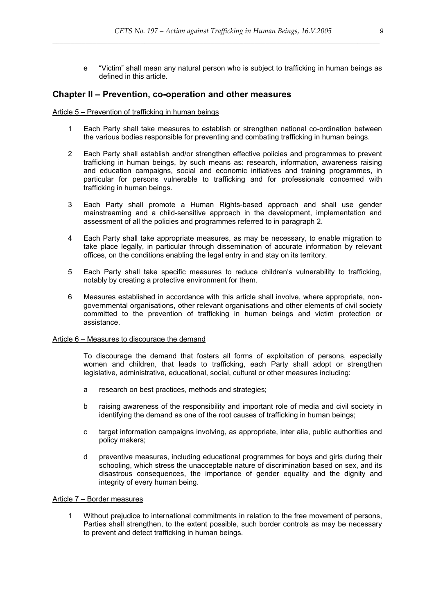e "Victim" shall mean any natural person who is subject to trafficking in human beings as defined in this article.

# **Chapter II – Prevention, co-operation and other measures**

#### Article 5 – Prevention of trafficking in human beings

- 1 Each Party shall take measures to establish or strengthen national co-ordination between the various bodies responsible for preventing and combating trafficking in human beings.
- 2 Each Party shall establish and/or strengthen effective policies and programmes to prevent trafficking in human beings, by such means as: research, information, awareness raising and education campaigns, social and economic initiatives and training programmes, in particular for persons vulnerable to trafficking and for professionals concerned with trafficking in human beings.
- 3 Each Party shall promote a Human Rights-based approach and shall use gender mainstreaming and a child-sensitive approach in the development, implementation and assessment of all the policies and programmes referred to in paragraph 2.
- 4 Each Party shall take appropriate measures, as may be necessary, to enable migration to take place legally, in particular through dissemination of accurate information by relevant offices, on the conditions enabling the legal entry in and stay on its territory.
- 5 Each Party shall take specific measures to reduce children's vulnerability to trafficking, notably by creating a protective environment for them.
- 6 Measures established in accordance with this article shall involve, where appropriate, nongovernmental organisations, other relevant organisations and other elements of civil society committed to the prevention of trafficking in human beings and victim protection or assistance.

## Article 6 – Measures to discourage the demand

 To discourage the demand that fosters all forms of exploitation of persons, especially women and children, that leads to trafficking, each Party shall adopt or strengthen legislative, administrative, educational, social, cultural or other measures including:

- a research on best practices, methods and strategies;
- b raising awareness of the responsibility and important role of media and civil society in identifying the demand as one of the root causes of trafficking in human beings;
- c target information campaigns involving, as appropriate, inter alia, public authorities and policy makers;
- d preventive measures, including educational programmes for boys and girls during their schooling, which stress the unacceptable nature of discrimination based on sex, and its disastrous consequences, the importance of gender equality and the dignity and integrity of every human being.

## Article 7 – Border measures

 1 Without prejudice to international commitments in relation to the free movement of persons, Parties shall strengthen, to the extent possible, such border controls as may be necessary to prevent and detect trafficking in human beings.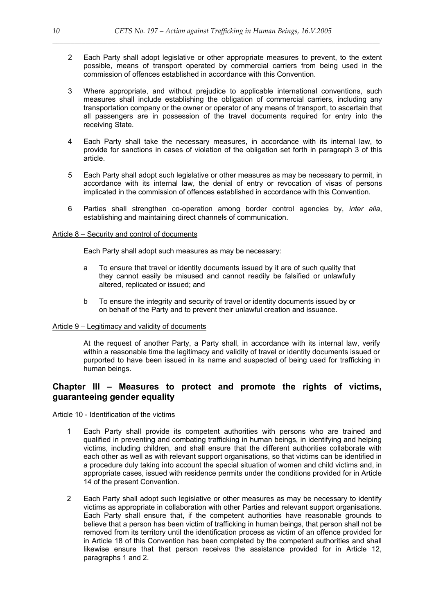- 2 Each Party shall adopt legislative or other appropriate measures to prevent, to the extent possible, means of transport operated by commercial carriers from being used in the commission of offences established in accordance with this Convention.
- 3 Where appropriate, and without prejudice to applicable international conventions, such measures shall include establishing the obligation of commercial carriers, including any transportation company or the owner or operator of any means of transport, to ascertain that all passengers are in possession of the travel documents required for entry into the receiving State.
- 4 Each Party shall take the necessary measures, in accordance with its internal law, to provide for sanctions in cases of violation of the obligation set forth in paragraph 3 of this article.
- 5 Each Party shall adopt such legislative or other measures as may be necessary to permit, in accordance with its internal law, the denial of entry or revocation of visas of persons implicated in the commission of offences established in accordance with this Convention.
- 6 Parties shall strengthen co-operation among border control agencies by, *inter alia*, establishing and maintaining direct channels of communication.

#### Article 8 – Security and control of documents

Each Party shall adopt such measures as may be necessary:

- a To ensure that travel or identity documents issued by it are of such quality that they cannot easily be misused and cannot readily be falsified or unlawfully altered, replicated or issued; and
- b To ensure the integrity and security of travel or identity documents issued by or on behalf of the Party and to prevent their unlawful creation and issuance.

#### Article 9 – Legitimacy and validity of documents

 At the request of another Party, a Party shall, in accordance with its internal law, verify within a reasonable time the legitimacy and validity of travel or identity documents issued or purported to have been issued in its name and suspected of being used for trafficking in human beings.

# **Chapter III – Measures to protect and promote the rights of victims, guaranteeing gender equality**

#### Article 10 - Identification of the victims

- 1 Each Party shall provide its competent authorities with persons who are trained and qualified in preventing and combating trafficking in human beings, in identifying and helping victims, including children, and shall ensure that the different authorities collaborate with each other as well as with relevant support organisations, so that victims can be identified in a procedure duly taking into account the special situation of women and child victims and, in appropriate cases, issued with residence permits under the conditions provided for in Article 14 of the present Convention.
- 2 Each Party shall adopt such legislative or other measures as may be necessary to identify victims as appropriate in collaboration with other Parties and relevant support organisations. Each Party shall ensure that, if the competent authorities have reasonable grounds to believe that a person has been victim of trafficking in human beings, that person shall not be removed from its territory until the identification process as victim of an offence provided for in Article 18 of this Convention has been completed by the competent authorities and shall likewise ensure that that person receives the assistance provided for in Article 12, paragraphs 1 and 2.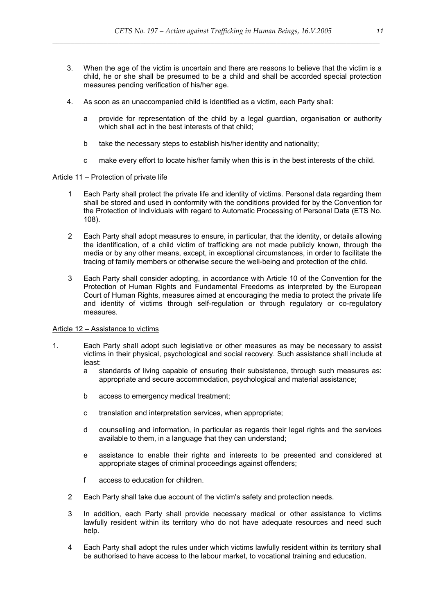- 3. When the age of the victim is uncertain and there are reasons to believe that the victim is a child, he or she shall be presumed to be a child and shall be accorded special protection measures pending verification of his/her age.
- 4. As soon as an unaccompanied child is identified as a victim, each Party shall:
	- a provide for representation of the child by a legal guardian, organisation or authority which shall act in the best interests of that child:
	- b take the necessary steps to establish his/her identity and nationality;
	- c make every effort to locate his/her family when this is in the best interests of the child.

## Article 11 – Protection of private life

- 1 Each Party shall protect the private life and identity of victims. Personal data regarding them shall be stored and used in conformity with the conditions provided for by the Convention for the Protection of Individuals with regard to Automatic Processing of Personal Data (ETS No. 108).
- 2 Each Party shall adopt measures to ensure, in particular, that the identity, or details allowing the identification, of a child victim of trafficking are not made publicly known, through the media or by any other means, except, in exceptional circumstances, in order to facilitate the tracing of family members or otherwise secure the well-being and protection of the child.
- 3 Each Party shall consider adopting, in accordance with Article 10 of the Convention for the Protection of Human Rights and Fundamental Freedoms as interpreted by the European Court of Human Rights, measures aimed at encouraging the media to protect the private life and identity of victims through self-regulation or through regulatory or co-regulatory measures.

## Article 12 – Assistance to victims

- 1. Each Party shall adopt such legislative or other measures as may be necessary to assist victims in their physical, psychological and social recovery. Such assistance shall include at least:
	- a standards of living capable of ensuring their subsistence, through such measures as: appropriate and secure accommodation, psychological and material assistance;
	- b access to emergency medical treatment;
	- c translation and interpretation services, when appropriate;
	- d counselling and information, in particular as regards their legal rights and the services available to them, in a language that they can understand;
	- e assistance to enable their rights and interests to be presented and considered at appropriate stages of criminal proceedings against offenders;
	- f access to education for children.
	- 2 Each Party shall take due account of the victim's safety and protection needs.
	- 3 In addition, each Party shall provide necessary medical or other assistance to victims lawfully resident within its territory who do not have adequate resources and need such help.
	- 4 Each Party shall adopt the rules under which victims lawfully resident within its territory shall be authorised to have access to the labour market, to vocational training and education.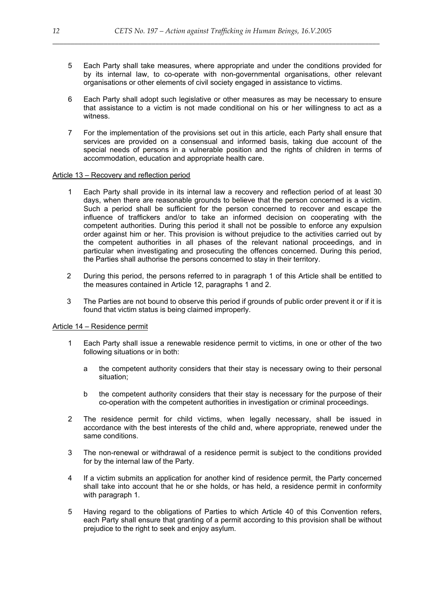- 5 Each Party shall take measures, where appropriate and under the conditions provided for by its internal law, to co-operate with non-governmental organisations, other relevant organisations or other elements of civil society engaged in assistance to victims.
- 6 Each Party shall adopt such legislative or other measures as may be necessary to ensure that assistance to a victim is not made conditional on his or her willingness to act as a witness.
- 7 For the implementation of the provisions set out in this article, each Party shall ensure that services are provided on a consensual and informed basis, taking due account of the special needs of persons in a vulnerable position and the rights of children in terms of accommodation, education and appropriate health care.

## Article 13 – Recovery and reflection period

- 1 Each Party shall provide in its internal law a recovery and reflection period of at least 30 days, when there are reasonable grounds to believe that the person concerned is a victim. Such a period shall be sufficient for the person concerned to recover and escape the influence of traffickers and/or to take an informed decision on cooperating with the competent authorities. During this period it shall not be possible to enforce any expulsion order against him or her. This provision is without prejudice to the activities carried out by the competent authorities in all phases of the relevant national proceedings, and in particular when investigating and prosecuting the offences concerned. During this period, the Parties shall authorise the persons concerned to stay in their territory.
- 2 During this period, the persons referred to in paragraph 1 of this Article shall be entitled to the measures contained in Article 12, paragraphs 1 and 2.
- 3 The Parties are not bound to observe this period if grounds of public order prevent it or if it is found that victim status is being claimed improperly.

## Article 14 – Residence permit

- 1 Each Party shall issue a renewable residence permit to victims, in one or other of the two following situations or in both:
	- a the competent authority considers that their stay is necessary owing to their personal situation;
	- b the competent authority considers that their stay is necessary for the purpose of their co-operation with the competent authorities in investigation or criminal proceedings.
- 2 The residence permit for child victims, when legally necessary, shall be issued in accordance with the best interests of the child and, where appropriate, renewed under the same conditions.
- 3 The non-renewal or withdrawal of a residence permit is subject to the conditions provided for by the internal law of the Party.
- 4 If a victim submits an application for another kind of residence permit, the Party concerned shall take into account that he or she holds, or has held, a residence permit in conformity with paragraph 1.
- 5 Having regard to the obligations of Parties to which Article 40 of this Convention refers, each Party shall ensure that granting of a permit according to this provision shall be without prejudice to the right to seek and enjoy asylum.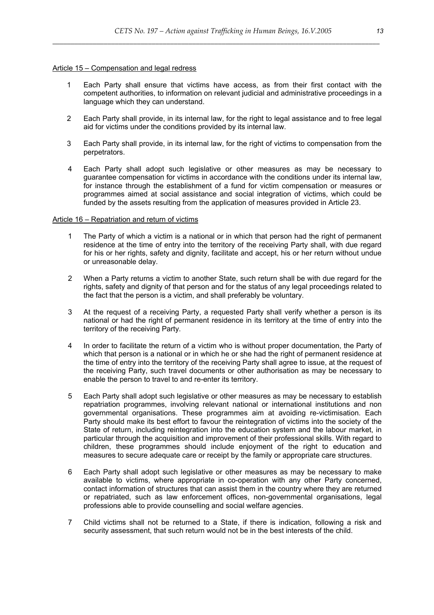#### Article 15 – Compensation and legal redress

- 1 Each Party shall ensure that victims have access, as from their first contact with the competent authorities, to information on relevant judicial and administrative proceedings in a language which they can understand.
- 2 Each Party shall provide, in its internal law, for the right to legal assistance and to free legal aid for victims under the conditions provided by its internal law.
- 3 Each Party shall provide, in its internal law, for the right of victims to compensation from the perpetrators.
- 4 Each Party shall adopt such legislative or other measures as may be necessary to guarantee compensation for victims in accordance with the conditions under its internal law, for instance through the establishment of a fund for victim compensation or measures or programmes aimed at social assistance and social integration of victims, which could be funded by the assets resulting from the application of measures provided in Article 23.

#### Article 16 – Repatriation and return of victims

- 1 The Party of which a victim is a national or in which that person had the right of permanent residence at the time of entry into the territory of the receiving Party shall, with due regard for his or her rights, safety and dignity, facilitate and accept, his or her return without undue or unreasonable delay.
- 2 When a Party returns a victim to another State, such return shall be with due regard for the rights, safety and dignity of that person and for the status of any legal proceedings related to the fact that the person is a victim, and shall preferably be voluntary.
- 3 At the request of a receiving Party, a requested Party shall verify whether a person is its national or had the right of permanent residence in its territory at the time of entry into the territory of the receiving Party.
- 4 In order to facilitate the return of a victim who is without proper documentation, the Party of which that person is a national or in which he or she had the right of permanent residence at the time of entry into the territory of the receiving Party shall agree to issue, at the request of the receiving Party, such travel documents or other authorisation as may be necessary to enable the person to travel to and re-enter its territory.
- 5 Each Party shall adopt such legislative or other measures as may be necessary to establish repatriation programmes, involving relevant national or international institutions and non governmental organisations. These programmes aim at avoiding re-victimisation. Each Party should make its best effort to favour the reintegration of victims into the society of the State of return, including reintegration into the education system and the labour market, in particular through the acquisition and improvement of their professional skills. With regard to children, these programmes should include enjoyment of the right to education and measures to secure adequate care or receipt by the family or appropriate care structures.
- 6 Each Party shall adopt such legislative or other measures as may be necessary to make available to victims, where appropriate in co-operation with any other Party concerned, contact information of structures that can assist them in the country where they are returned or repatriated, such as law enforcement offices, non-governmental organisations, legal professions able to provide counselling and social welfare agencies.
- 7 Child victims shall not be returned to a State, if there is indication, following a risk and security assessment, that such return would not be in the best interests of the child.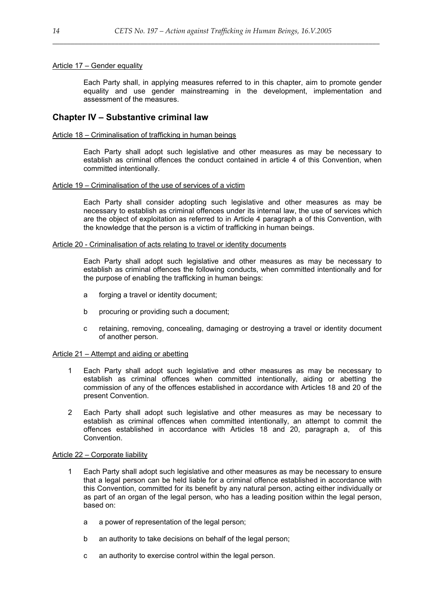# Article 17 – Gender equality

 Each Party shall, in applying measures referred to in this chapter, aim to promote gender equality and use gender mainstreaming in the development, implementation and assessment of the measures.

# **Chapter IV – Substantive criminal law**

## Article 18 – Criminalisation of trafficking in human beings

 Each Party shall adopt such legislative and other measures as may be necessary to establish as criminal offences the conduct contained in article 4 of this Convention, when committed intentionally.

#### Article 19 – Criminalisation of the use of services of a victim

 Each Party shall consider adopting such legislative and other measures as may be necessary to establish as criminal offences under its internal law, the use of services which are the object of exploitation as referred to in Article 4 paragraph a of this Convention, with the knowledge that the person is a victim of trafficking in human beings.

#### Article 20 - Criminalisation of acts relating to travel or identity documents

 Each Party shall adopt such legislative and other measures as may be necessary to establish as criminal offences the following conducts, when committed intentionally and for the purpose of enabling the trafficking in human beings:

- a forging a travel or identity document;
- b procuring or providing such a document;
- c retaining, removing, concealing, damaging or destroying a travel or identity document of another person.

## Article 21 – Attempt and aiding or abetting

- 1 Each Party shall adopt such legislative and other measures as may be necessary to establish as criminal offences when committed intentionally, aiding or abetting the commission of any of the offences established in accordance with Articles 18 and 20 of the present Convention.
- 2 Each Party shall adopt such legislative and other measures as may be necessary to establish as criminal offences when committed intentionally, an attempt to commit the offences established in accordance with Articles 18 and 20, paragraph a, of this **Convention**

#### Article 22 – Corporate liability

- 1 Each Party shall adopt such legislative and other measures as may be necessary to ensure that a legal person can be held liable for a criminal offence established in accordance with this Convention, committed for its benefit by any natural person, acting either individually or as part of an organ of the legal person, who has a leading position within the legal person, based on:
	- a a power of representation of the legal person;
	- b an authority to take decisions on behalf of the legal person;
	- c an authority to exercise control within the legal person.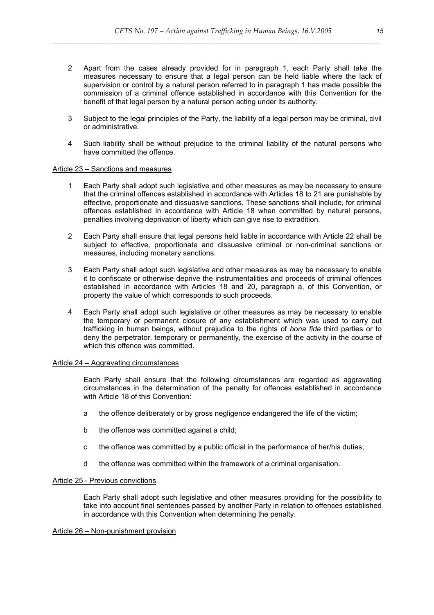- 2 Apart from the cases already provided for in paragraph 1, each Party shall take the measures necessary to ensure that a legal person can be held liable where the lack of supervision or control by a natural person referred to in paragraph 1 has made possible the commission of a criminal offence established in accordance with this Convention for the benefit of that legal person by a natural person acting under its authority.
- 3 Subject to the legal principles of the Party, the liability of a legal person may be criminal, civil or administrative.
- 4 Such liability shall be without prejudice to the criminal liability of the natural persons who have committed the offence.

#### Article 23 – Sanctions and measures

- 1 Each Party shall adopt such legislative and other measures as may be necessary to ensure that the criminal offences established in accordance with Articles 18 to 21 are punishable by effective, proportionate and dissuasive sanctions. These sanctions shall include, for criminal offences established in accordance with Article 18 when committed by natural persons, penalties involving deprivation of liberty which can give rise to extradition.
- 2 Each Party shall ensure that legal persons held liable in accordance with Article 22 shall be subject to effective, proportionate and dissuasive criminal or non-criminal sanctions or measures, including monetary sanctions.
- 3 Each Party shall adopt such legislative and other measures as may be necessary to enable it to confiscate or otherwise deprive the instrumentalities and proceeds of criminal offences established in accordance with Articles 18 and 20, paragraph a, of this Convention, or property the value of which corresponds to such proceeds.
- 4 Each Party shall adopt such legislative or other measures as may be necessary to enable the temporary or permanent closure of any establishment which was used to carry out trafficking in human beings, without prejudice to the rights of *bona fide* third parties or to deny the perpetrator, temporary or permanently, the exercise of the activity in the course of which this offence was committed.

#### Article 24 – Aggravating circumstances

 Each Party shall ensure that the following circumstances are regarded as aggravating circumstances in the determination of the penalty for offences established in accordance with Article 18 of this Convention:

- a the offence deliberately or by gross negligence endangered the life of the victim;
- b the offence was committed against a child;
- c the offence was committed by a public official in the performance of her/his duties;
- d the offence was committed within the framework of a criminal organisation.

#### Article 25 - Previous convictions

 Each Party shall adopt such legislative and other measures providing for the possibility to take into account final sentences passed by another Party in relation to offences established in accordance with this Convention when determining the penalty.

Article 26 – Non-punishment provision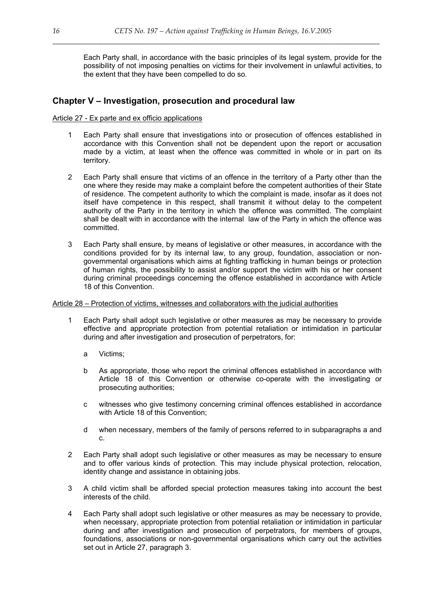Each Party shall, in accordance with the basic principles of its legal system, provide for the possibility of not imposing penalties on victims for their involvement in unlawful activities, to the extent that they have been compelled to do so.

# **Chapter V – Investigation, prosecution and procedural law**

## Article 27 - Ex parte and ex officio applications

- 1 Each Party shall ensure that investigations into or prosecution of offences established in accordance with this Convention shall not be dependent upon the report or accusation made by a victim, at least when the offence was committed in whole or in part on its territory.
- 2 Each Party shall ensure that victims of an offence in the territory of a Party other than the one where they reside may make a complaint before the competent authorities of their State of residence. The competent authority to which the complaint is made, insofar as it does not itself have competence in this respect, shall transmit it without delay to the competent authority of the Party in the territory in which the offence was committed. The complaint shall be dealt with in accordance with the internal law of the Party in which the offence was committed.
- 3 Each Party shall ensure, by means of legislative or other measures, in accordance with the conditions provided for by its internal law, to any group, foundation, association or nongovernmental organisations which aims at fighting trafficking in human beings or protection of human rights, the possibility to assist and/or support the victim with his or her consent during criminal proceedings concerning the offence established in accordance with Article 18 of this Convention.

#### Article 28 – Protection of victims, witnesses and collaborators with the judicial authorities

- 1 Each Party shall adopt such legislative or other measures as may be necessary to provide effective and appropriate protection from potential retaliation or intimidation in particular during and after investigation and prosecution of perpetrators, for:
	- a Victims;
	- b As appropriate, those who report the criminal offences established in accordance with Article 18 of this Convention or otherwise co-operate with the investigating or prosecuting authorities;
	- c witnesses who give testimony concerning criminal offences established in accordance with Article 18 of this Convention:
	- d when necessary, members of the family of persons referred to in subparagraphs a and c.
- 2 Each Party shall adopt such legislative or other measures as may be necessary to ensure and to offer various kinds of protection. This may include physical protection, relocation, identity change and assistance in obtaining jobs.
- 3 A child victim shall be afforded special protection measures taking into account the best interests of the child.
- 4 Each Party shall adopt such legislative or other measures as may be necessary to provide, when necessary, appropriate protection from potential retaliation or intimidation in particular during and after investigation and prosecution of perpetrators, for members of groups, foundations, associations or non-governmental organisations which carry out the activities set out in Article 27, paragraph 3.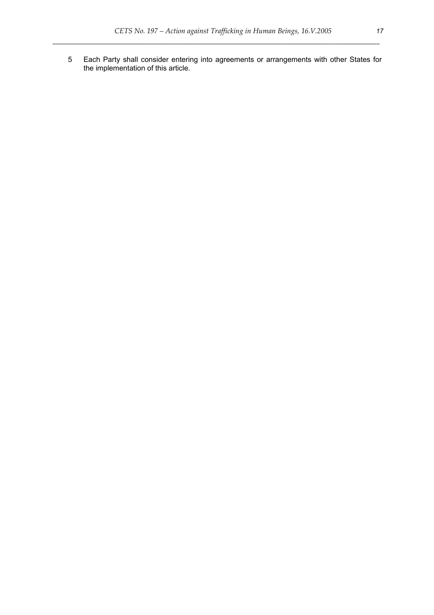5 Each Party shall consider entering into agreements or arrangements with other States for the implementation of this article.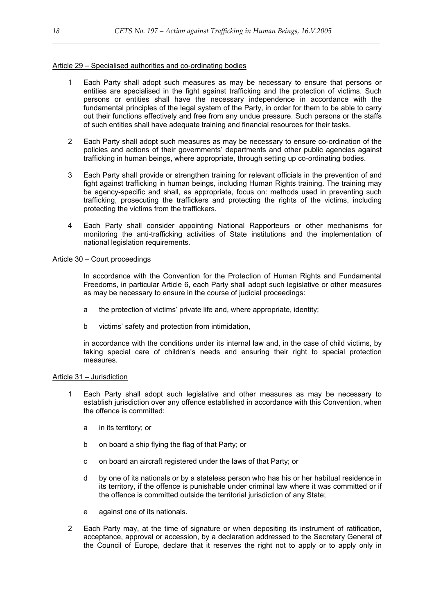#### Article 29 – Specialised authorities and co-ordinating bodies

- 1 Each Party shall adopt such measures as may be necessary to ensure that persons or entities are specialised in the fight against trafficking and the protection of victims. Such persons or entities shall have the necessary independence in accordance with the fundamental principles of the legal system of the Party, in order for them to be able to carry out their functions effectively and free from any undue pressure. Such persons or the staffs of such entities shall have adequate training and financial resources for their tasks.
- 2 Each Party shall adopt such measures as may be necessary to ensure co-ordination of the policies and actions of their governments' departments and other public agencies against trafficking in human beings, where appropriate, through setting up co-ordinating bodies.
- 3 Each Party shall provide or strengthen training for relevant officials in the prevention of and fight against trafficking in human beings, including Human Rights training. The training may be agency-specific and shall, as appropriate, focus on: methods used in preventing such trafficking, prosecuting the traffickers and protecting the rights of the victims, including protecting the victims from the traffickers.
- 4 Each Party shall consider appointing National Rapporteurs or other mechanisms for monitoring the anti-trafficking activities of State institutions and the implementation of national legislation requirements.

# Article 30 – Court proceedings

 In accordance with the Convention for the Protection of Human Rights and Fundamental Freedoms, in particular Article 6, each Party shall adopt such legislative or other measures as may be necessary to ensure in the course of judicial proceedings:

- a the protection of victims' private life and, where appropriate, identity;
- b victims' safety and protection from intimidation,

 in accordance with the conditions under its internal law and, in the case of child victims, by taking special care of children's needs and ensuring their right to special protection measures.

#### Article 31 – Jurisdiction

- 1 Each Party shall adopt such legislative and other measures as may be necessary to establish jurisdiction over any offence established in accordance with this Convention, when the offence is committed:
	- a in its territory; or
	- b on board a ship flying the flag of that Party; or
	- c on board an aircraft registered under the laws of that Party; or
	- d by one of its nationals or by a stateless person who has his or her habitual residence in its territory, if the offence is punishable under criminal law where it was committed or if the offence is committed outside the territorial jurisdiction of any State;
	- e against one of its nationals.
- 2 Each Party may, at the time of signature or when depositing its instrument of ratification, acceptance, approval or accession, by a declaration addressed to the Secretary General of the Council of Europe, declare that it reserves the right not to apply or to apply only in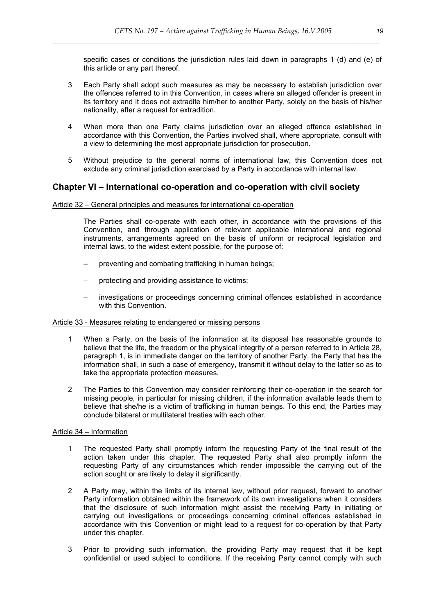specific cases or conditions the jurisdiction rules laid down in paragraphs 1 (d) and (e) of this article or any part thereof.

- 3 Each Party shall adopt such measures as may be necessary to establish jurisdiction over the offences referred to in this Convention, in cases where an alleged offender is present in its territory and it does not extradite him/her to another Party, solely on the basis of his/her nationality, after a request for extradition.
- 4 When more than one Party claims jurisdiction over an alleged offence established in accordance with this Convention, the Parties involved shall, where appropriate, consult with a view to determining the most appropriate jurisdiction for prosecution.
- 5 Without prejudice to the general norms of international law, this Convention does not exclude any criminal jurisdiction exercised by a Party in accordance with internal law.

# **Chapter VI – International co-operation and co-operation with civil society**

## Article 32 – General principles and measures for international co-operation

 The Parties shall co-operate with each other, in accordance with the provisions of this Convention, and through application of relevant applicable international and regional instruments, arrangements agreed on the basis of uniform or reciprocal legislation and internal laws, to the widest extent possible, for the purpose of:

- preventing and combating trafficking in human beings;
- protecting and providing assistance to victims;
- investigations or proceedings concerning criminal offences established in accordance with this Convention.

## Article 33 - Measures relating to endangered or missing persons

- 1 When a Party, on the basis of the information at its disposal has reasonable grounds to believe that the life, the freedom or the physical integrity of a person referred to in Article 28, paragraph 1, is in immediate danger on the territory of another Party, the Party that has the information shall, in such a case of emergency, transmit it without delay to the latter so as to take the appropriate protection measures.
- 2 The Parties to this Convention may consider reinforcing their co-operation in the search for missing people, in particular for missing children, if the information available leads them to believe that she/he is a victim of trafficking in human beings. To this end, the Parties may conclude bilateral or multilateral treaties with each other.

# Article 34 – Information

- 1 The requested Party shall promptly inform the requesting Party of the final result of the action taken under this chapter. The requested Party shall also promptly inform the requesting Party of any circumstances which render impossible the carrying out of the action sought or are likely to delay it significantly.
- 2 A Party may, within the limits of its internal law, without prior request, forward to another Party information obtained within the framework of its own investigations when it considers that the disclosure of such information might assist the receiving Party in initiating or carrying out investigations or proceedings concerning criminal offences established in accordance with this Convention or might lead to a request for co-operation by that Party under this chapter.
- 3 Prior to providing such information, the providing Party may request that it be kept confidential or used subject to conditions. If the receiving Party cannot comply with such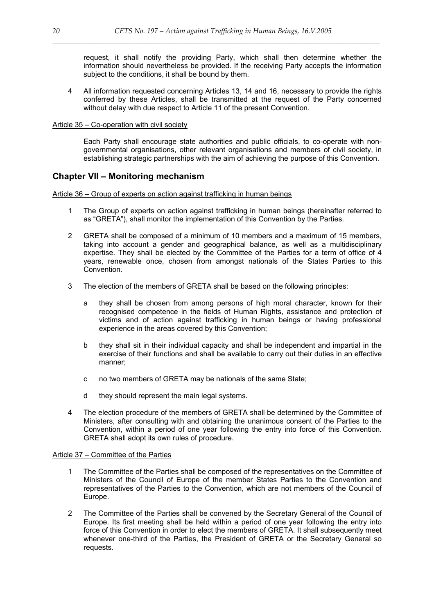request, it shall notify the providing Party, which shall then determine whether the information should nevertheless be provided. If the receiving Party accepts the information subject to the conditions, it shall be bound by them.

 4 All information requested concerning Articles 13, 14 and 16, necessary to provide the rights conferred by these Articles, shall be transmitted at the request of the Party concerned without delay with due respect to Article 11 of the present Convention.

## Article 35 – Co-operation with civil society

 Each Party shall encourage state authorities and public officials, to co-operate with nongovernmental organisations, other relevant organisations and members of civil society, in establishing strategic partnerships with the aim of achieving the purpose of this Convention.

# **Chapter VII – Monitoring mechanism**

Article 36 – Group of experts on action against trafficking in human beings

- 1 The Group of experts on action against trafficking in human beings (hereinafter referred to as "GRETA"), shall monitor the implementation of this Convention by the Parties.
- 2 GRETA shall be composed of a minimum of 10 members and a maximum of 15 members, taking into account a gender and geographical balance, as well as a multidisciplinary expertise. They shall be elected by the Committee of the Parties for a term of office of 4 years, renewable once, chosen from amongst nationals of the States Parties to this Convention.
- 3 The election of the members of GRETA shall be based on the following principles:
	- a they shall be chosen from among persons of high moral character, known for their recognised competence in the fields of Human Rights, assistance and protection of victims and of action against trafficking in human beings or having professional experience in the areas covered by this Convention;
	- b they shall sit in their individual capacity and shall be independent and impartial in the exercise of their functions and shall be available to carry out their duties in an effective manner;
	- c no two members of GRETA may be nationals of the same State;
	- d they should represent the main legal systems.
- 4 The election procedure of the members of GRETA shall be determined by the Committee of Ministers, after consulting with and obtaining the unanimous consent of the Parties to the Convention, within a period of one year following the entry into force of this Convention. GRETA shall adopt its own rules of procedure.

## Article 37 – Committee of the Parties

- 1 The Committee of the Parties shall be composed of the representatives on the Committee of Ministers of the Council of Europe of the member States Parties to the Convention and representatives of the Parties to the Convention, which are not members of the Council of Europe.
- 2 The Committee of the Parties shall be convened by the Secretary General of the Council of Europe. Its first meeting shall be held within a period of one year following the entry into force of this Convention in order to elect the members of GRETA. It shall subsequently meet whenever one-third of the Parties, the President of GRETA or the Secretary General so requests.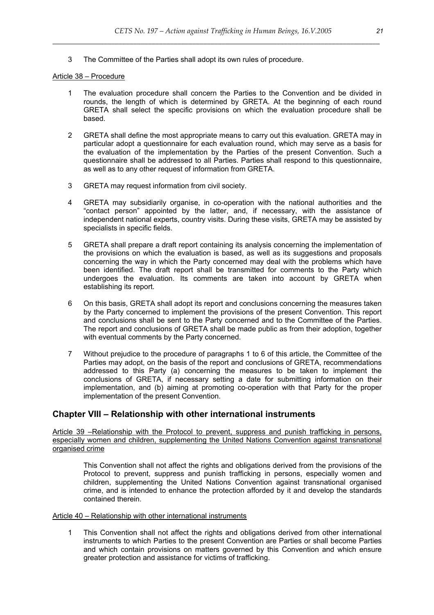3 The Committee of the Parties shall adopt its own rules of procedure.

## Article 38 – Procedure

- 1 The evaluation procedure shall concern the Parties to the Convention and be divided in rounds, the length of which is determined by GRETA. At the beginning of each round GRETA shall select the specific provisions on which the evaluation procedure shall be based.
- 2 GRETA shall define the most appropriate means to carry out this evaluation. GRETA may in particular adopt a questionnaire for each evaluation round, which may serve as a basis for the evaluation of the implementation by the Parties of the present Convention. Such a questionnaire shall be addressed to all Parties. Parties shall respond to this questionnaire, as well as to any other request of information from GRETA.
- 3 GRETA may request information from civil society.
- 4 GRETA may subsidiarily organise, in co-operation with the national authorities and the "contact person" appointed by the latter, and, if necessary, with the assistance of independent national experts, country visits. During these visits, GRETA may be assisted by specialists in specific fields.
- 5 GRETA shall prepare a draft report containing its analysis concerning the implementation of the provisions on which the evaluation is based, as well as its suggestions and proposals concerning the way in which the Party concerned may deal with the problems which have been identified. The draft report shall be transmitted for comments to the Party which undergoes the evaluation. Its comments are taken into account by GRETA when establishing its report.
- 6 On this basis, GRETA shall adopt its report and conclusions concerning the measures taken by the Party concerned to implement the provisions of the present Convention. This report and conclusions shall be sent to the Party concerned and to the Committee of the Parties. The report and conclusions of GRETA shall be made public as from their adoption, together with eventual comments by the Party concerned.
- 7 Without prejudice to the procedure of paragraphs 1 to 6 of this article, the Committee of the Parties may adopt, on the basis of the report and conclusions of GRETA, recommendations addressed to this Party (a) concerning the measures to be taken to implement the conclusions of GRETA, if necessary setting a date for submitting information on their implementation, and (b) aiming at promoting co-operation with that Party for the proper implementation of the present Convention.

# **Chapter VIII – Relationship with other international instruments**

Article 39 –Relationship with the Protocol to prevent, suppress and punish trafficking in persons, especially women and children, supplementing the United Nations Convention against transnational organised crime

 This Convention shall not affect the rights and obligations derived from the provisions of the Protocol to prevent, suppress and punish trafficking in persons, especially women and children, supplementing the United Nations Convention against transnational organised crime, and is intended to enhance the protection afforded by it and develop the standards contained therein.

## Article 40 – Relationship with other international instruments

 1 This Convention shall not affect the rights and obligations derived from other international instruments to which Parties to the present Convention are Parties or shall become Parties and which contain provisions on matters governed by this Convention and which ensure greater protection and assistance for victims of trafficking.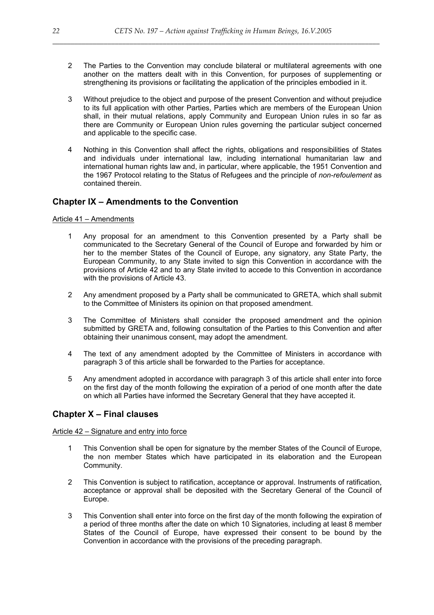- 2 The Parties to the Convention may conclude bilateral or multilateral agreements with one another on the matters dealt with in this Convention, for purposes of supplementing or strengthening its provisions or facilitating the application of the principles embodied in it.
- 3 Without prejudice to the object and purpose of the present Convention and without prejudice to its full application with other Parties, Parties which are members of the European Union shall, in their mutual relations, apply Community and European Union rules in so far as there are Community or European Union rules governing the particular subject concerned and applicable to the specific case.
- 4 Nothing in this Convention shall affect the rights, obligations and responsibilities of States and individuals under international law, including international humanitarian law and international human rights law and, in particular, where applicable, the 1951 Convention and the 1967 Protocol relating to the Status of Refugees and the principle of *non-refoulement* as contained therein.

# **Chapter IX – Amendments to the Convention**

# Article 41 – Amendments

- 1 Any proposal for an amendment to this Convention presented by a Party shall be communicated to the Secretary General of the Council of Europe and forwarded by him or her to the member States of the Council of Europe, any signatory, any State Party, the European Community, to any State invited to sign this Convention in accordance with the provisions of Article 42 and to any State invited to accede to this Convention in accordance with the provisions of Article 43.
- 2 Any amendment proposed by a Party shall be communicated to GRETA, which shall submit to the Committee of Ministers its opinion on that proposed amendment.
- 3 The Committee of Ministers shall consider the proposed amendment and the opinion submitted by GRETA and, following consultation of the Parties to this Convention and after obtaining their unanimous consent, may adopt the amendment.
- 4 The text of any amendment adopted by the Committee of Ministers in accordance with paragraph 3 of this article shall be forwarded to the Parties for acceptance.
- 5 Any amendment adopted in accordance with paragraph 3 of this article shall enter into force on the first day of the month following the expiration of a period of one month after the date on which all Parties have informed the Secretary General that they have accepted it.

# **Chapter X – Final clauses**

## Article 42 – Signature and entry into force

- 1 This Convention shall be open for signature by the member States of the Council of Europe, the non member States which have participated in its elaboration and the European Community.
- 2 This Convention is subject to ratification, acceptance or approval. Instruments of ratification, acceptance or approval shall be deposited with the Secretary General of the Council of Europe.
- 3 This Convention shall enter into force on the first day of the month following the expiration of a period of three months after the date on which 10 Signatories, including at least 8 member States of the Council of Europe, have expressed their consent to be bound by the Convention in accordance with the provisions of the preceding paragraph.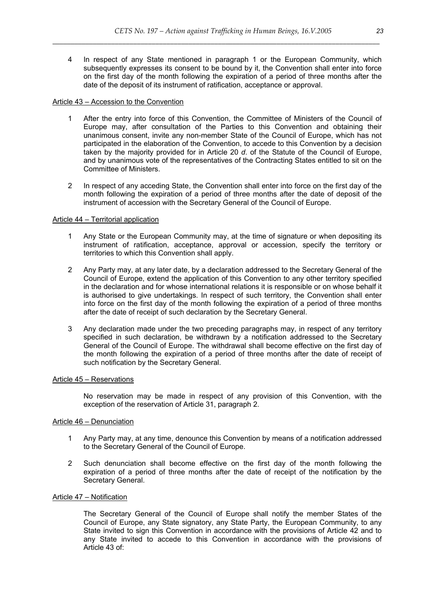4 In respect of any State mentioned in paragraph 1 or the European Community, which subsequently expresses its consent to be bound by it, the Convention shall enter into force on the first day of the month following the expiration of a period of three months after the date of the deposit of its instrument of ratification, acceptance or approval.

# Article 43 – Accession to the Convention

- 1 After the entry into force of this Convention, the Committee of Ministers of the Council of Europe may, after consultation of the Parties to this Convention and obtaining their unanimous consent, invite any non-member State of the Council of Europe, which has not participated in the elaboration of the Convention, to accede to this Convention by a decision taken by the majority provided for in Article 20 *d*. of the Statute of the Council of Europe, and by unanimous vote of the representatives of the Contracting States entitled to sit on the Committee of Ministers.
- 2 In respect of any acceding State, the Convention shall enter into force on the first day of the month following the expiration of a period of three months after the date of deposit of the instrument of accession with the Secretary General of the Council of Europe.

# Article 44 – Territorial application

- 1 Any State or the European Community may, at the time of signature or when depositing its instrument of ratification, acceptance, approval or accession, specify the territory or territories to which this Convention shall apply.
- 2 Any Party may, at any later date, by a declaration addressed to the Secretary General of the Council of Europe, extend the application of this Convention to any other territory specified in the declaration and for whose international relations it is responsible or on whose behalf it is authorised to give undertakings. In respect of such territory, the Convention shall enter into force on the first day of the month following the expiration of a period of three months after the date of receipt of such declaration by the Secretary General.
- 3 Any declaration made under the two preceding paragraphs may, in respect of any territory specified in such declaration, be withdrawn by a notification addressed to the Secretary General of the Council of Europe. The withdrawal shall become effective on the first day of the month following the expiration of a period of three months after the date of receipt of such notification by the Secretary General.

## Article 45 – Reservations

 No reservation may be made in respect of any provision of this Convention, with the exception of the reservation of Article 31, paragraph 2.

## Article 46 – Denunciation

- 1 Any Party may, at any time, denounce this Convention by means of a notification addressed to the Secretary General of the Council of Europe.
- 2 Such denunciation shall become effective on the first day of the month following the expiration of a period of three months after the date of receipt of the notification by the Secretary General.

## Article 47 – Notification

 The Secretary General of the Council of Europe shall notify the member States of the Council of Europe, any State signatory, any State Party, the European Community, to any State invited to sign this Convention in accordance with the provisions of Article 42 and to any State invited to accede to this Convention in accordance with the provisions of Article 43 of: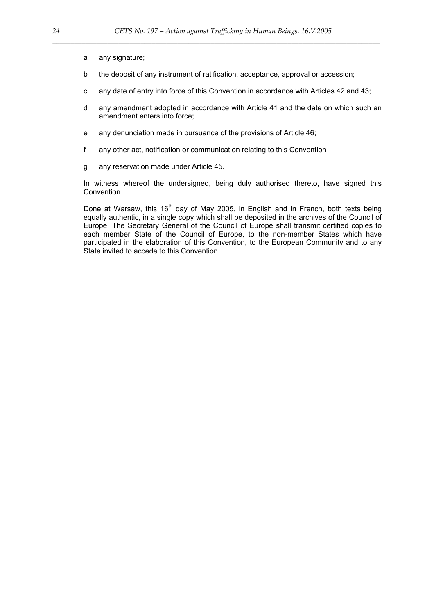- a any signature;
- b the deposit of any instrument of ratification, acceptance, approval or accession;
- c any date of entry into force of this Convention in accordance with Articles 42 and 43;
- d any amendment adopted in accordance with Article 41 and the date on which such an amendment enters into force;
- e any denunciation made in pursuance of the provisions of Article 46;
- f any other act, notification or communication relating to this Convention
- g any reservation made under Article 45.

 In witness whereof the undersigned, being duly authorised thereto, have signed this Convention.

Done at Warsaw, this 16<sup>th</sup> day of May 2005, in English and in French, both texts being equally authentic, in a single copy which shall be deposited in the archives of the Council of Europe. The Secretary General of the Council of Europe shall transmit certified copies to each member State of the Council of Europe, to the non-member States which have participated in the elaboration of this Convention, to the European Community and to any State invited to accede to this Convention.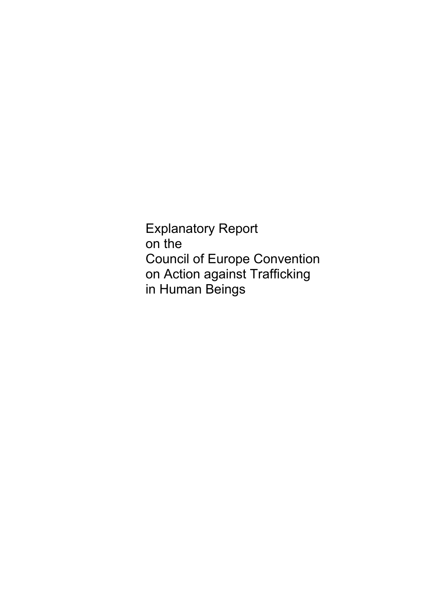Explanatory Report on the Council of Europe Convention on Action against Trafficking in Human Beings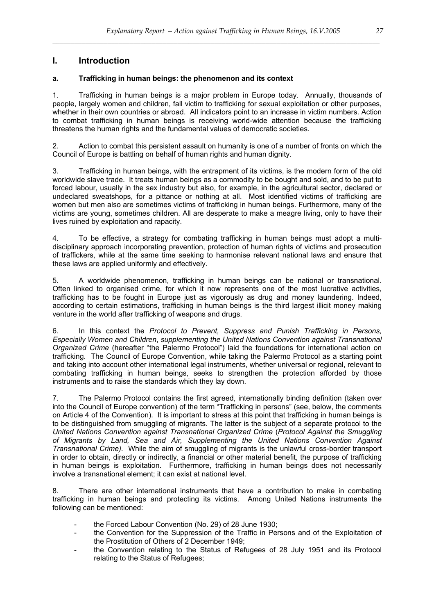# **I. Introduction**

# **a. Trafficking in human beings: the phenomenon and its context**

1. Trafficking in human beings is a major problem in Europe today. Annually, thousands of people, largely women and children, fall victim to trafficking for sexual exploitation or other purposes, whether in their own countries or abroad. All indicators point to an increase in victim numbers. Action to combat trafficking in human beings is receiving world-wide attention because the trafficking threatens the human rights and the fundamental values of democratic societies.

2. Action to combat this persistent assault on humanity is one of a number of fronts on which the Council of Europe is battling on behalf of human rights and human dignity.

3. Trafficking in human beings, with the entrapment of its victims, is the modern form of the old worldwide slave trade. It treats human beings as a commodity to be bought and sold, and to be put to forced labour, usually in the sex industry but also, for example, in the agricultural sector, declared or undeclared sweatshops, for a pittance or nothing at all. Most identified victims of trafficking are women but men also are sometimes victims of trafficking in human beings. Furthermore, many of the victims are young, sometimes children. All are desperate to make a meagre living, only to have their lives ruined by exploitation and rapacity.

4. To be effective, a strategy for combating trafficking in human beings must adopt a multidisciplinary approach incorporating prevention, protection of human rights of victims and prosecution of traffickers, while at the same time seeking to harmonise relevant national laws and ensure that these laws are applied uniformly and effectively.

5. A worldwide phenomenon, trafficking in human beings can be national or transnational. Often linked to organised crime, for which it now represents one of the most lucrative activities, trafficking has to be fought in Europe just as vigorously as drug and money laundering. Indeed, according to certain estimations, trafficking in human beings is the third largest illicit money making venture in the world after trafficking of weapons and drugs.

6. In this context the *Protocol to Prevent, Suppress and Punish Trafficking in Persons, Especially Women and Children*, *supplementing the United Nations Convention against Transnational Organized Crime* (hereafter "the Palermo Protocol") laid the foundations for international action on trafficking. The Council of Europe Convention, while taking the Palermo Protocol as a starting point and taking into account other international legal instruments, whether universal or regional, relevant to combating trafficking in human beings, seeks to strengthen the protection afforded by those instruments and to raise the standards which they lay down.

7. The Palermo Protocol contains the first agreed, internationally binding definition (taken over into the Council of Europe convention) of the term "Trafficking in persons" (see, below, the comments on Article 4 of the Convention). It is important to stress at this point that trafficking in human beings is to be distinguished from smuggling of migrants. The latter is the subject of a separate protocol to the *United Nations Convention against Transnational Organized Crime* (*Protocol Against the Smuggling of Migrants by Land, Sea and Air, Supplementing the United Nations Convention Against Transnational Crime).* While the aim of smuggling of migrants is the unlawful cross-border transport in order to obtain, directly or indirectly, a financial or other material benefit, the purpose of trafficking in human beings is exploitation. Furthermore, trafficking in human beings does not necessarily involve a transnational element; it can exist at national level.

8. There are other international instruments that have a contribution to make in combating trafficking in human beings and protecting its victims. Among United Nations instruments the following can be mentioned:

- the Forced Labour Convention (No. 29) of 28 June 1930:
- the Convention for the Suppression of the Traffic in Persons and of the Exploitation of the Prostitution of Others of 2 December 1949;
- the Convention relating to the Status of Refugees of 28 July 1951 and its Protocol relating to the Status of Refugees;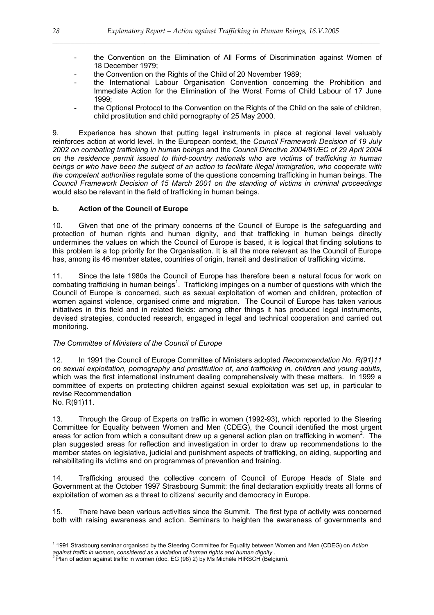- the Convention on the Elimination of All Forms of Discrimination against Women of 18 December 1979;
- the Convention on the Rights of the Child of 20 November 1989;
- the International Labour Organisation Convention concerning the Prohibition and Immediate Action for the Elimination of the Worst Forms of Child Labour of 17 June 1999;
- the Optional Protocol to the Convention on the Rights of the Child on the sale of children, child prostitution and child pornography of 25 May 2000.

9. Experience has shown that putting legal instruments in place at regional level valuably reinforces action at world level. In the European context, the *Council Framework Decision of 19 July 2002 on combating trafficking in human beings* and the *Council Directive 2004/81/EC of 29 April 2004 on the residence permit issued to third-country nationals who are victims of trafficking in human beings or who have been the subject of an action to facilitate illegal immigration, who cooperate with the competent authorities* regulate some of the questions concerning trafficking in human beings. The *Council Framework Decision of 15 March 2001 on the standing of victims in criminal proceedings*  would also be relevant in the field of trafficking in human beings.

# **b. Action of the Council of Europe**

10. Given that one of the primary concerns of the Council of Europe is the safeguarding and protection of human rights and human dignity, and that trafficking in human beings directly undermines the values on which the Council of Europe is based, it is logical that finding solutions to this problem is a top priority for the Organisation. It is all the more relevant as the Council of Europe has, among its 46 member states, countries of origin, transit and destination of trafficking victims.

11. Since the late 1980s the Council of Europe has therefore been a natural focus for work on combating trafficking in human beings<sup>1</sup>. Trafficking impinges on a number of questions with which the Council of Europe is concerned, such as sexual exploitation of women and children, protection of women against violence, organised crime and migration. The Council of Europe has taken various initiatives in this field and in related fields: among other things it has produced legal instruments, devised strategies, conducted research, engaged in legal and technical cooperation and carried out monitoring.

# *The Committee of Ministers of the Council of Europe*

12. In 1991 the Council of Europe Committee of Ministers adopted *Recommendation No. R(91)11 on sexual exploitation, pornography and prostitution of, and trafficking in, children and young adults*, which was the first international instrument dealing comprehensively with these matters. In 1999 a committee of experts on protecting children against sexual exploitation was set up, in particular to revise Recommendation No. R(91)11.

13. Through the Group of Experts on traffic in women (1992-93), which reported to the Steering Committee for Equality between Women and Men (CDEG), the Council identified the most urgent areas for action from which a consultant drew up a general action plan on trafficking in women<sup>2</sup>. The plan suggested areas for reflection and investigation in order to draw up recommendations to the member states on legislative, judicial and punishment aspects of trafficking, on aiding, supporting and rehabilitating its victims and on programmes of prevention and training.

14. Trafficking aroused the collective concern of Council of Europe Heads of State and Government at the October 1997 Strasbourg Summit: the final declaration explicitly treats all forms of exploitation of women as a threat to citizens' security and democracy in Europe.

15. There have been various activities since the Summit. The first type of activity was concerned both with raising awareness and action. Seminars to heighten the awareness of governments and

l 1 1991 Strasbourg seminar organised by the Steering Committee for Equality between Women and Men (CDEG) on *Action* 

*against traffic in women, considered as a violation of human rights and human dignity .*<br><sup>2</sup> Plan of action against traffic in women (doc. EG (96) 2) by Ms Michèle HIRSCH (Belgium).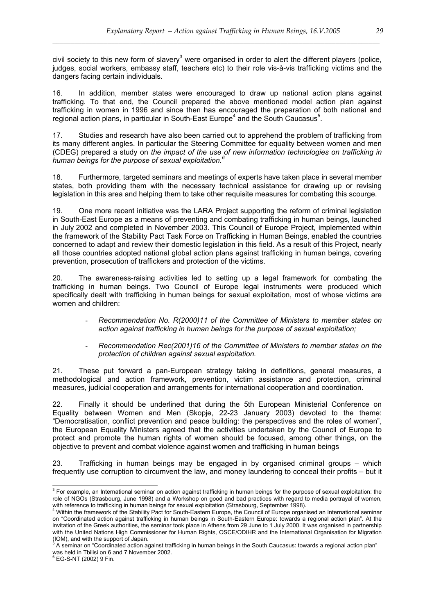civil society to this new form of slavery<sup>3</sup> were organised in order to alert the different players (police, judges, social workers, embassy staff, teachers etc) to their role vis-à-vis trafficking victims and the dangers facing certain individuals.

*\_\_\_\_\_\_\_\_\_\_\_\_\_\_\_\_\_\_\_\_\_\_\_\_\_\_\_\_\_\_\_\_\_\_\_\_\_\_\_\_\_\_\_\_\_\_\_\_\_\_\_\_\_\_\_\_\_\_\_\_\_\_\_\_\_\_\_\_\_\_\_\_\_\_\_\_\_\_\_\_\_\_\_\_\_\_\_\_\_* 

16. In addition, member states were encouraged to draw up national action plans against trafficking. To that end, the Council prepared the above mentioned model action plan against trafficking in women in 1996 and since then has encouraged the preparation of both national and regional action plans, in particular in South-East Europe<sup>4</sup> and the South Caucasus<sup>5</sup>.

17. Studies and research have also been carried out to apprehend the problem of trafficking from its many different angles. In particular the Steering Committee for equality between women and men (CDEG) prepared a study on *the impact of the use of new information technologies on trafficking in human beings for the purpose of sexual exploitation.<sup>6</sup>*

18. Furthermore, targeted seminars and meetings of experts have taken place in several member states, both providing them with the necessary technical assistance for drawing up or revising legislation in this area and helping them to take other requisite measures for combating this scourge.

19. One more recent initiative was the LARA Project supporting the reform of criminal legislation in South-East Europe as a means of preventing and combating trafficking in human beings, launched in July 2002 and completed in November 2003. This Council of Europe Project, implemented within the framework of the Stability Pact Task Force on Trafficking in Human Beings, enabled the countries concerned to adapt and review their domestic legislation in this field. As a result of this Project, nearly all those countries adopted national global action plans against trafficking in human beings, covering prevention, prosecution of traffickers and protection of the victims.

20. The awareness-raising activities led to setting up a legal framework for combating the trafficking in human beings. Two Council of Europe legal instruments were produced which specifically dealt with trafficking in human beings for sexual exploitation, most of whose victims are women and children:

- *Recommendation No. R(2000)11 of the Committee of Ministers to member states on action against trafficking in human beings for the purpose of sexual exploitation;*
- *Recommendation Rec(2001)16 of the Committee of Ministers to member states on the protection of children against sexual exploitation.*

21. These put forward a pan-European strategy taking in definitions, general measures, a methodological and action framework, prevention, victim assistance and protection, criminal measures, judicial cooperation and arrangements for international cooperation and coordination.

22. Finally it should be underlined that during the 5th European Ministerial Conference on Equality between Women and Men (Skopje, 22-23 January 2003) devoted to the theme: "Democratisation, conflict prevention and peace building: the perspectives and the roles of women", the European Equality Ministers agreed that the activities undertaken by the Council of Europe to protect and promote the human rights of women should be focused, among other things, on the objective to prevent and combat violence against women and trafficking in human beings

23. Trafficking in human beings may be engaged in by organised criminal groups – which frequently use corruption to circumvent the law, and money laundering to conceal their profits – but it

l  $3$  For example, an International seminar on action against trafficking in human beings for the purpose of sexual exploitation: the role of NGOs (Strasbourg, June 1998) and a Workshop on good and bad practices with regard to media portrayal of women, with reference to trafficking in human beings for sexual exploitation (Strasbourg, September 1998).

Within the framework of the Stability Pact for South-Eastern Europe, the Council of Europe organised an International seminar on "Coordinated action against trafficking in human beings in South-Eastern Europe: towards a regional action plan". At the invitation of the Greek authorities, the seminar took place in Athens from 29 June to 1 July 2000. It was organised in partnership with the United Nations High Commissioner for Human Rights, OSCE/ODIHR and the International Organisation for Migration (IOM), and with the support of Japan. 5

A seminar on "Coordinated action against trafficking in human beings in the South Caucasus: towards a regional action plan" was held in Tbilisi on 6 and 7 November 2002.<br><sup>6</sup> EG-S-NT (2002) 9 Fin.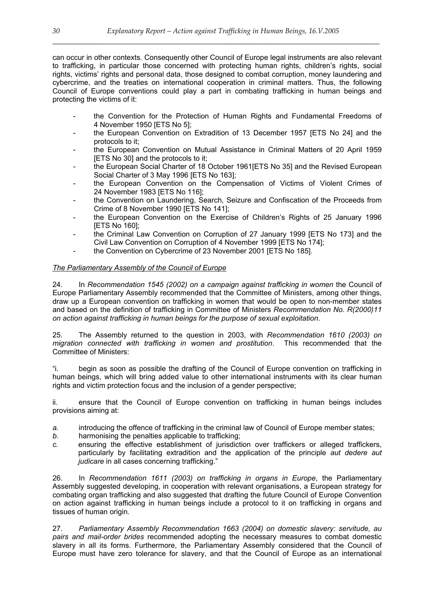can occur in other contexts. Consequently other Council of Europe legal instruments are also relevant to trafficking, in particular those concerned with protecting human rights, children's rights, social rights, victims' rights and personal data, those designed to combat corruption, money laundering and cybercrime, and the treaties on international cooperation in criminal matters. Thus, the following Council of Europe conventions could play a part in combating trafficking in human beings and protecting the victims of it:

- the Convention for the Protection of Human Rights and Fundamental Freedoms of 4 November 1950 [ETS No 5];
- the European Convention on Extradition of 13 December 1957 [ETS No 24] and the protocols to it;
- the European Convention on Mutual Assistance in Criminal Matters of 20 April 1959 [ETS No 30] and the protocols to it;
- the European Social Charter of 18 October 1961[ETS No 35] and the Revised European Social Charter of 3 May 1996 [ETS No 163];
- the European Convention on the Compensation of Victims of Violent Crimes of 24 November 1983 [ETS No 116];
- the Convention on Laundering, Search, Seizure and Confiscation of the Proceeds from Crime of 8 November 1990 [ETS No 141];
- the European Convention on the Exercise of Children's Rights of 25 January 1996 [ETS No 160];
- the Criminal Law Convention on Corruption of 27 January 1999 [ETS No 173] and the Civil Law Convention on Corruption of 4 November 1999 [ETS No 174];
- the Convention on Cybercrime of 23 November 2001 [ETS No 185].

# *The Parliamentary Assembly of the Council of Europe*

24. In *Recommendation 1545 (2002) on a campaign against trafficking in women* the Council of Europe Parliamentary Assembly recommended that the Committee of Ministers, among other things, draw up a European convention on trafficking in women that would be open to non-member states and based on the definition of trafficking in Committee of Ministers *Recommendation No. R(2000)11 on action against trafficking in human beings for the purpose of sexual exploitation*.

25. The Assembly returned to the question in 2003, with *Recommendation 1610 (2003) on migration connected with trafficking in women and prostitution*. This recommended that the Committee of Ministers:

"i. begin as soon as possible the drafting of the Council of Europe convention on trafficking in human beings, which will bring added value to other international instruments with its clear human rights and victim protection focus and the inclusion of a gender perspective;

ii. ensure that the Council of Europe convention on trafficking in human beings includes provisions aiming at:

- *a.* introducing the offence of trafficking in the criminal law of Council of Europe member states;
- *b.* harmonising the penalties applicable to trafficking;
- *c.* ensuring the effective establishment of jurisdiction over traffickers or alleged traffickers, particularly by facilitating extradition and the application of the principle *aut dedere aut judicare* in all cases concerning trafficking."

26. In *Recommendation 1611 (2003) on trafficking in organs in Europe*, the Parliamentary Assembly suggested developing, in cooperation with relevant organisations, a European strategy for combating organ trafficking and also suggested that drafting the future Council of Europe Convention on action against trafficking in human beings include a protocol to it on trafficking in organs and tissues of human origin.

27. *Parliamentary Assembly Recommendation 1663 (2004) on domestic slavery: servitude, au pairs and mail-order brides* recommended adopting the necessary measures to combat domestic slavery in all its forms. Furthermore, the Parliamentary Assembly considered that the Council of Europe must have zero tolerance for slavery, and that the Council of Europe as an international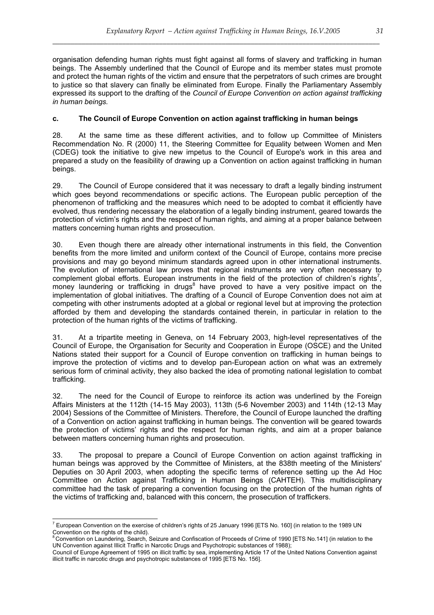organisation defending human rights must fight against all forms of slavery and trafficking in human beings. The Assembly underlined that the Council of Europe and its member states must promote and protect the human rights of the victim and ensure that the perpetrators of such crimes are brought to justice so that slavery can finally be eliminated from Europe. Finally the Parliamentary Assembly expressed its support to the drafting of the *Council of Europe Convention on action against trafficking in human beings.*

# **c. The Council of Europe Convention on action against trafficking in human beings**

28. At the same time as these different activities, and to follow up Committee of Ministers Recommendation No. R (2000) 11, the Steering Committee for Equality between Women and Men (CDEG) took the initiative to give new impetus to the Council of Europe's work in this area and prepared a study on the feasibility of drawing up a Convention on action against trafficking in human beings.

29. The Council of Europe considered that it was necessary to draft a legally binding instrument which goes beyond recommendations or specific actions. The European public perception of the phenomenon of trafficking and the measures which need to be adopted to combat it efficiently have evolved, thus rendering necessary the elaboration of a legally binding instrument, geared towards the protection of victim's rights and the respect of human rights, and aiming at a proper balance between matters concerning human rights and prosecution.

30. Even though there are already other international instruments in this field, the Convention benefits from the more limited and uniform context of the Council of Europe, contains more precise provisions and may go beyond minimum standards agreed upon in other international instruments. The evolution of international law proves that regional instruments are very often necessary to complement global efforts. European instruments in the field of the protection of children's rights<sup>7</sup>, money laundering or trafficking in drugs<sup>8</sup> have proved to have a very positive impact on the implementation of global initiatives. The drafting of a Council of Europe Convention does not aim at competing with other instruments adopted at a global or regional level but at improving the protection afforded by them and developing the standards contained therein, in particular in relation to the protection of the human rights of the victims of trafficking.

31. At a tripartite meeting in Geneva, on 14 February 2003, high-level representatives of the Council of Europe, the Organisation for Security and Cooperation in Europe (OSCE) and the United Nations stated their support for a Council of Europe convention on trafficking in human beings to improve the protection of victims and to develop pan-European action on what was an extremely serious form of criminal activity, they also backed the idea of promoting national legislation to combat trafficking.

32. The need for the Council of Europe to reinforce its action was underlined by the Foreign Affairs Ministers at the 112th (14-15 May 2003), 113th (5-6 November 2003) and 114th (12-13 May 2004) Sessions of the Committee of Ministers. Therefore, the Council of Europe launched the drafting of a Convention on action against trafficking in human beings. The convention will be geared towards the protection of victims' rights and the respect for human rights, and aim at a proper balance between matters concerning human rights and prosecution.

33. The proposal to prepare a Council of Europe Convention on action against trafficking in human beings was approved by the Committee of Ministers, at the 838th meeting of the Ministers' Deputies on 30 April 2003, when adopting the specific terms of reference setting up the Ad Hoc Committee on Action against Trafficking in Human Beings (CAHTEH). This multidisciplinary committee had the task of preparing a convention focusing on the protection of the human rights of the victims of trafficking and, balanced with this concern, the prosecution of traffickers.

 7 European Convention on the exercise of children's rights of 25 January 1996 [ETS No. 160] (in relation to the 1989 UN Convention on the rights of the child).

<sup>8</sup> Convention on Laundering, Search, Seizure and Confiscation of Proceeds of Crime of 1990 [ETS No.141] (in relation to the UN Convention against Illicit Traffic in Narcotic Drugs and Psychotropic substances of 1988);

Council of Europe Agreement of 1995 on illicit traffic by sea, implementing Article 17 of the United Nations Convention against illicit traffic in narcotic drugs and psychotropic substances of 1995 [ETS No. 156].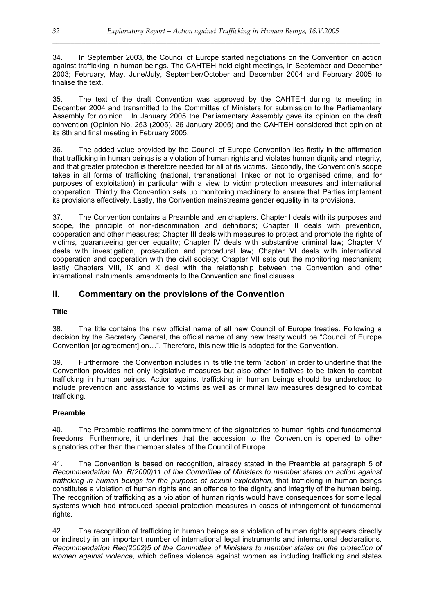34. In September 2003, the Council of Europe started negotiations on the Convention on action against trafficking in human beings. The CAHTEH held eight meetings, in September and December 2003; February, May, June/July, September/October and December 2004 and February 2005 to finalise the text.

*\_\_\_\_\_\_\_\_\_\_\_\_\_\_\_\_\_\_\_\_\_\_\_\_\_\_\_\_\_\_\_\_\_\_\_\_\_\_\_\_\_\_\_\_\_\_\_\_\_\_\_\_\_\_\_\_\_\_\_\_\_\_\_\_\_\_\_\_\_\_\_\_\_\_\_\_\_\_\_\_\_\_\_\_\_\_\_\_\_* 

35. The text of the draft Convention was approved by the CAHTEH during its meeting in December 2004 and transmitted to the Committee of Ministers for submission to the Parliamentary Assembly for opinion. In January 2005 the Parliamentary Assembly gave its opinion on the draft convention (Opinion No. 253 (2005), 26 January 2005) and the CAHTEH considered that opinion at its 8th and final meeting in February 2005.

36. The added value provided by the Council of Europe Convention lies firstly in the affirmation that trafficking in human beings is a violation of human rights and violates human dignity and integrity, and that greater protection is therefore needed for all of its victims. Secondly, the Convention's scope takes in all forms of trafficking (national, transnational, linked or not to organised crime, and for purposes of exploitation) in particular with a view to victim protection measures and international cooperation. Thirdly the Convention sets up monitoring machinery to ensure that Parties implement its provisions effectively. Lastly, the Convention mainstreams gender equality in its provisions.

37. The Convention contains a Preamble and ten chapters. Chapter I deals with its purposes and scope, the principle of non-discrimination and definitions; Chapter II deals with prevention, cooperation and other measures; Chapter III deals with measures to protect and promote the rights of victims, guaranteeing gender equality; Chapter IV deals with substantive criminal law; Chapter V deals with investigation, prosecution and procedural law; Chapter VI deals with international cooperation and cooperation with the civil society; Chapter VII sets out the monitoring mechanism; lastly Chapters VIII, IX and X deal with the relationship between the Convention and other international instruments, amendments to the Convention and final clauses.

# **II. Commentary on the provisions of the Convention**

# **Title**

38. The title contains the new official name of all new Council of Europe treaties. Following a decision by the Secretary General, the official name of any new treaty would be "Council of Europe Convention [or agreement] on…". Therefore, this new title is adopted for the Convention.

39. Furthermore, the Convention includes in its title the term "action" in order to underline that the Convention provides not only legislative measures but also other initiatives to be taken to combat trafficking in human beings. Action against trafficking in human beings should be understood to include prevention and assistance to victims as well as criminal law measures designed to combat trafficking.

# **Preamble**

40. The Preamble reaffirms the commitment of the signatories to human rights and fundamental freedoms. Furthermore, it underlines that the accession to the Convention is opened to other signatories other than the member states of the Council of Europe.

41. The Convention is based on recognition, already stated in the Preamble at paragraph 5 of *Recommendation No. R(2000)11 of the Committee of Ministers to member states on action against trafficking in human beings for the purpose of sexual exploitation*, that trafficking in human beings constitutes a violation of human rights and an offence to the dignity and integrity of the human being. The recognition of trafficking as a violation of human rights would have consequences for some legal systems which had introduced special protection measures in cases of infringement of fundamental rights.

42. The recognition of trafficking in human beings as a violation of human rights appears directly or indirectly in an important number of international legal instruments and international declarations. *Recommendation Rec(2002)5 of the Committee of Ministers to member states on the protection of women against violence,* which defines violence against women as including trafficking and states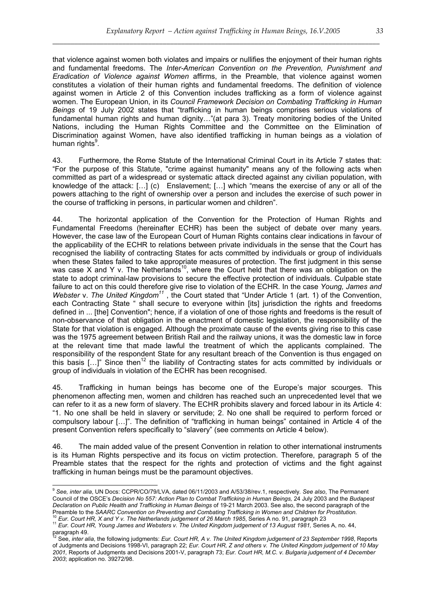that violence against women both violates and impairs or nullifies the enjoyment of their human rights and fundamental freedoms. The *Inter-American Convention on the Prevention, Punishment and Eradication of Violence against Women* affirms, in the Preamble, that violence against women constitutes a violation of their human rights and fundamental freedoms. The definition of violence against women in Article 2 of this Convention includes trafficking as a form of violence against women. The European Union, in its *Council Framework Decision on Combating Trafficking in Human Beings* of 19 July 2002 states that "trafficking in human beings comprises serious violations of fundamental human rights and human dignity…"(at para 3). Treaty monitoring bodies of the United Nations, including the Human Rights Committee and the Committee on the Elimination of Discrimination against Women, have also identified trafficking in human beings as a violation of human rights<sup>9</sup>.

43. Furthermore, the Rome Statute of the International Criminal Court in its Article 7 states that: "For the purpose of this Statute, "crime against humanity" means any of the following acts when committed as part of a widespread or systematic attack directed against any civilian population, with knowledge of the attack: […] (c) Enslavement; […] which "means the exercise of any or all of the powers attaching to the right of ownership over a person and includes the exercise of such power in the course of trafficking in persons, in particular women and children".

44. The horizontal application of the Convention for the Protection of Human Rights and Fundamental Freedoms (hereinafter ECHR) has been the subject of debate over many years. However, the case law of the European Court of Human Rights contains clear indications in favour of the applicability of the ECHR to relations between private individuals in the sense that the Court has recognised the liability of contracting States for acts committed by individuals or group of individuals when these States failed to take appropriate measures of protection. The first judgment in this sense was case X and Y v. The Netherlands<sup>10</sup>, where the Court held that there was an obligation on the state to adopt criminal-law provisions to secure the effective protection of individuals. Culpable state failure to act on this could therefore give rise to violation of the ECHR. In the case *Young, James and Webster* v. *The United Kingdom11* , the Court stated that "Under Article 1 (art. 1) of the Convention, each Contracting State " shall secure to everyone within [its] jurisdiction the rights and freedoms defined in ... [the] Convention"; hence, if a violation of one of those rights and freedoms is the result of non-observance of that obligation in the enactment of domestic legislation, the responsibility of the State for that violation is engaged. Although the proximate cause of the events giving rise to this case was the 1975 agreement between British Rail and the railway unions, it was the domestic law in force at the relevant time that made lawful the treatment of which the applicants complained. The responsibility of the respondent State for any resultant breach of the Convention is thus engaged on this basis  $[...]$ " Since then<sup>12</sup> the liability of Contracting states for acts committed by individuals or group of individuals in violation of the ECHR has been recognised.

45. Trafficking in human beings has become one of the Europe's major scourges. This phenomenon affecting men, women and children has reached such an unprecedented level that we can refer to it as a new form of slavery. The ECHR prohibits slavery and forced labour in its Article 4: "1. No one shall be held in slavery or servitude; 2. No one shall be required to perform forced or compulsory labour […]". The definition of "trafficking in human beings" contained in Article 4 of the present Convention refers specifically to "slavery" (see comments on Article 4 below).

46. The main added value of the present Convention in relation to other international instruments is its Human Rights perspective and its focus on victim protection. Therefore, paragraph 5 of the Preamble states that the respect for the rights and protection of victims and the fight against trafficking in human beings must be the paramount objectives.

l

<sup>9</sup> *See, inter alia*, UN Docs: CCPR/CO/79/LVA, dated 06/11/2003 and A/53/38/rev.1, respectively*. See also*, The Permanent Council of the OSCE's *Decision No 557: Action Plan to Combat Trafficking in Human Beings,* 24 July 2003 and the *Budapest Declaration on Public Health and Trafficking in Human Beings* of 19-21 March 2003. See also, the second paragraph of the Preamble to the SAARC Convention on Preventing and Combating Trafficking in Women and Children for Prostitution.<br><sup>10</sup> Eur. Court HR, X and Y v. The Netherlands judgement of 26 March 1985, Series A no. 91, paragraph 23<br><sup>11</sup>

paragraph 49.

<sup>12</sup> See, *inter alia*, the following judgments: *Eur. Court HR, A v. The United Kingdom judgement of 23 September 1998*, Reports of Judgments and Decisions 1998-VI, paragraph 22; *Eur. Court HR, Z and others v. The United Kingdom judgement of 10 May 2001,* Reports of Judgments and Decisions 2001-V, paragraph 73; *Eur. Court HR, M.C. v. Bulgaria judgement of 4 December 2003*; application no. 39272/98.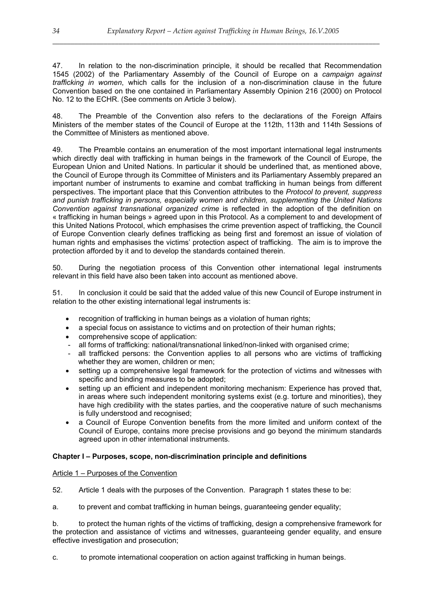47. In relation to the non-discrimination principle, it should be recalled that Recommendation 1545 (2002) of the Parliamentary Assembly of the Council of Europe on a *campaign against trafficking in women*, which calls for the inclusion of a non-discrimination clause in the future Convention based on the one contained in Parliamentary Assembly Opinion 216 (2000) on Protocol No. 12 to the ECHR. (See comments on Article 3 below).

48. The Preamble of the Convention also refers to the declarations of the Foreign Affairs Ministers of the member states of the Council of Europe at the 112th, 113th and 114th Sessions of the Committee of Ministers as mentioned above.

49. The Preamble contains an enumeration of the most important international legal instruments which directly deal with trafficking in human beings in the framework of the Council of Europe, the European Union and United Nations. In particular it should be underlined that, as mentioned above, the Council of Europe through its Committee of Ministers and its Parliamentary Assembly prepared an important number of instruments to examine and combat trafficking in human beings from different perspectives. The important place that this Convention attributes to the *Protocol to prevent, suppress and punish trafficking in persons, especially women and children, supplementing the United Nations Convention against transnational organized crime* is reflected in the adoption of the definition on « trafficking in human beings » agreed upon in this Protocol. As a complement to and development of this United Nations Protocol, which emphasises the crime prevention aspect of trafficking, the Council of Europe Convention clearly defines trafficking as being first and foremost an issue of violation of human rights and emphasises the victims' protection aspect of trafficking. The aim is to improve the protection afforded by it and to develop the standards contained therein.

50. During the negotiation process of this Convention other international legal instruments relevant in this field have also been taken into account as mentioned above.

51. In conclusion it could be said that the added value of this new Council of Europe instrument in relation to the other existing international legal instruments is:

- recognition of trafficking in human beings as a violation of human rights;
- a special focus on assistance to victims and on protection of their human rights;
- comprehensive scope of application:
- all forms of trafficking: national/transnational linked/non-linked with organised crime;
- all trafficked persons: the Convention applies to all persons who are victims of trafficking whether they are women, children or men;
- setting up a comprehensive legal framework for the protection of victims and witnesses with specific and binding measures to be adopted;
- setting up an efficient and independent monitoring mechanism: Experience has proved that, in areas where such independent monitoring systems exist (e.g. torture and minorities), they have high credibility with the states parties, and the cooperative nature of such mechanisms is fully understood and recognised;
- a Council of Europe Convention benefits from the more limited and uniform context of the Council of Europe, contains more precise provisions and go beyond the minimum standards agreed upon in other international instruments.

# **Chapter I – Purposes, scope, non-discrimination principle and definitions**

# Article 1 – Purposes of the Convention

- 52. Article 1 deals with the purposes of the Convention. Paragraph 1 states these to be:
- a. to prevent and combat trafficking in human beings, guaranteeing gender equality;

b. to protect the human rights of the victims of trafficking, design a comprehensive framework for the protection and assistance of victims and witnesses, guaranteeing gender equality, and ensure effective investigation and prosecution;

c. to promote international cooperation on action against trafficking in human beings.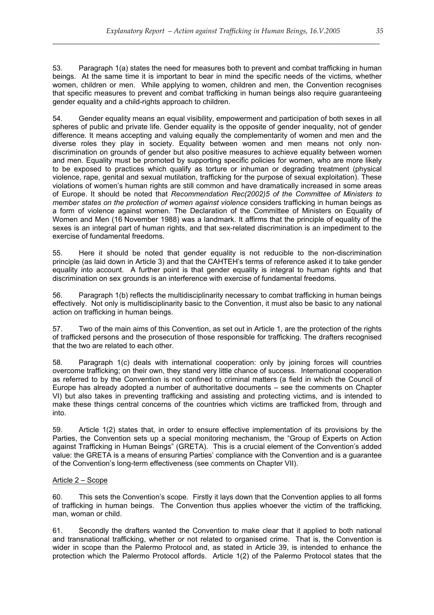53. Paragraph 1(a) states the need for measures both to prevent and combat trafficking in human beings. At the same time it is important to bear in mind the specific needs of the victims, whether women, children or men. While applying to women, children and men, the Convention recognises that specific measures to prevent and combat trafficking in human beings also require guaranteeing gender equality and a child-rights approach to children.

54. Gender equality means an equal visibility, empowerment and participation of both sexes in all spheres of public and private life. Gender equality is the opposite of gender inequality, not of gender difference. It means accepting and valuing equally the complementarity of women and men and the diverse roles they play in society. Equality between women and men means not only nondiscrimination on grounds of gender but also positive measures to achieve equality between women and men. Equality must be promoted by supporting specific policies for women, who are more likely to be exposed to practices which qualify as torture or inhuman or degrading treatment (physical violence, rape, genital and sexual mutilation, trafficking for the purpose of sexual exploitation). These violations of women's human rights are still common and have dramatically increased in some areas of Europe. It should be noted that *Recommendation Rec(2002)5 of the Committee of Ministers to member states on the protection of women against violence* considers trafficking in human beings as a form of violence against women. The Declaration of the Committee of Ministers on Equality of Women and Men (16 November 1988) was a landmark. It affirms that the principle of equality of the sexes is an integral part of human rights, and that sex-related discrimination is an impediment to the exercise of fundamental freedoms.

55. Here it should be noted that gender equality is not reducible to the non-discrimination principle (as laid down in Article 3) and that the CAHTEH's terms of reference asked it to take gender equality into account. A further point is that gender equality is integral to human rights and that discrimination on sex grounds is an interference with exercise of fundamental freedoms.

56. Paragraph 1(b) reflects the multidisciplinarity necessary to combat trafficking in human beings effectively. Not only is multidisciplinarity basic to the Convention, it must also be basic to any national action on trafficking in human beings.

57. Two of the main aims of this Convention, as set out in Article 1, are the protection of the rights of trafficked persons and the prosecution of those responsible for trafficking. The drafters recognised that the two are related to each other.

58. Paragraph 1(c) deals with international cooperation: only by joining forces will countries overcome trafficking; on their own, they stand very little chance of success. International cooperation as referred to by the Convention is not confined to criminal matters (a field in which the Council of Europe has already adopted a number of authoritative documents – see the comments on Chapter VI) but also takes in preventing trafficking and assisting and protecting victims, and is intended to make these things central concerns of the countries which victims are trafficked from, through and into.

59. Article 1(2) states that, in order to ensure effective implementation of its provisions by the Parties, the Convention sets up a special monitoring mechanism, the "Group of Experts on Action against Trafficking in Human Beings" (GRETA). This is a crucial element of the Convention's added value: the GRETA is a means of ensuring Parties' compliance with the Convention and is a guarantee of the Convention's long-term effectiveness (see comments on Chapter VII).

# Article 2 – Scope

60. This sets the Convention's scope. Firstly it lays down that the Convention applies to all forms of trafficking in human beings. The Convention thus applies whoever the victim of the trafficking, man, woman or child.

61. Secondly the drafters wanted the Convention to make clear that it applied to both national and transnational trafficking, whether or not related to organised crime. That is, the Convention is wider in scope than the Palermo Protocol and, as stated in Article 39, is intended to enhance the protection which the Palermo Protocol affords. Article 1(2) of the Palermo Protocol states that the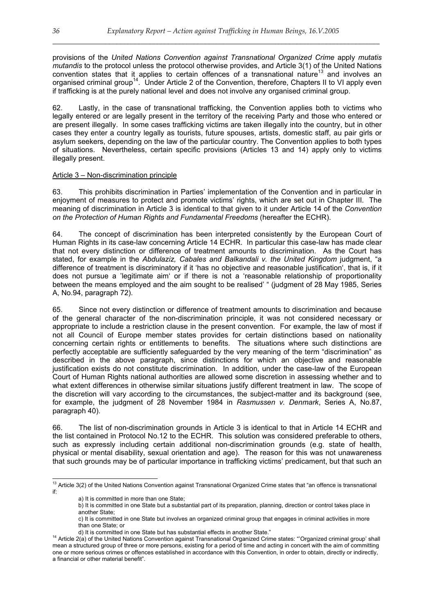provisions of the *United Nations Convention against Transnational Organized Crime* apply *mutatis mutandis* to the protocol unless the protocol otherwise provides, and Article 3(1) of the United Nations convention states that it applies to certain offences of a transnational nature<sup>13</sup> and involves an organised criminal group<sup>14</sup>. Under Article 2 of the Convention, therefore, Chapters II to VI apply even if trafficking is at the purely national level and does not involve any organised criminal group.

*\_\_\_\_\_\_\_\_\_\_\_\_\_\_\_\_\_\_\_\_\_\_\_\_\_\_\_\_\_\_\_\_\_\_\_\_\_\_\_\_\_\_\_\_\_\_\_\_\_\_\_\_\_\_\_\_\_\_\_\_\_\_\_\_\_\_\_\_\_\_\_\_\_\_\_\_\_\_\_\_\_\_\_\_\_\_\_\_\_* 

62. Lastly, in the case of transnational trafficking, the Convention applies both to victims who legally entered or are legally present in the territory of the receiving Party and those who entered or are present illegally. In some cases trafficking victims are taken illegally into the country, but in other cases they enter a country legally as tourists, future spouses, artists, domestic staff, au pair girls or asylum seekers, depending on the law of the particular country. The Convention applies to both types of situations. Nevertheless, certain specific provisions (Articles 13 and 14) apply only to victims illegally present.

# Article 3 – Non-discrimination principle

63. This prohibits discrimination in Parties' implementation of the Convention and in particular in enjoyment of measures to protect and promote victims' rights, which are set out in Chapter III. The meaning of discrimination in Article 3 is identical to that given to it under Article 14 of the *Convention on the Protection of Human Rights and Fundamental Freedoms* (hereafter the ECHR).

64. The concept of discrimination has been interpreted consistently by the European Court of Human Rights in its case-law concerning Article 14 ECHR. In particular this case-law has made clear that not every distinction or difference of treatment amounts to discrimination. As the Court has stated, for example in the *Abdulaziz, Cabales and Balkandali v. the United Kingdom* judgment, "a difference of treatment is discriminatory if it 'has no objective and reasonable justification', that is, if it does not pursue a 'legitimate aim' or if there is not a 'reasonable relationship of proportionality between the means employed and the aim sought to be realised' " (judgment of 28 May 1985, Series A, No.94, paragraph 72).

65. Since not every distinction or difference of treatment amounts to discrimination and because of the general character of the non-discrimination principle, it was not considered necessary or appropriate to include a restriction clause in the present convention. For example, the law of most if not all Council of Europe member states provides for certain distinctions based on nationality concerning certain rights or entitlements to benefits. The situations where such distinctions are perfectly acceptable are sufficiently safeguarded by the very meaning of the term "discrimination" as described in the above paragraph, since distinctions for which an objective and reasonable justification exists do not constitute discrimination. In addition, under the case-law of the European Court of Human Rights national authorities are allowed some discretion in assessing whether and to what extent differences in otherwise similar situations justify different treatment in law. The scope of the discretion will vary according to the circumstances, the subject-matter and its background (see, for example, the judgment of 28 November 1984 in *Rasmussen v. Denmark*, Series A, No.87, paragraph 40).

66. The list of non-discrimination grounds in Article 3 is identical to that in Article 14 ECHR and the list contained in Protocol No.12 to the ECHR. This solution was considered preferable to others, such as expressly including certain additional non-discrimination grounds (e.g. state of health, physical or mental disability, sexual orientation and age). The reason for this was not unawareness that such grounds may be of particular importance in trafficking victims' predicament, but that such an

l <sup>13</sup> Article 3(2) of the United Nations Convention against Transnational Organized Crime states that "an offence is transnational if:

a) It is committed in more than one State;

b) It is committed in one State but a substantial part of its preparation, planning, direction or control takes place in another State;

c) It is committed in one State but involves an organized criminal group that engages in criminal activities in more than one State; or<br>
d) It is committed in one State but has substantial effects in another State."

<sup>&</sup>lt;sup>14</sup> Article 2(a) of the United Nations Convention against Transnational Organized Crime states: "'Organized criminal group' shall mean a structured group of three or more persons, existing for a period of time and acting in concert with the aim of committing one or more serious crimes or offences established in accordance with this Convention, in order to obtain, directly or indirectly, a financial or other material benefit".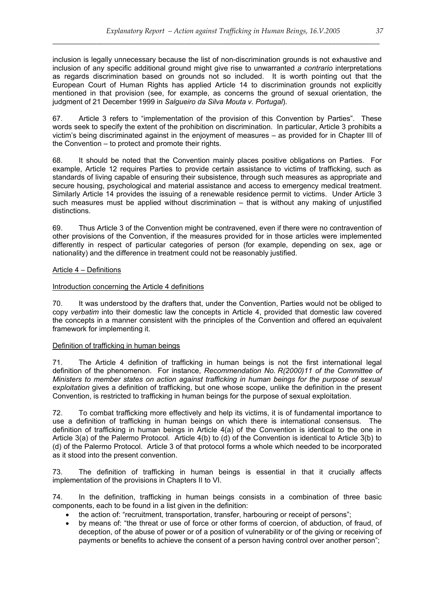inclusion is legally unnecessary because the list of non-discrimination grounds is not exhaustive and inclusion of any specific additional ground might give rise to unwarranted *a contrario* interpretations as regards discrimination based on grounds not so included. It is worth pointing out that the European Court of Human Rights has applied Article 14 to discrimination grounds not explicitly mentioned in that provision (see, for example, as concerns the ground of sexual orientation, the judgment of 21 December 1999 in *Salgueiro da Silva Mouta v. Portugal*).

67. Article 3 refers to "implementation of the provision of this Convention by Parties". These words seek to specify the extent of the prohibition on discrimination. In particular, Article 3 prohibits a victim's being discriminated against in the enjoyment of measures – as provided for in Chapter III of the Convention – to protect and promote their rights.

68. It should be noted that the Convention mainly places positive obligations on Parties. For example, Article 12 requires Parties to provide certain assistance to victims of trafficking, such as standards of living capable of ensuring their subsistence, through such measures as appropriate and secure housing, psychological and material assistance and access to emergency medical treatment. Similarly Article 14 provides the issuing of a renewable residence permit to victims. Under Article 3 such measures must be applied without discrimination – that is without any making of unjustified distinctions.

69. Thus Article 3 of the Convention might be contravened, even if there were no contravention of other provisions of the Convention, if the measures provided for in those articles were implemented differently in respect of particular categories of person (for example, depending on sex, age or nationality) and the difference in treatment could not be reasonably justified.

# Article 4 – Definitions

# Introduction concerning the Article 4 definitions

70. It was understood by the drafters that, under the Convention, Parties would not be obliged to copy *verbatim* into their domestic law the concepts in Article 4, provided that domestic law covered the concepts in a manner consistent with the principles of the Convention and offered an equivalent framework for implementing it.

## Definition of trafficking in human beings

71. The Article 4 definition of trafficking in human beings is not the first international legal definition of the phenomenon. For instance, *Recommendation No. R(2000)11 of the Committee of Ministers to member states on action against trafficking in human beings for the purpose of sexual exploitation* gives a definition of trafficking, but one whose scope, unlike the definition in the present Convention, is restricted to trafficking in human beings for the purpose of sexual exploitation.

72. To combat trafficking more effectively and help its victims, it is of fundamental importance to use a definition of trafficking in human beings on which there is international consensus. The definition of trafficking in human beings in Article 4(a) of the Convention is identical to the one in Article 3(a) of the Palermo Protocol. Article 4(b) to (d) of the Convention is identical to Article 3(b) to (d) of the Palermo Protocol. Article 3 of that protocol forms a whole which needed to be incorporated as it stood into the present convention.

73. The definition of trafficking in human beings is essential in that it crucially affects implementation of the provisions in Chapters II to VI.

74. In the definition, trafficking in human beings consists in a combination of three basic components, each to be found in a list given in the definition:

- the action of: "recruitment, transportation, transfer, harbouring or receipt of persons";
- by means of: "the threat or use of force or other forms of coercion, of abduction, of fraud, of deception, of the abuse of power or of a position of vulnerability or of the giving or receiving of payments or benefits to achieve the consent of a person having control over another person";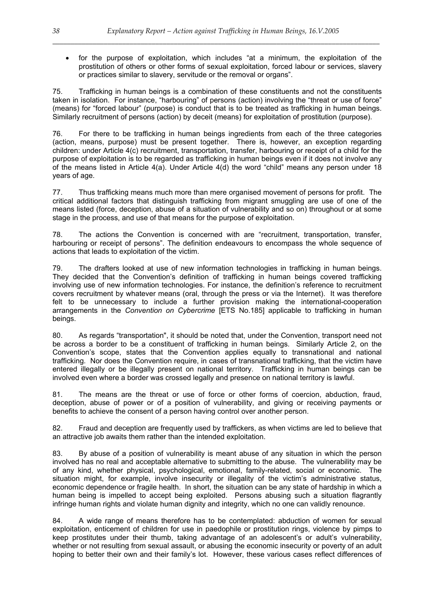• for the purpose of exploitation, which includes "at a minimum, the exploitation of the prostitution of others or other forms of sexual exploitation, forced labour or services, slavery or practices similar to slavery, servitude or the removal or organs".

75. Trafficking in human beings is a combination of these constituents and not the constituents taken in isolation. For instance, "harbouring" of persons (action) involving the "threat or use of force" (means) for "forced labour" (purpose) is conduct that is to be treated as trafficking in human beings. Similarly recruitment of persons (action) by deceit (means) for exploitation of prostitution (purpose).

76. For there to be trafficking in human beings ingredients from each of the three categories (action, means, purpose) must be present together. There is, however, an exception regarding children: under Article 4(c) recruitment, transportation, transfer, harbouring or receipt of a child for the purpose of exploitation is to be regarded as trafficking in human beings even if it does not involve any of the means listed in Article  $4(a)$ . Under Article  $4(d)$  the word "child" means any person under 18 years of age.

77. Thus trafficking means much more than mere organised movement of persons for profit. The critical additional factors that distinguish trafficking from migrant smuggling are use of one of the means listed (force, deception, abuse of a situation of vulnerability and so on) throughout or at some stage in the process, and use of that means for the purpose of exploitation.

78. The actions the Convention is concerned with are "recruitment, transportation, transfer, harbouring or receipt of persons". The definition endeavours to encompass the whole sequence of actions that leads to exploitation of the victim.

79. The drafters looked at use of new information technologies in trafficking in human beings. They decided that the Convention's definition of trafficking in human beings covered trafficking involving use of new information technologies. For instance, the definition's reference to recruitment covers recruitment by whatever means (oral, through the press or via the Internet). It was therefore felt to be unnecessary to include a further provision making the international-cooperation arrangements in the *Convention on Cybercrime* [ETS No.185] applicable to trafficking in human beings.

80. As regards "transportation", it should be noted that, under the Convention, transport need not be across a border to be a constituent of trafficking in human beings. Similarly Article 2, on the Convention's scope, states that the Convention applies equally to transnational and national trafficking. Nor does the Convention require, in cases of transnational trafficking, that the victim have entered illegally or be illegally present on national territory. Trafficking in human beings can be involved even where a border was crossed legally and presence on national territory is lawful.

81. The means are the threat or use of force or other forms of coercion, abduction, fraud, deception, abuse of power or of a position of vulnerability, and giving or receiving payments or benefits to achieve the consent of a person having control over another person.

82. Fraud and deception are frequently used by traffickers, as when victims are led to believe that an attractive job awaits them rather than the intended exploitation.

83. By abuse of a position of vulnerability is meant abuse of any situation in which the person involved has no real and acceptable alternative to submitting to the abuse. The vulnerability may be of any kind, whether physical, psychological, emotional, family-related, social or economic. The situation might, for example, involve insecurity or illegality of the victim's administrative status, economic dependence or fragile health. In short, the situation can be any state of hardship in which a human being is impelled to accept being exploited. Persons abusing such a situation flagrantly infringe human rights and violate human dignity and integrity, which no one can validly renounce.

84. A wide range of means therefore has to be contemplated: abduction of women for sexual exploitation, enticement of children for use in paedophile or prostitution rings, violence by pimps to keep prostitutes under their thumb, taking advantage of an adolescent's or adult's vulnerability, whether or not resulting from sexual assault, or abusing the economic insecurity or poverty of an adult hoping to better their own and their family's lot. However, these various cases reflect differences of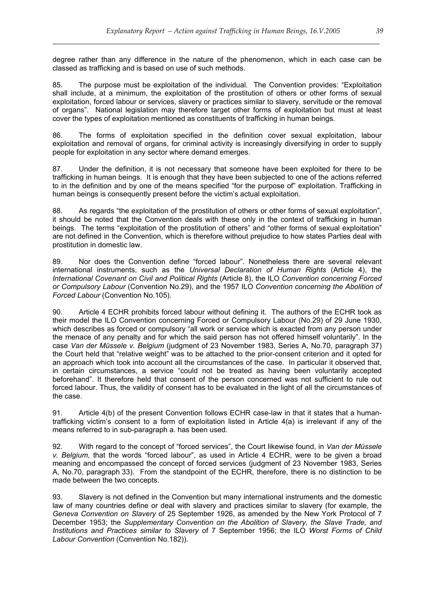degree rather than any difference in the nature of the phenomenon, which in each case can be classed as trafficking and is based on use of such methods.

*\_\_\_\_\_\_\_\_\_\_\_\_\_\_\_\_\_\_\_\_\_\_\_\_\_\_\_\_\_\_\_\_\_\_\_\_\_\_\_\_\_\_\_\_\_\_\_\_\_\_\_\_\_\_\_\_\_\_\_\_\_\_\_\_\_\_\_\_\_\_\_\_\_\_\_\_\_\_\_\_\_\_\_\_\_\_\_\_\_* 

85. The purpose must be exploitation of the individual. The Convention provides: "Exploitation shall include, at a minimum, the exploitation of the prostitution of others or other forms of sexual exploitation, forced labour or services, slavery or practices similar to slavery, servitude or the removal of organs". National legislation may therefore target other forms of exploitation but must at least cover the types of exploitation mentioned as constituents of trafficking in human beings.

86. The forms of exploitation specified in the definition cover sexual exploitation, labour exploitation and removal of organs, for criminal activity is increasingly diversifying in order to supply people for exploitation in any sector where demand emerges.

87. Under the definition, it is not necessary that someone have been exploited for there to be trafficking in human beings. It is enough that they have been subjected to one of the actions referred to in the definition and by one of the means specified "for the purpose of" exploitation. Trafficking in human beings is consequently present before the victim's actual exploitation.

88. As regards "the exploitation of the prostitution of others or other forms of sexual exploitation", it should be noted that the Convention deals with these only in the context of trafficking in human beings. The terms "exploitation of the prostitution of others" and "other forms of sexual exploitation" are not defined in the Convention, which is therefore without prejudice to how states Parties deal with prostitution in domestic law.

89. Nor does the Convention define "forced labour". Nonetheless there are several relevant international instruments, such as the *Universal Declaration of Human Rights* (Article 4), the *International Covenant on Civil and Political Rights* (Article 8), the ILO *Convention concerning Forced or Compulsory Labour* (Convention No.29), and the 1957 ILO *Convention concerning the Abolition of Forced Labour* (Convention No.105).

90. Article 4 ECHR prohibits forced labour without defining it. The authors of the ECHR took as their model the ILO Convention concerning Forced or Compulsory Labour (No.29) of 29 June 1930, which describes as forced or compulsory "all work or service which is exacted from any person under the menace of any penalty and for which the said person has not offered himself voluntarily". In the case *Van der Müssele v. Belgium* (judgment of 23 November 1983, Series A, No.70, paragraph 37) the Court held that "relative weight" was to be attached to the prior-consent criterion and it opted for an approach which took into account all the circumstances of the case. In particular it observed that, in certain circumstances, a service "could not be treated as having been voluntarily accepted beforehand". It therefore held that consent of the person concerned was not sufficient to rule out forced labour. Thus, the validity of consent has to be evaluated in the light of all the circumstances of the case.

91. Article 4(b) of the present Convention follows ECHR case-law in that it states that a humantrafficking victim's consent to a form of exploitation listed in Article 4(a) is irrelevant if any of the means referred to in sub-paragraph a. has been used.

92. With regard to the concept of "forced services", the Court likewise found, in *Van der Müssele v. Belgium*, that the words "forced labour", as used in Article 4 ECHR, were to be given a broad meaning and encompassed the concept of forced services (judgment of 23 November 1983, Series A, No.70, paragraph 33). From the standpoint of the ECHR, therefore, there is no distinction to be made between the two concepts.

93. Slavery is not defined in the Convention but many international instruments and the domestic law of many countries define or deal with slavery and practices similar to slavery (for example, the *Geneva Convention on Slavery* of 25 September 1926, as amended by the New York Protocol of 7 December 1953; the *Supplementary Convention on the Abolition of Slavery, the Slave Trade, and Institutions and Practices similar to Slavery* of 7 September 1956; the ILO *Worst Forms of Child Labour Convention* (Convention No.182)).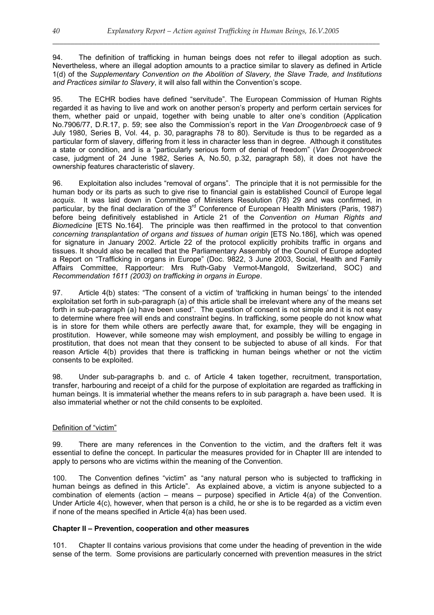94. The definition of trafficking in human beings does not refer to illegal adoption as such. Nevertheless, where an illegal adoption amounts to a practice similar to slavery as defined in Article 1(d) of the *Supplementary Convention on the Abolition of Slavery, the Slave Trade, and Institutions and Practices similar to Slavery*, it will also fall within the Convention's scope.

*\_\_\_\_\_\_\_\_\_\_\_\_\_\_\_\_\_\_\_\_\_\_\_\_\_\_\_\_\_\_\_\_\_\_\_\_\_\_\_\_\_\_\_\_\_\_\_\_\_\_\_\_\_\_\_\_\_\_\_\_\_\_\_\_\_\_\_\_\_\_\_\_\_\_\_\_\_\_\_\_\_\_\_\_\_\_\_\_\_* 

95. The ECHR bodies have defined "servitude". The European Commission of Human Rights regarded it as having to live and work on another person's property and perform certain services for them, whether paid or unpaid, together with being unable to alter one's condition (Application No.7906/77, D.R.17, p. 59; see also the Commission's report in the *Van Droogenbroeck* case of 9 July 1980, Series B, Vol. 44, p. 30, paragraphs 78 to 80). Servitude is thus to be regarded as a particular form of slavery, differing from it less in character less than in degree. Although it constitutes a state or condition, and is a "particularly serious form of denial of freedom" (*Van Droogenbroeck* case, judgment of 24 June 1982, Series A, No.50, p.32, paragraph 58), it does not have the ownership features characteristic of slavery.

96. Exploitation also includes "removal of organs". The principle that it is not permissible for the human body or its parts as such to give rise to financial gain is established Council of Europe legal *acquis*. It was laid down in Committee of Ministers Resolution (78) 29 and was confirmed, in particular, by the final declaration of the 3<sup>rd</sup> Conference of European Health Ministers (Paris, 1987) before being definitively established in Article 21 of the *Convention on Human Rights and Biomedicine* [ETS No.164]. The principle was then reaffirmed in the protocol to that convention *concerning transplantation of organs and tissues of human origin* [ETS No.186], which was opened for signature in January 2002. Article 22 of the protocol explicitly prohibits traffic in organs and tissues. It should also be recalled that the Parliamentary Assembly of the Council of Europe adopted a Report on "Trafficking in organs in Europe" (Doc. 9822, 3 June 2003, Social, Health and Family Affairs Committee, Rapporteur: Mrs Ruth-Gaby Vermot-Mangold, Switzerland, SOC) and *Recommendation 1611 (2003) on trafficking in organs in Europe*.

97. Article 4(b) states: "The consent of a victim of 'trafficking in human beings' to the intended exploitation set forth in sub-paragraph (a) of this article shall be irrelevant where any of the means set forth in sub-paragraph (a) have been used". The question of consent is not simple and it is not easy to determine where free will ends and constraint begins. In trafficking, some people do not know what is in store for them while others are perfectly aware that, for example, they will be engaging in prostitution. However, while someone may wish employment, and possibly be willing to engage in prostitution, that does not mean that they consent to be subjected to abuse of all kinds. For that reason Article 4(b) provides that there is trafficking in human beings whether or not the victim consents to be exploited.

98. Under sub-paragraphs b. and c. of Article 4 taken together, recruitment, transportation, transfer, harbouring and receipt of a child for the purpose of exploitation are regarded as trafficking in human beings. It is immaterial whether the means refers to in sub paragraph a. have been used. It is also immaterial whether or not the child consents to be exploited.

## Definition of "victim"

99. There are many references in the Convention to the victim, and the drafters felt it was essential to define the concept. In particular the measures provided for in Chapter III are intended to apply to persons who are victims within the meaning of the Convention.

100. The Convention defines "victim" as "any natural person who is subjected to trafficking in human beings as defined in this Article". As explained above, a victim is anyone subjected to a combination of elements (action – means – purpose) specified in Article  $4(a)$  of the Convention. Under Article 4(c), however, when that person is a child, he or she is to be regarded as a victim even if none of the means specified in Article 4(a) has been used.

#### **Chapter II – Prevention, cooperation and other measures**

101. Chapter II contains various provisions that come under the heading of prevention in the wide sense of the term. Some provisions are particularly concerned with prevention measures in the strict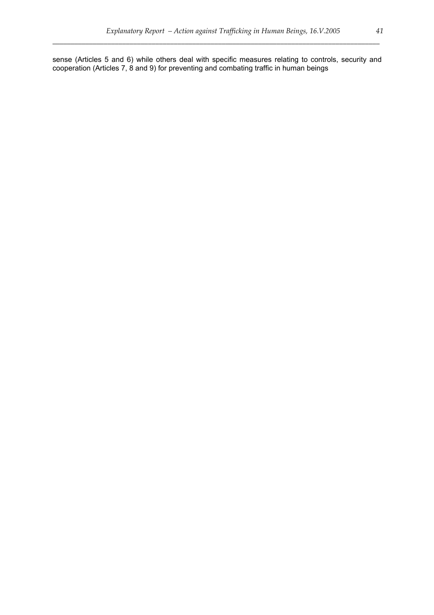sense (Articles 5 and 6) while others deal with specific measures relating to controls, security and cooperation (Articles 7, 8 and 9) for preventing and combating traffic in human beings

*\_\_\_\_\_\_\_\_\_\_\_\_\_\_\_\_\_\_\_\_\_\_\_\_\_\_\_\_\_\_\_\_\_\_\_\_\_\_\_\_\_\_\_\_\_\_\_\_\_\_\_\_\_\_\_\_\_\_\_\_\_\_\_\_\_\_\_\_\_\_\_\_\_\_\_\_\_\_\_\_\_\_\_\_\_\_\_\_\_*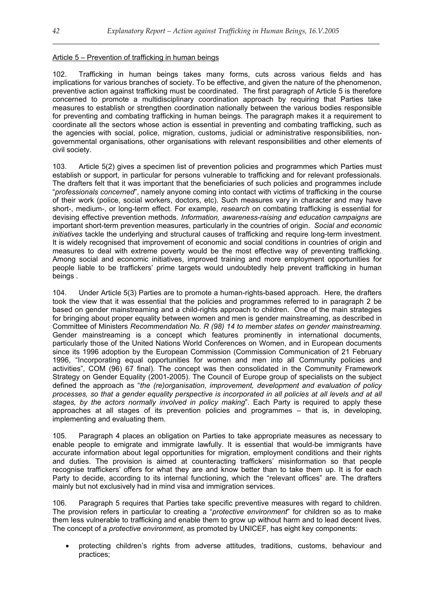### Article 5 – Prevention of trafficking in human beings

102. Trafficking in human beings takes many forms, cuts across various fields and has implications for various branches of society. To be effective, and given the nature of the phenomenon, preventive action against trafficking must be coordinated. The first paragraph of Article 5 is therefore concerned to promote a multidisciplinary coordination approach by requiring that Parties take measures to establish or strengthen coordination nationally between the various bodies responsible for preventing and combating trafficking in human beings. The paragraph makes it a requirement to coordinate all the sectors whose action is essential in preventing and combating trafficking, such as the agencies with social, police, migration, customs, judicial or administrative responsibilities, nongovernmental organisations, other organisations with relevant responsibilities and other elements of civil society.

103. Article 5(2) gives a specimen list of prevention policies and programmes which Parties must establish or support, in particular for persons vulnerable to trafficking and for relevant professionals. The drafters felt that it was important that the beneficiaries of such policies and programmes include "*professionals concerned*", namely anyone coming into contact with victims of trafficking in the course of their work (police, social workers, doctors, etc). Such measures vary in character and may have short-, medium-, or long-term effect. For example, *research* on combating trafficking is essential for devising effective prevention methods. *Information, awareness-raising and education campaigns* are important short-term prevention measures, particularly in the countries of origin. *Social and economic initiatives* tackle the underlying and structural causes of trafficking and require long-term investment. It is widely recognised that improvement of economic and social conditions in countries of origin and measures to deal with extreme poverty would be the most effective way of preventing trafficking. Among social and economic initiatives, improved training and more employment opportunities for people liable to be traffickers' prime targets would undoubtedly help prevent trafficking in human beings .

104. Under Article 5(3) Parties are to promote a human-rights-based approach. Here, the drafters took the view that it was essential that the policies and programmes referred to in paragraph 2 be based on gender mainstreaming and a child-rights approach to children. One of the main strategies for bringing about proper equality between women and men is gender mainstreaming, as described in Committee of Ministers *Recommendation No. R (98) 14 to member states on gender mainstreaming*. Gender mainstreaming is a concept which features prominently in international documents, particularly those of the United Nations World Conferences on Women, and in European documents since its 1996 adoption by the European Commission (Commission Communication of 21 February 1996, "Incorporating equal opportunities for women and men into all Community policies and activities", COM (96) 67 final). The concept was then consolidated in the Community Framework Strategy on Gender Equality (2001-2005). The Council of Europe group of specialists on the subject defined the approach as "*the (re)organisation, improvement, development and evaluation of policy processes, so that a gender equality perspective is incorporated in all policies at all levels and at all stages, by the actors normally involved in policy making*". Each Party is required to apply these approaches at all stages of its prevention policies and programmes – that is, in developing, implementing and evaluating them.

105. Paragraph 4 places an obligation on Parties to take appropriate measures as necessary to enable people to emigrate and immigrate lawfully. It is essential that would-be immigrants have accurate information about legal opportunities for migration, employment conditions and their rights and duties. The provision is aimed at counteracting traffickers' misinformation so that people recognise traffickers' offers for what they are and know better than to take them up. It is for each Party to decide, according to its internal functioning, which the "relevant offices" are. The drafters mainly but not exclusively had in mind visa and immigration services.

106. Paragraph 5 requires that Parties take specific preventive measures with regard to children. The provision refers in particular to creating a "*protective environment*" for children so as to make them less vulnerable to trafficking and enable them to grow up without harm and to lead decent lives. The concept of a *protective environment*, as promoted by UNICEF, has eight key components:

• protecting children's rights from adverse attitudes, traditions, customs, behaviour and practices;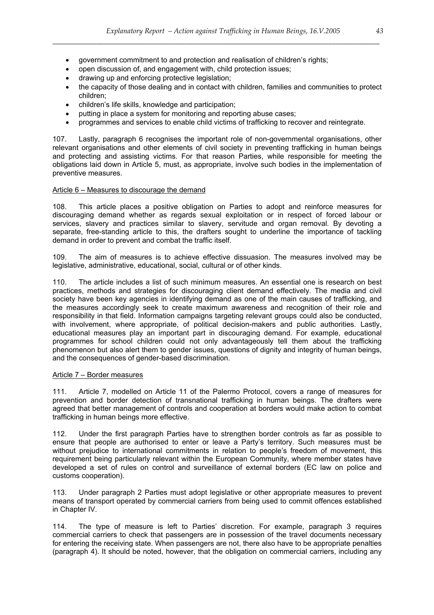- government commitment to and protection and realisation of children's rights;
- open discussion of, and engagement with, child protection issues;
- drawing up and enforcing protective legislation;
- the capacity of those dealing and in contact with children, families and communities to protect children;
- children's life skills, knowledge and participation;
- putting in place a system for monitoring and reporting abuse cases;
- programmes and services to enable child victims of trafficking to recover and reintegrate.

107. Lastly, paragraph 6 recognises the important role of non-governmental organisations, other relevant organisations and other elements of civil society in preventing trafficking in human beings and protecting and assisting victims. For that reason Parties, while responsible for meeting the obligations laid down in Article 5, must, as appropriate, involve such bodies in the implementation of preventive measures.

### Article 6 – Measures to discourage the demand

108. This article places a positive obligation on Parties to adopt and reinforce measures for discouraging demand whether as regards sexual exploitation or in respect of forced labour or services, slavery and practices similar to slavery, servitude and organ removal. By devoting a separate, free-standing article to this, the drafters sought to underline the importance of tackling demand in order to prevent and combat the traffic itself.

109. The aim of measures is to achieve effective dissuasion. The measures involved may be legislative, administrative, educational, social, cultural or of other kinds.

110. The article includes a list of such minimum measures. An essential one is research on best practices, methods and strategies for discouraging client demand effectively. The media and civil society have been key agencies in identifying demand as one of the main causes of trafficking, and the measures accordingly seek to create maximum awareness and recognition of their role and responsibility in that field. Information campaigns targeting relevant groups could also be conducted, with involvement, where appropriate, of political decision-makers and public authorities. Lastly, educational measures play an important part in discouraging demand. For example, educational programmes for school children could not only advantageously tell them about the trafficking phenomenon but also alert them to gender issues, questions of dignity and integrity of human beings, and the consequences of gender-based discrimination.

## Article 7 – Border measures

111. Article 7, modelled on Article 11 of the Palermo Protocol, covers a range of measures for prevention and border detection of transnational trafficking in human beings. The drafters were agreed that better management of controls and cooperation at borders would make action to combat trafficking in human beings more effective.

112. Under the first paragraph Parties have to strengthen border controls as far as possible to ensure that people are authorised to enter or leave a Party's territory. Such measures must be without prejudice to international commitments in relation to people's freedom of movement, this requirement being particularly relevant within the European Community, where member states have developed a set of rules on control and surveillance of external borders (EC law on police and customs cooperation).

113. Under paragraph 2 Parties must adopt legislative or other appropriate measures to prevent means of transport operated by commercial carriers from being used to commit offences established in Chapter IV.

114. The type of measure is left to Parties' discretion. For example, paragraph 3 requires commercial carriers to check that passengers are in possession of the travel documents necessary for entering the receiving state. When passengers are not, there also have to be appropriate penalties (paragraph 4). It should be noted, however, that the obligation on commercial carriers, including any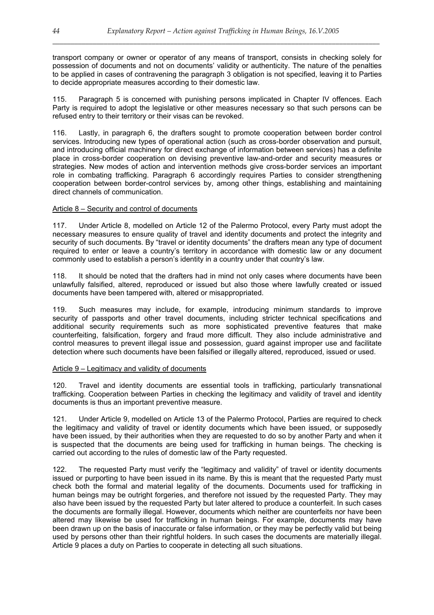transport company or owner or operator of any means of transport, consists in checking solely for possession of documents and not on documents' validity or authenticity. The nature of the penalties to be applied in cases of contravening the paragraph 3 obligation is not specified, leaving it to Parties to decide appropriate measures according to their domestic law.

*\_\_\_\_\_\_\_\_\_\_\_\_\_\_\_\_\_\_\_\_\_\_\_\_\_\_\_\_\_\_\_\_\_\_\_\_\_\_\_\_\_\_\_\_\_\_\_\_\_\_\_\_\_\_\_\_\_\_\_\_\_\_\_\_\_\_\_\_\_\_\_\_\_\_\_\_\_\_\_\_\_\_\_\_\_\_\_\_\_* 

115. Paragraph 5 is concerned with punishing persons implicated in Chapter IV offences. Each Party is required to adopt the legislative or other measures necessary so that such persons can be refused entry to their territory or their visas can be revoked.

116. Lastly, in paragraph 6, the drafters sought to promote cooperation between border control services. Introducing new types of operational action (such as cross-border observation and pursuit, and introducing official machinery for direct exchange of information between services) has a definite place in cross-border cooperation on devising preventive law-and-order and security measures or strategies. New modes of action and intervention methods give cross-border services an important role in combating trafficking. Paragraph 6 accordingly requires Parties to consider strengthening cooperation between border-control services by, among other things, establishing and maintaining direct channels of communication.

### Article 8 – Security and control of documents

117. Under Article 8, modelled on Article 12 of the Palermo Protocol, every Party must adopt the necessary measures to ensure quality of travel and identity documents and protect the integrity and security of such documents. By "travel or identity documents" the drafters mean any type of document required to enter or leave a country's territory in accordance with domestic law or any document commonly used to establish a person's identity in a country under that country's law.

118. It should be noted that the drafters had in mind not only cases where documents have been unlawfully falsified, altered, reproduced or issued but also those where lawfully created or issued documents have been tampered with, altered or misappropriated.

119. Such measures may include, for example, introducing minimum standards to improve security of passports and other travel documents, including stricter technical specifications and additional security requirements such as more sophisticated preventive features that make counterfeiting, falsification, forgery and fraud more difficult. They also include administrative and control measures to prevent illegal issue and possession, guard against improper use and facilitate detection where such documents have been falsified or illegally altered, reproduced, issued or used.

#### Article 9 – Legitimacy and validity of documents

120. Travel and identity documents are essential tools in trafficking, particularly transnational trafficking. Cooperation between Parties in checking the legitimacy and validity of travel and identity documents is thus an important preventive measure.

121. Under Article 9, modelled on Article 13 of the Palermo Protocol, Parties are required to check the legitimacy and validity of travel or identity documents which have been issued, or supposedly have been issued, by their authorities when they are requested to do so by another Party and when it is suspected that the documents are being used for trafficking in human beings. The checking is carried out according to the rules of domestic law of the Party requested.

122. The requested Party must verify the "legitimacy and validity" of travel or identity documents issued or purporting to have been issued in its name. By this is meant that the requested Party must check both the formal and material legality of the documents. Documents used for trafficking in human beings may be outright forgeries, and therefore not issued by the requested Party. They may also have been issued by the requested Party but later altered to produce a counterfeit. In such cases the documents are formally illegal. However, documents which neither are counterfeits nor have been altered may likewise be used for trafficking in human beings. For example, documents may have been drawn up on the basis of inaccurate or false information, or they may be perfectly valid but being used by persons other than their rightful holders. In such cases the documents are materially illegal. Article 9 places a duty on Parties to cooperate in detecting all such situations.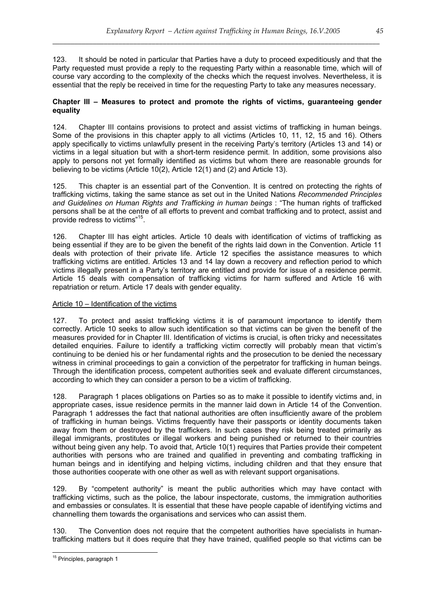123. It should be noted in particular that Parties have a duty to proceed expeditiously and that the Party requested must provide a reply to the requesting Party within a reasonable time, which will of course vary according to the complexity of the checks which the request involves. Nevertheless, it is essential that the reply be received in time for the requesting Party to take any measures necessary.

*\_\_\_\_\_\_\_\_\_\_\_\_\_\_\_\_\_\_\_\_\_\_\_\_\_\_\_\_\_\_\_\_\_\_\_\_\_\_\_\_\_\_\_\_\_\_\_\_\_\_\_\_\_\_\_\_\_\_\_\_\_\_\_\_\_\_\_\_\_\_\_\_\_\_\_\_\_\_\_\_\_\_\_\_\_\_\_\_\_* 

# **Chapter III – Measures to protect and promote the rights of victims, guaranteeing gender equality**

124. Chapter III contains provisions to protect and assist victims of trafficking in human beings. Some of the provisions in this chapter apply to all victims (Articles 10, 11, 12, 15 and 16). Others apply specifically to victims unlawfully present in the receiving Party's territory (Articles 13 and 14) or victims in a legal situation but with a short-term residence permit. In addition, some provisions also apply to persons not yet formally identified as victims but whom there are reasonable grounds for believing to be victims (Article 10(2), Article 12(1) and (2) and Article 13).

125. This chapter is an essential part of the Convention. It is centred on protecting the rights of trafficking victims, taking the same stance as set out in the United Nations *Recommended Principles*  and Guidelines on Human Rights and Trafficking in human beings : "The human rights of trafficked persons shall be at the centre of all efforts to prevent and combat trafficking and to protect, assist and provide redress to victims"15.

126. Chapter III has eight articles. Article 10 deals with identification of victims of trafficking as being essential if they are to be given the benefit of the rights laid down in the Convention. Article 11 deals with protection of their private life. Article 12 specifies the assistance measures to which trafficking victims are entitled. Articles 13 and 14 lay down a recovery and reflection period to which victims illegally present in a Party's territory are entitled and provide for issue of a residence permit. Article 15 deals with compensation of trafficking victims for harm suffered and Article 16 with repatriation or return. Article 17 deals with gender equality.

# Article 10 – Identification of the victims

127. To protect and assist trafficking victims it is of paramount importance to identify them correctly. Article 10 seeks to allow such identification so that victims can be given the benefit of the measures provided for in Chapter III. Identification of victims is crucial, is often tricky and necessitates detailed enquiries. Failure to identify a trafficking victim correctly will probably mean that victim's continuing to be denied his or her fundamental rights and the prosecution to be denied the necessary witness in criminal proceedings to gain a conviction of the perpetrator for trafficking in human beings. Through the identification process, competent authorities seek and evaluate different circumstances, according to which they can consider a person to be a victim of trafficking.

128. Paragraph 1 places obligations on Parties so as to make it possible to identify victims and, in appropriate cases, issue residence permits in the manner laid down in Article 14 of the Convention. Paragraph 1 addresses the fact that national authorities are often insufficiently aware of the problem of trafficking in human beings. Victims frequently have their passports or identity documents taken away from them or destroyed by the traffickers. In such cases they risk being treated primarily as illegal immigrants, prostitutes or illegal workers and being punished or returned to their countries without being given any help. To avoid that, Article 10(1) requires that Parties provide their competent authorities with persons who are trained and qualified in preventing and combating trafficking in human beings and in identifying and helping victims, including children and that they ensure that those authorities cooperate with one other as well as with relevant support organisations.

129. By "competent authority" is meant the public authorities which may have contact with trafficking victims, such as the police, the labour inspectorate, customs, the immigration authorities and embassies or consulates. It is essential that these have people capable of identifying victims and channelling them towards the organisations and services who can assist them.

130. The Convention does not require that the competent authorities have specialists in humantrafficking matters but it does require that they have trained, qualified people so that victims can be

l <sup>15</sup> Principles, paragraph 1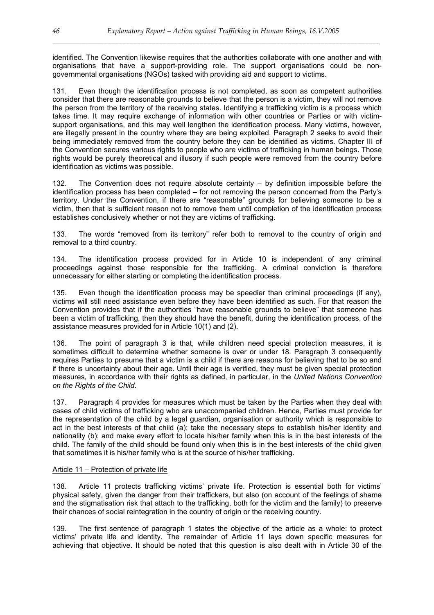identified. The Convention likewise requires that the authorities collaborate with one another and with organisations that have a support-providing role. The support organisations could be nongovernmental organisations (NGOs) tasked with providing aid and support to victims.

*\_\_\_\_\_\_\_\_\_\_\_\_\_\_\_\_\_\_\_\_\_\_\_\_\_\_\_\_\_\_\_\_\_\_\_\_\_\_\_\_\_\_\_\_\_\_\_\_\_\_\_\_\_\_\_\_\_\_\_\_\_\_\_\_\_\_\_\_\_\_\_\_\_\_\_\_\_\_\_\_\_\_\_\_\_\_\_\_\_* 

131. Even though the identification process is not completed, as soon as competent authorities consider that there are reasonable grounds to believe that the person is a victim, they will not remove the person from the territory of the receiving states. Identifying a trafficking victim is a process which takes time. It may require exchange of information with other countries or Parties or with victimsupport organisations, and this may well lengthen the identification process. Many victims, however, are illegally present in the country where they are being exploited. Paragraph 2 seeks to avoid their being immediately removed from the country before they can be identified as victims. Chapter III of the Convention secures various rights to people who are victims of trafficking in human beings. Those rights would be purely theoretical and illusory if such people were removed from the country before identification as victims was possible.

132. The Convention does not require absolute certainty – by definition impossible before the identification process has been completed – for not removing the person concerned from the Party's territory. Under the Convention, if there are "reasonable" grounds for believing someone to be a victim, then that is sufficient reason not to remove them until completion of the identification process establishes conclusively whether or not they are victims of trafficking.

133. The words "removed from its territory" refer both to removal to the country of origin and removal to a third country.

134. The identification process provided for in Article 10 is independent of any criminal proceedings against those responsible for the trafficking. A criminal conviction is therefore unnecessary for either starting or completing the identification process.

135. Even though the identification process may be speedier than criminal proceedings (if any), victims will still need assistance even before they have been identified as such. For that reason the Convention provides that if the authorities "have reasonable grounds to believe" that someone has been a victim of trafficking, then they should have the benefit, during the identification process, of the assistance measures provided for in Article 10(1) and (2).

136. The point of paragraph 3 is that, while children need special protection measures, it is sometimes difficult to determine whether someone is over or under 18. Paragraph 3 consequently requires Parties to presume that a victim is a child if there are reasons for believing that to be so and if there is uncertainty about their age. Until their age is verified, they must be given special protection measures, in accordance with their rights as defined, in particular, in the *United Nations Convention on the Rights of the Child*.

137. Paragraph 4 provides for measures which must be taken by the Parties when they deal with cases of child victims of trafficking who are unaccompanied children. Hence, Parties must provide for the representation of the child by a legal guardian, organisation or authority which is responsible to act in the best interests of that child (a); take the necessary steps to establish his/her identity and nationality (b); and make every effort to locate his/her family when this is in the best interests of the child. The family of the child should be found only when this is in the best interests of the child given that sometimes it is his/her family who is at the source of his/her trafficking.

#### Article 11 – Protection of private life

138. Article 11 protects trafficking victims' private life. Protection is essential both for victims' physical safety, given the danger from their traffickers, but also (on account of the feelings of shame and the stigmatisation risk that attach to the trafficking, both for the victim and the family) to preserve their chances of social reintegration in the country of origin or the receiving country.

139. The first sentence of paragraph 1 states the objective of the article as a whole: to protect victims' private life and identity. The remainder of Article 11 lays down specific measures for achieving that objective. It should be noted that this question is also dealt with in Article 30 of the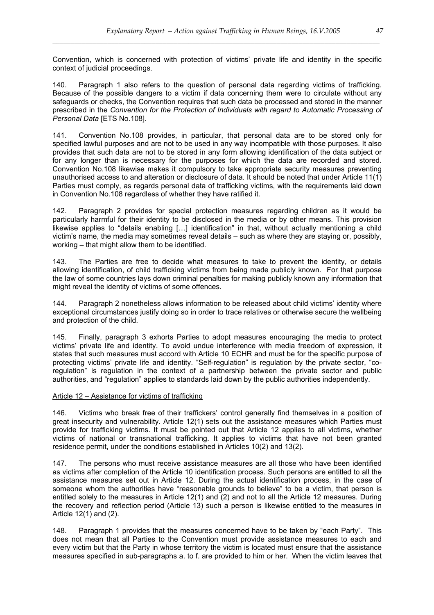Convention, which is concerned with protection of victims' private life and identity in the specific context of judicial proceedings.

*\_\_\_\_\_\_\_\_\_\_\_\_\_\_\_\_\_\_\_\_\_\_\_\_\_\_\_\_\_\_\_\_\_\_\_\_\_\_\_\_\_\_\_\_\_\_\_\_\_\_\_\_\_\_\_\_\_\_\_\_\_\_\_\_\_\_\_\_\_\_\_\_\_\_\_\_\_\_\_\_\_\_\_\_\_\_\_\_\_* 

140. Paragraph 1 also refers to the question of personal data regarding victims of trafficking. Because of the possible dangers to a victim if data concerning them were to circulate without any safeguards or checks, the Convention requires that such data be processed and stored in the manner prescribed in the *Convention for the Protection of Individuals with regard to Automatic Processing of Personal Data* [ETS No.108].

141. Convention No.108 provides, in particular, that personal data are to be stored only for specified lawful purposes and are not to be used in any way incompatible with those purposes. It also provides that such data are not to be stored in any form allowing identification of the data subject or for any longer than is necessary for the purposes for which the data are recorded and stored. Convention No.108 likewise makes it compulsory to take appropriate security measures preventing unauthorised access to and alteration or disclosure of data. It should be noted that under Article 11(1) Parties must comply, as regards personal data of trafficking victims, with the requirements laid down in Convention No.108 regardless of whether they have ratified it.

142. Paragraph 2 provides for special protection measures regarding children as it would be particularly harmful for their identity to be disclosed in the media or by other means. This provision likewise applies to "details enabling […] identification" in that, without actually mentioning a child victim's name, the media may sometimes reveal details – such as where they are staying or, possibly, working – that might allow them to be identified.

143. The Parties are free to decide what measures to take to prevent the identity, or details allowing identification, of child trafficking victims from being made publicly known. For that purpose the law of some countries lays down criminal penalties for making publicly known any information that might reveal the identity of victims of some offences.

144. Paragraph 2 nonetheless allows information to be released about child victims' identity where exceptional circumstances justify doing so in order to trace relatives or otherwise secure the wellbeing and protection of the child.

145. Finally, paragraph 3 exhorts Parties to adopt measures encouraging the media to protect victims' private life and identity. To avoid undue interference with media freedom of expression, it states that such measures must accord with Article 10 ECHR and must be for the specific purpose of protecting victims' private life and identity. "Self-regulation" is regulation by the private sector, "coregulation" is regulation in the context of a partnership between the private sector and public authorities, and "regulation" applies to standards laid down by the public authorities independently.

# Article 12 – Assistance for victims of trafficking

146. Victims who break free of their traffickers' control generally find themselves in a position of great insecurity and vulnerability. Article 12(1) sets out the assistance measures which Parties must provide for trafficking victims. It must be pointed out that Article 12 applies to all victims, whether victims of national or transnational trafficking. It applies to victims that have not been granted residence permit, under the conditions established in Articles 10(2) and 13(2).

147. The persons who must receive assistance measures are all those who have been identified as victims after completion of the Article 10 identification process. Such persons are entitled to all the assistance measures set out in Article 12. During the actual identification process, in the case of someone whom the authorities have "reasonable grounds to believe" to be a victim, that person is entitled solely to the measures in Article 12(1) and (2) and not to all the Article 12 measures. During the recovery and reflection period (Article 13) such a person is likewise entitled to the measures in Article 12(1) and (2).

148. Paragraph 1 provides that the measures concerned have to be taken by "each Party". This does not mean that all Parties to the Convention must provide assistance measures to each and every victim but that the Party in whose territory the victim is located must ensure that the assistance measures specified in sub-paragraphs a. to f. are provided to him or her. When the victim leaves that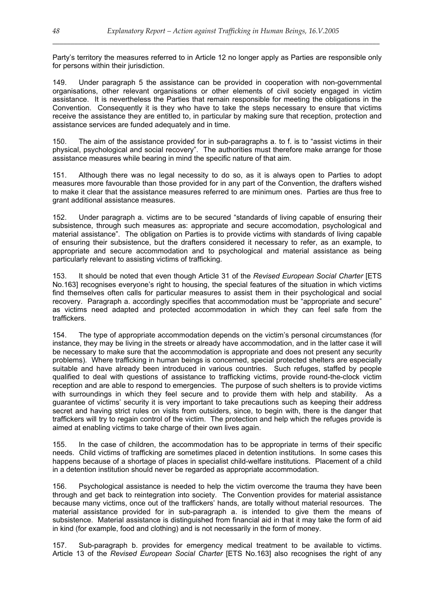Party's territory the measures referred to in Article 12 no longer apply as Parties are responsible only for persons within their jurisdiction.

*\_\_\_\_\_\_\_\_\_\_\_\_\_\_\_\_\_\_\_\_\_\_\_\_\_\_\_\_\_\_\_\_\_\_\_\_\_\_\_\_\_\_\_\_\_\_\_\_\_\_\_\_\_\_\_\_\_\_\_\_\_\_\_\_\_\_\_\_\_\_\_\_\_\_\_\_\_\_\_\_\_\_\_\_\_\_\_\_\_* 

149. Under paragraph 5 the assistance can be provided in cooperation with non-governmental organisations, other relevant organisations or other elements of civil society engaged in victim assistance. It is nevertheless the Parties that remain responsible for meeting the obligations in the Convention. Consequently it is they who have to take the steps necessary to ensure that victims receive the assistance they are entitled to, in particular by making sure that reception, protection and assistance services are funded adequately and in time.

150. The aim of the assistance provided for in sub-paragraphs a. to f. is to "assist victims in their physical, psychological and social recovery". The authorities must therefore make arrange for those assistance measures while bearing in mind the specific nature of that aim.

151. Although there was no legal necessity to do so, as it is always open to Parties to adopt measures more favourable than those provided for in any part of the Convention, the drafters wished to make it clear that the assistance measures referred to are minimum ones. Parties are thus free to grant additional assistance measures.

152. Under paragraph a. victims are to be secured "standards of living capable of ensuring their subsistence, through such measures as: appropriate and secure accomodation, psychological and material assistance". The obligation on Parties is to provide victims with standards of living capable of ensuring their subsistence, but the drafters considered it necessary to refer, as an example, to appropriate and secure accommodation and to psychological and material assistance as being particularly relevant to assisting victims of trafficking.

153. It should be noted that even though Article 31 of the *Revised European Social Charter* [ETS No.163] recognises everyone's right to housing, the special features of the situation in which victims find themselves often calls for particular measures to assist them in their psychological and social recovery. Paragraph a. accordingly specifies that accommodation must be "appropriate and secure" as victims need adapted and protected accommodation in which they can feel safe from the traffickers.

154. The type of appropriate accommodation depends on the victim's personal circumstances (for instance, they may be living in the streets or already have accommodation, and in the latter case it will be necessary to make sure that the accommodation is appropriate and does not present any security problems). Where trafficking in human beings is concerned, special protected shelters are especially suitable and have already been introduced in various countries. Such refuges, staffed by people qualified to deal with questions of assistance to trafficking victims, provide round-the-clock victim reception and are able to respond to emergencies. The purpose of such shelters is to provide victims with surroundings in which they feel secure and to provide them with help and stability. As a guarantee of victims' security it is very important to take precautions such as keeping their address secret and having strict rules on visits from outsiders, since, to begin with, there is the danger that traffickers will try to regain control of the victim. The protection and help which the refuges provide is aimed at enabling victims to take charge of their own lives again.

155. In the case of children, the accommodation has to be appropriate in terms of their specific needs. Child victims of trafficking are sometimes placed in detention institutions. In some cases this happens because of a shortage of places in specialist child-welfare institutions. Placement of a child in a detention institution should never be regarded as appropriate accommodation.

156. Psychological assistance is needed to help the victim overcome the trauma they have been through and get back to reintegration into society. The Convention provides for material assistance because many victims, once out of the traffickers' hands, are totally without material resources. The material assistance provided for in sub-paragraph a. is intended to give them the means of subsistence. Material assistance is distinguished from financial aid in that it may take the form of aid in kind (for example, food and clothing) and is not necessarily in the form of money.

157. Sub-paragraph b. provides for emergency medical treatment to be available to victims. Article 13 of the *Revised European Social Charter* [ETS No.163] also recognises the right of any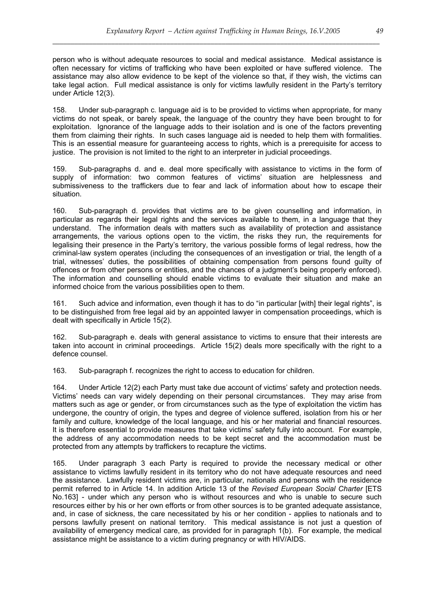person who is without adequate resources to social and medical assistance. Medical assistance is often necessary for victims of trafficking who have been exploited or have suffered violence. The assistance may also allow evidence to be kept of the violence so that, if they wish, the victims can take legal action. Full medical assistance is only for victims lawfully resident in the Party's territory under Article 12(3).

*\_\_\_\_\_\_\_\_\_\_\_\_\_\_\_\_\_\_\_\_\_\_\_\_\_\_\_\_\_\_\_\_\_\_\_\_\_\_\_\_\_\_\_\_\_\_\_\_\_\_\_\_\_\_\_\_\_\_\_\_\_\_\_\_\_\_\_\_\_\_\_\_\_\_\_\_\_\_\_\_\_\_\_\_\_\_\_\_\_* 

158. Under sub-paragraph c. language aid is to be provided to victims when appropriate, for many victims do not speak, or barely speak, the language of the country they have been brought to for exploitation. Ignorance of the language adds to their isolation and is one of the factors preventing them from claiming their rights. In such cases language aid is needed to help them with formalities. This is an essential measure for guaranteeing access to rights, which is a prerequisite for access to justice. The provision is not limited to the right to an interpreter in judicial proceedings.

159. Sub-paragraphs d. and e. deal more specifically with assistance to victims in the form of supply of information: two common features of victims' situation are helplessness and submissiveness to the traffickers due to fear and lack of information about how to escape their situation.

160. Sub-paragraph d. provides that victims are to be given counselling and information, in particular as regards their legal rights and the services available to them, in a language that they understand. The information deals with matters such as availability of protection and assistance arrangements, the various options open to the victim, the risks they run, the requirements for legalising their presence in the Party's territory, the various possible forms of legal redress, how the criminal-law system operates (including the consequences of an investigation or trial, the length of a trial, witnesses' duties, the possibilities of obtaining compensation from persons found guilty of offences or from other persons or entities, and the chances of a judgment's being properly enforced). The information and counselling should enable victims to evaluate their situation and make an informed choice from the various possibilities open to them.

161. Such advice and information, even though it has to do "in particular [with] their legal rights", is to be distinguished from free legal aid by an appointed lawyer in compensation proceedings, which is dealt with specifically in Article 15(2).

162. Sub-paragraph e. deals with general assistance to victims to ensure that their interests are taken into account in criminal proceedings. Article 15(2) deals more specifically with the right to a defence counsel.

163. Sub-paragraph f. recognizes the right to access to education for children.

164. Under Article 12(2) each Party must take due account of victims' safety and protection needs. Victims' needs can vary widely depending on their personal circumstances. They may arise from matters such as age or gender, or from circumstances such as the type of exploitation the victim has undergone, the country of origin, the types and degree of violence suffered, isolation from his or her family and culture, knowledge of the local language, and his or her material and financial resources. It is therefore essential to provide measures that take victims' safety fully into account. For example, the address of any accommodation needs to be kept secret and the accommodation must be protected from any attempts by traffickers to recapture the victims.

165. Under paragraph 3 each Party is required to provide the necessary medical or other assistance to victims lawfully resident in its territory who do not have adequate resources and need the assistance. Lawfully resident victims are, in particular, nationals and persons with the residence permit referred to in Article 14. In addition Article 13 of the *Revised European Social Charter* [ETS No.163] - under which any person who is without resources and who is unable to secure such resources either by his or her own efforts or from other sources is to be granted adequate assistance, and, in case of sickness, the care necessitated by his or her condition - applies to nationals and to persons lawfully present on national territory. This medical assistance is not just a question of availability of emergency medical care, as provided for in paragraph 1(b). For example, the medical assistance might be assistance to a victim during pregnancy or with HIV/AIDS.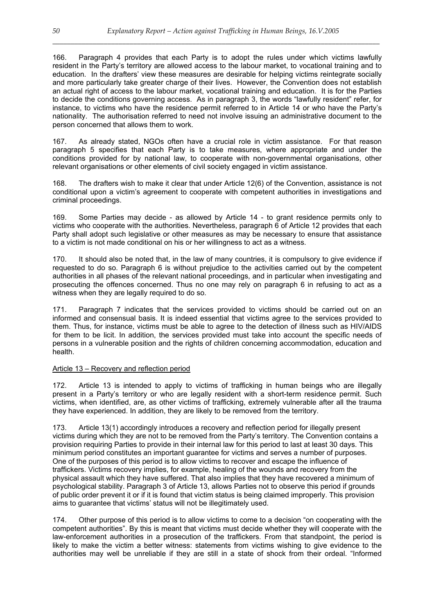166. Paragraph 4 provides that each Party is to adopt the rules under which victims lawfully resident in the Party's territory are allowed access to the labour market, to vocational training and to education. In the drafters' view these measures are desirable for helping victims reintegrate socially and more particularly take greater charge of their lives. However, the Convention does not establish an actual right of access to the labour market, vocational training and education. It is for the Parties to decide the conditions governing access. As in paragraph 3, the words "lawfully resident" refer, for instance, to victims who have the residence permit referred to in Article 14 or who have the Party's nationality. The authorisation referred to need not involve issuing an administrative document to the person concerned that allows them to work.

167. As already stated, NGOs often have a crucial role in victim assistance. For that reason paragraph 5 specifies that each Party is to take measures, where appropriate and under the conditions provided for by national law, to cooperate with non-governmental organisations, other relevant organisations or other elements of civil society engaged in victim assistance.

168. The drafters wish to make it clear that under Article 12(6) of the Convention, assistance is not conditional upon a victim's agreement to cooperate with competent authorities in investigations and criminal proceedings.

169. Some Parties may decide - as allowed by Article 14 - to grant residence permits only to victims who cooperate with the authorities. Nevertheless, paragraph 6 of Article 12 provides that each Party shall adopt such legislative or other measures as may be necessary to ensure that assistance to a victim is not made conditional on his or her willingness to act as a witness.

170. It should also be noted that, in the law of many countries, it is compulsory to give evidence if requested to do so. Paragraph 6 is without prejudice to the activities carried out by the competent authorities in all phases of the relevant national proceedings, and in particular when investigating and prosecuting the offences concerned. Thus no one may rely on paragraph 6 in refusing to act as a witness when they are legally required to do so.

171. Paragraph 7 indicates that the services provided to victims should be carried out on an informed and consensual basis. It is indeed essential that victims agree to the services provided to them. Thus, for instance, victims must be able to agree to the detection of illness such as HIV/AIDS for them to be licit. In addition, the services provided must take into account the specific needs of persons in a vulnerable position and the rights of children concerning accommodation, education and health.

## Article 13 – Recovery and reflection period

172. Article 13 is intended to apply to victims of trafficking in human beings who are illegally present in a Party's territory or who are legally resident with a short-term residence permit. Such victims, when identified, are, as other victims of trafficking, extremely vulnerable after all the trauma they have experienced. In addition, they are likely to be removed from the territory.

173. Article 13(1) accordingly introduces a recovery and reflection period for illegally present victims during which they are not to be removed from the Party's territory. The Convention contains a provision requiring Parties to provide in their internal law for this period to last at least 30 days. This minimum period constitutes an important guarantee for victims and serves a number of purposes. One of the purposes of this period is to allow victims to recover and escape the influence of traffickers. Victims recovery implies, for example, healing of the wounds and recovery from the physical assault which they have suffered. That also implies that they have recovered a minimum of psychological stability. Paragraph 3 of Article 13, allows Parties not to observe this period if grounds of public order prevent it or if it is found that victim status is being claimed improperly. This provision aims to guarantee that victims' status will not be illegitimately used.

174. Other purpose of this period is to allow victims to come to a decision "on cooperating with the competent authorities". By this is meant that victims must decide whether they will cooperate with the law-enforcement authorities in a prosecution of the traffickers. From that standpoint, the period is likely to make the victim a better witness: statements from victims wishing to give evidence to the authorities may well be unreliable if they are still in a state of shock from their ordeal. "Informed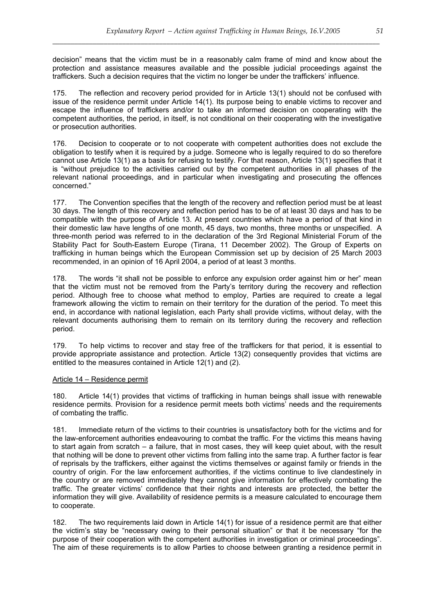decision" means that the victim must be in a reasonably calm frame of mind and know about the protection and assistance measures available and the possible judicial proceedings against the traffickers. Such a decision requires that the victim no longer be under the traffickers' influence.

*\_\_\_\_\_\_\_\_\_\_\_\_\_\_\_\_\_\_\_\_\_\_\_\_\_\_\_\_\_\_\_\_\_\_\_\_\_\_\_\_\_\_\_\_\_\_\_\_\_\_\_\_\_\_\_\_\_\_\_\_\_\_\_\_\_\_\_\_\_\_\_\_\_\_\_\_\_\_\_\_\_\_\_\_\_\_\_\_\_* 

175. The reflection and recovery period provided for in Article 13(1) should not be confused with issue of the residence permit under Article 14(1). Its purpose being to enable victims to recover and escape the influence of traffickers and/or to take an informed decision on cooperating with the competent authorities, the period, in itself, is not conditional on their cooperating with the investigative or prosecution authorities.

176. Decision to cooperate or to not cooperate with competent authorities does not exclude the obligation to testify when it is required by a judge. Someone who is legally required to do so therefore cannot use Article 13(1) as a basis for refusing to testify. For that reason, Article 13(1) specifies that it is "without prejudice to the activities carried out by the competent authorities in all phases of the relevant national proceedings, and in particular when investigating and prosecuting the offences concerned."

177. The Convention specifies that the length of the recovery and reflection period must be at least 30 days. The length of this recovery and reflection period has to be of at least 30 days and has to be compatible with the purpose of Article 13. At present countries which have a period of that kind in their domestic law have lengths of one month, 45 days, two months, three months or unspecified. A three-month period was referred to in the declaration of the 3rd Regional Ministerial Forum of the Stability Pact for South-Eastern Europe (Tirana, 11 December 2002). The Group of Experts on trafficking in human beings which the European Commission set up by decision of 25 March 2003 recommended, in an opinion of 16 April 2004, a period of at least 3 months.

178. The words "it shall not be possible to enforce any expulsion order against him or her" mean that the victim must not be removed from the Party's territory during the recovery and reflection period. Although free to choose what method to employ, Parties are required to create a legal framework allowing the victim to remain on their territory for the duration of the period. To meet this end, in accordance with national legislation, each Party shall provide victims, without delay, with the relevant documents authorising them to remain on its territory during the recovery and reflection period.

179. To help victims to recover and stay free of the traffickers for that period, it is essential to provide appropriate assistance and protection. Article 13(2) consequently provides that victims are entitled to the measures contained in Article 12(1) and (2).

## Article 14 – Residence permit

180. Article 14(1) provides that victims of trafficking in human beings shall issue with renewable residence permits. Provision for a residence permit meets both victims' needs and the requirements of combating the traffic.

181. Immediate return of the victims to their countries is unsatisfactory both for the victims and for the law-enforcement authorities endeavouring to combat the traffic. For the victims this means having to start again from scratch – a failure, that in most cases, they will keep quiet about, with the result that nothing will be done to prevent other victims from falling into the same trap. A further factor is fear of reprisals by the traffickers, either against the victims themselves or against family or friends in the country of origin. For the law enforcement authorities, if the victims continue to live clandestinely in the country or are removed immediately they cannot give information for effectively combating the traffic. The greater victims' confidence that their rights and interests are protected, the better the information they will give. Availability of residence permits is a measure calculated to encourage them to cooperate.

182. The two requirements laid down in Article 14(1) for issue of a residence permit are that either the victim's stay be "necessary owing to their personal situation" or that it be necessary "for the purpose of their cooperation with the competent authorities in investigation or criminal proceedings". The aim of these requirements is to allow Parties to choose between granting a residence permit in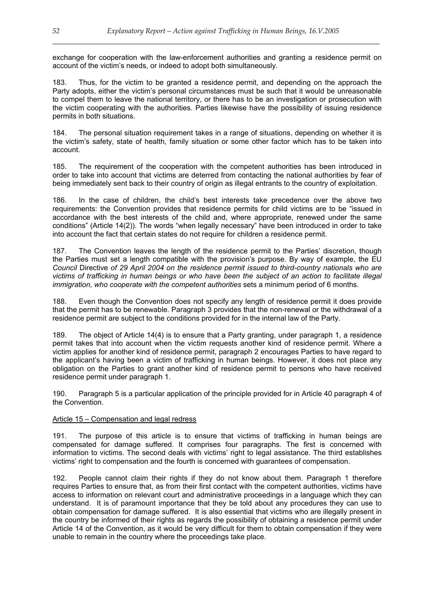exchange for cooperation with the law-enforcement authorities and granting a residence permit on account of the victim's needs, or indeed to adopt both simultaneously.

*\_\_\_\_\_\_\_\_\_\_\_\_\_\_\_\_\_\_\_\_\_\_\_\_\_\_\_\_\_\_\_\_\_\_\_\_\_\_\_\_\_\_\_\_\_\_\_\_\_\_\_\_\_\_\_\_\_\_\_\_\_\_\_\_\_\_\_\_\_\_\_\_\_\_\_\_\_\_\_\_\_\_\_\_\_\_\_\_\_* 

183. Thus, for the victim to be granted a residence permit, and depending on the approach the Party adopts, either the victim's personal circumstances must be such that it would be unreasonable to compel them to leave the national territory, or there has to be an investigation or prosecution with the victim cooperating with the authorities. Parties likewise have the possibility of issuing residence permits in both situations.

184. The personal situation requirement takes in a range of situations, depending on whether it is the victim's safety, state of health, family situation or some other factor which has to be taken into account.

185. The requirement of the cooperation with the competent authorities has been introduced in order to take into account that victims are deterred from contacting the national authorities by fear of being immediately sent back to their country of origin as illegal entrants to the country of exploitation.

186. In the case of children, the child's best interests take precedence over the above two requirements: the Convention provides that residence permits for child victims are to be "issued in accordance with the best interests of the child and, where appropriate, renewed under the same conditions" (Article 14(2)). The words "when legally necessary" have been introduced in order to take into account the fact that certain states do not require for children a residence permit.

187. The Convention leaves the length of the residence permit to the Parties' discretion, though the Parties must set a length compatible with the provision's purpose. By way of example, the EU *Council* Directive *of 29 April 2004 on the residence permit issued to third-country nationals who are victims of trafficking in human beings or who have been the subject of an action to facilitate illegal immigration, who cooperate with the competent authorities* sets a minimum period of 6 months.

188. Even though the Convention does not specify any length of residence permit it does provide that the permit has to be renewable. Paragraph 3 provides that the non-renewal or the withdrawal of a residence permit are subject to the conditions provided for in the internal law of the Party.

189. The object of Article 14(4) is to ensure that a Party granting, under paragraph 1, a residence permit takes that into account when the victim requests another kind of residence permit. Where a victim applies for another kind of residence permit, paragraph 2 encourages Parties to have regard to the applicant's having been a victim of trafficking in human beings. However, it does not place any obligation on the Parties to grant another kind of residence permit to persons who have received residence permit under paragraph 1.

190. Paragraph 5 is a particular application of the principle provided for in Article 40 paragraph 4 of the Convention.

## Article 15 – Compensation and legal redress

191. The purpose of this article is to ensure that victims of trafficking in human beings are compensated for damage suffered. It comprises four paragraphs. The first is concerned with information to victims. The second deals with victims' right to legal assistance. The third establishes victims' right to compensation and the fourth is concerned with guarantees of compensation.

192. People cannot claim their rights if they do not know about them. Paragraph 1 therefore requires Parties to ensure that, as from their first contact with the competent authorities, victims have access to information on relevant court and administrative proceedings in a language which they can understand. It is of paramount importance that they be told about any procedures they can use to obtain compensation for damage suffered. It is also essential that victims who are illegally present in the country be informed of their rights as regards the possibility of obtaining a residence permit under Article 14 of the Convention, as it would be very difficult for them to obtain compensation if they were unable to remain in the country where the proceedings take place.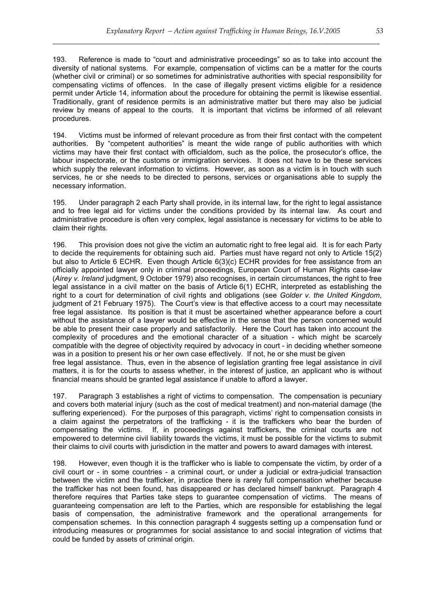193. Reference is made to "court and administrative proceedings" so as to take into account the diversity of national systems. For example, compensation of victims can be a matter for the courts (whether civil or criminal) or so sometimes for administrative authorities with special responsibility for compensating victims of offences. In the case of illegally present victims eligible for a residence permit under Article 14, information about the procedure for obtaining the permit is likewise essential. Traditionally, grant of residence permits is an administrative matter but there may also be judicial review by means of appeal to the courts. It is important that victims be informed of all relevant procedures.

194. Victims must be informed of relevant procedure as from their first contact with the competent authorities. By "competent authorities" is meant the wide range of public authorities with which victims may have their first contact with officialdom, such as the police, the prosecutor's office, the labour inspectorate, or the customs or immigration services. It does not have to be these services which supply the relevant information to victims. However, as soon as a victim is in touch with such services, he or she needs to be directed to persons, services or organisations able to supply the necessary information.

195. Under paragraph 2 each Party shall provide, in its internal law, for the right to legal assistance and to free legal aid for victims under the conditions provided by its internal law. As court and administrative procedure is often very complex, legal assistance is necessary for victims to be able to claim their rights.

196. This provision does not give the victim an automatic right to free legal aid. It is for each Party to decide the requirements for obtaining such aid. Parties must have regard not only to Article 15(2) but also to Article 6 ECHR. Even though Article 6(3)(c) ECHR provides for free assistance from an officially appointed lawyer only in criminal proceedings, European Court of Human Rights case-law (*Airey v. Ireland* judgment, 9 October 1979) also recognises, in certain circumstances, the right to free legal assistance in a civil matter on the basis of Article 6(1) ECHR, interpreted as establishing the right to a court for determination of civil rights and obligations (see *Golder v. the United Kingdom*, judgment of 21 February 1975). The Court's view is that effective access to a court may necessitate free legal assistance. Its position is that it must be ascertained whether appearance before a court without the assistance of a lawyer would be effective in the sense that the person concerned would be able to present their case properly and satisfactorily. Here the Court has taken into account the complexity of procedures and the emotional character of a situation - which might be scarcely compatible with the degree of objectivity required by advocacy in court - in deciding whether someone was in a position to present his or her own case effectively. If not, he or she must be given free legal assistance. Thus, even in the absence of legislation granting free legal assistance in civil matters, it is for the courts to assess whether, in the interest of justice, an applicant who is without financial means should be granted legal assistance if unable to afford a lawyer.

197. Paragraph 3 establishes a right of victims to compensation. The compensation is pecuniary and covers both material injury (such as the cost of medical treatment) and non-material damage (the suffering experienced). For the purposes of this paragraph, victims' right to compensation consists in a claim against the perpetrators of the trafficking - it is the traffickers who bear the burden of compensating the victims. If, in proceedings against traffickers, the criminal courts are not empowered to determine civil liability towards the victims, it must be possible for the victims to submit their claims to civil courts with jurisdiction in the matter and powers to award damages with interest.

198. However, even though it is the trafficker who is liable to compensate the victim, by order of a civil court or - in some countries - a criminal court, or under a judicial or extra-judicial transaction between the victim and the trafficker, in practice there is rarely full compensation whether because the trafficker has not been found, has disappeared or has declared himself bankrupt. Paragraph 4 therefore requires that Parties take steps to guarantee compensation of victims. The means of guaranteeing compensation are left to the Parties, which are responsible for establishing the legal basis of compensation, the administrative framework and the operational arrangements for compensation schemes. In this connection paragraph 4 suggests setting up a compensation fund or introducing measures or programmes for social assistance to and social integration of victims that could be funded by assets of criminal origin.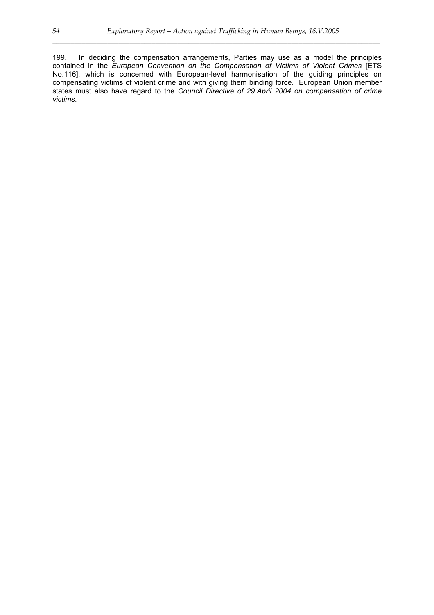199. In deciding the compensation arrangements, Parties may use as a model the principles contained in the *European Convention on the Compensation of Victims of Violent Crimes* [ETS No.116], which is concerned with European-level harmonisation of the guiding principles on compensating victims of violent crime and with giving them binding force. European Union member states must also have regard to the *Council Directive of 29 April 2004 on compensation of crime victims*.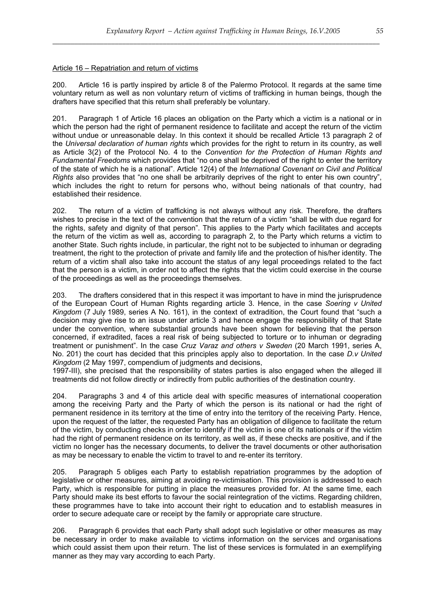### Article 16 – Repatriation and return of victims

200. Article 16 is partly inspired by article 8 of the Palermo Protocol. It regards at the same time voluntary return as well as non voluntary return of victims of trafficking in human beings, though the drafters have specified that this return shall preferably be voluntary.

201. Paragraph 1 of Article 16 places an obligation on the Party which a victim is a national or in which the person had the right of permanent residence to facilitate and accept the return of the victim without undue or unreasonable delay. In this context it should be recalled Article 13 paragraph 2 of the *Universal declaration of human rights* which provides for the right to return in its country, as well as Article 3(2) of the Protocol No. 4 to the *Convention for the Protection of Human Rights and Fundamental Freedoms* which provides that "no one shall be deprived of the right to enter the territory of the state of which he is a national". Article 12(4) of the *International Covenant on Civil and Political Rights* also provides that "no one shall be arbitrarily deprives of the right to enter his own country", which includes the right to return for persons who, without being nationals of that country, had established their residence.

202. The return of a victim of trafficking is not always without any risk. Therefore, the drafters wishes to precise in the text of the convention that the return of a victim "shall be with due regard for the rights, safety and dignity of that person". This applies to the Party which facilitates and accepts the return of the victim as well as, according to paragraph 2, to the Party which returns a victim to another State. Such rights include, in particular, the right not to be subjected to inhuman or degrading treatment, the right to the protection of private and family life and the protection of his/her identity. The return of a victim shall also take into account the status of any legal proceedings related to the fact that the person is a victim, in order not to affect the rights that the victim could exercise in the course of the proceedings as well as the proceedings themselves.

203. The drafters considered that in this respect it was important to have in mind the jurisprudence of the European Court of Human Rights regarding article 3. Hence, in the case *Soering v United Kingdom* (7 July 1989, series A No. 161), in the context of extradition, the Court found that "such a decision may give rise to an issue under article 3 and hence engage the responsibility of that State under the convention, where substantial grounds have been shown for believing that the person concerned, if extradited, faces a real risk of being subjected to torture or to inhuman or degrading treatment or punishment". In the case *Cruz Varaz and others v Sweden* (20 March 1991, series A, No. 201) the court has decided that this principles apply also to deportation. In the case *D.v United Kingdom* (2 May 1997, compendium of judgments and decisions,

1997-III), she precised that the responsibility of states parties is also engaged when the alleged ill treatments did not follow directly or indirectly from public authorities of the destination country.

204. Paragraphs 3 and 4 of this article deal with specific measures of international cooperation among the receiving Party and the Party of which the person is its national or had the right of permanent residence in its territory at the time of entry into the territory of the receiving Party. Hence, upon the request of the latter, the requested Party has an obligation of diligence to facilitate the return of the victim, by conducting checks in order to identify if the victim is one of its nationals or if the victim had the right of permanent residence on its territory, as well as, if these checks are positive, and if the victim no longer has the necessary documents, to deliver the travel documents or other authorisation as may be necessary to enable the victim to travel to and re-enter its territory.

205. Paragraph 5 obliges each Party to establish repatriation programmes by the adoption of legislative or other measures, aiming at avoiding re-victimisation. This provision is addressed to each Party, which is responsible for putting in place the measures provided for. At the same time, each Party should make its best efforts to favour the social reintegration of the victims. Regarding children, these programmes have to take into account their right to education and to establish measures in order to secure adequate care or receipt by the family or appropriate care structure.

206. Paragraph 6 provides that each Party shall adopt such legislative or other measures as may be necessary in order to make available to victims information on the services and organisations which could assist them upon their return. The list of these services is formulated in an exemplifying manner as they may vary according to each Party.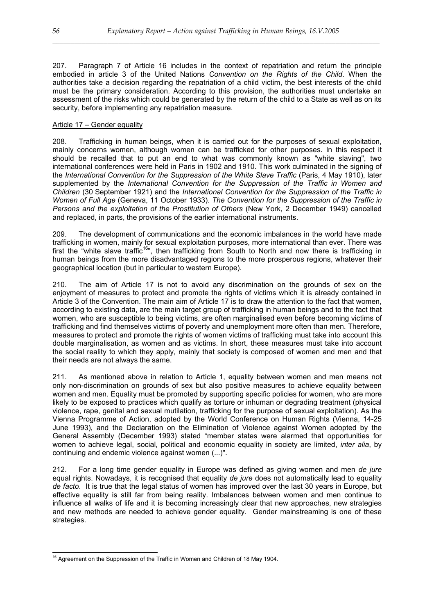207. Paragraph 7 of Article 16 includes in the context of repatriation and return the principle embodied in article 3 of the United Nations *Convention on the Rights of the Child*. When the authorities take a decision regarding the repatriation of a child victim, the best interests of the child must be the primary consideration. According to this provision, the authorities must undertake an assessment of the risks which could be generated by the return of the child to a State as well as on its security, before implementing any repatriation measure.

# Article 17 – Gender equality

208. Trafficking in human beings, when it is carried out for the purposes of sexual exploitation, mainly concerns women, although women can be trafficked for other purposes. In this respect it should be recalled that to put an end to what was commonly known as "white slaving", two international conferences were held in Paris in 1902 and 1910. This work culminated in the signing of the *International Convention for the Suppression of the White Slave Traffic* (Paris, 4 May 1910), later supplemented by the *International Convention for the Suppression of the Traffic in Women and Children* (30 September 1921) and the *International Convention for the Suppression of the Traffic in Women of Full Age* (Geneva, 11 October 1933). *The Convention for the Suppression of the Traffic in Persons and the exploitation of the Prostitution of Others* (New York, 2 December 1949) cancelled and replaced, in parts, the provisions of the earlier international instruments.

209. The development of communications and the economic imbalances in the world have made trafficking in women, mainly for sexual exploitation purposes, more international than ever. There was first the "white slave traffic<sup>16</sup>", then trafficking from South to North and now there is trafficking in human beings from the more disadvantaged regions to the more prosperous regions, whatever their geographical location (but in particular to western Europe).

210. The aim of Article 17 is not to avoid any discrimination on the grounds of sex on the enjoyment of measures to protect and promote the rights of victims which it is already contained in Article 3 of the Convention. The main aim of Article 17 is to draw the attention to the fact that women, according to existing data, are the main target group of trafficking in human beings and to the fact that women, who are susceptible to being victims, are often marginalised even before becoming victims of trafficking and find themselves victims of poverty and unemployment more often than men. Therefore, measures to protect and promote the rights of women victims of trafficking must take into account this double marginalisation, as women and as victims. In short, these measures must take into account the social reality to which they apply, mainly that society is composed of women and men and that their needs are not always the same.

211. As mentioned above in relation to Article 1, equality between women and men means not only non-discrimination on grounds of sex but also positive measures to achieve equality between women and men. Equality must be promoted by supporting specific policies for women, who are more likely to be exposed to practices which qualify as torture or inhuman or degrading treatment (physical violence, rape, genital and sexual mutilation, trafficking for the purpose of sexual exploitation). As the Vienna Programme of Action, adopted by the World Conference on Human Rights (Vienna, 14-25 June 1993), and the Declaration on the Elimination of Violence against Women adopted by the General Assembly (December 1993) stated "member states were alarmed that opportunities for women to achieve legal, social, political and economic equality in society are limited, *inter alia*, by continuing and endemic violence against women (...)".

212. For a long time gender equality in Europe was defined as giving women and men *de jure* equal rights. Nowadays, it is recognised that equality *de jure* does not automatically lead to equality *de facto*. It is true that the legal status of women has improved over the last 30 years in Europe, but effective equality is still far from being reality. Imbalances between women and men continue to influence all walks of life and it is becoming increasingly clear that new approaches, new strategies and new methods are needed to achieve gender equality. Gender mainstreaming is one of these strategies.

l <sup>16</sup> Agreement on the Suppression of the Traffic in Women and Children of 18 May 1904.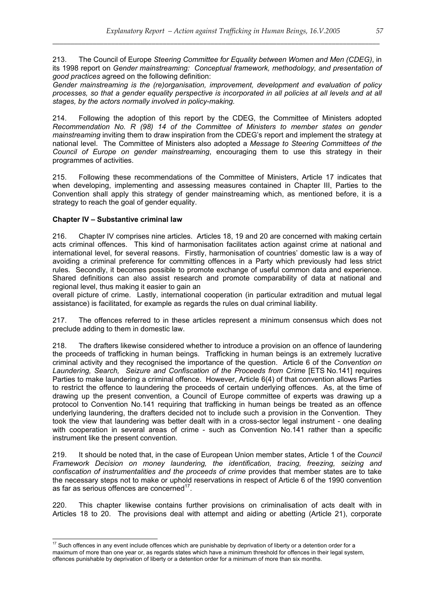213. The Council of Europe *Steering Committee for Equality between Women and Men (CDEG)*, in its 1998 report on *Gender mainstreaming: Conceptual framework, methodology, and presentation of good practices* agreed on the following definition:

*\_\_\_\_\_\_\_\_\_\_\_\_\_\_\_\_\_\_\_\_\_\_\_\_\_\_\_\_\_\_\_\_\_\_\_\_\_\_\_\_\_\_\_\_\_\_\_\_\_\_\_\_\_\_\_\_\_\_\_\_\_\_\_\_\_\_\_\_\_\_\_\_\_\_\_\_\_\_\_\_\_\_\_\_\_\_\_\_\_* 

*Gender mainstreaming is the (re)organisation, improvement, development and evaluation of policy*  processes, so that a gender equality perspective is incorporated in all policies at all levels and at all *stages, by the actors normally involved in policy-making.* 

214. Following the adoption of this report by the CDEG, the Committee of Ministers adopted *Recommendation No. R (98) 14 of the Committee of Ministers to member states on gender mainstreaming* inviting them to draw inspiration from the CDEG's report and implement the strategy at national level. The Committee of Ministers also adopted a *Message to Steering Committees of the Council of Europe on gender mainstreaming*, encouraging them to use this strategy in their programmes of activities.

215. Following these recommendations of the Committee of Ministers, Article 17 indicates that when developing, implementing and assessing measures contained in Chapter III, Parties to the Convention shall apply this strategy of gender mainstreaming which, as mentioned before, it is a strategy to reach the goal of gender equality.

## **Chapter IV – Substantive criminal law**

216. Chapter IV comprises nine articles. Articles 18, 19 and 20 are concerned with making certain acts criminal offences. This kind of harmonisation facilitates action against crime at national and international level, for several reasons. Firstly, harmonisation of countries' domestic law is a way of avoiding a criminal preference for committing offences in a Party which previously had less strict rules. Secondly, it becomes possible to promote exchange of useful common data and experience. Shared definitions can also assist research and promote comparability of data at national and regional level, thus making it easier to gain an

overall picture of crime. Lastly, international cooperation (in particular extradition and mutual legal assistance) is facilitated, for example as regards the rules on dual criminal liability.

217. The offences referred to in these articles represent a minimum consensus which does not preclude adding to them in domestic law.

218. The drafters likewise considered whether to introduce a provision on an offence of laundering the proceeds of trafficking in human beings. Trafficking in human beings is an extremely lucrative criminal activity and they recognised the importance of the question. Article 6 of the *Convention on*  Laundering, Search, Seizure and Confiscation of the Proceeds from Crime [ETS No.141] requires Parties to make laundering a criminal offence. However, Article 6(4) of that convention allows Parties to restrict the offence to laundering the proceeds of certain underlying offences. As, at the time of drawing up the present convention, a Council of Europe committee of experts was drawing up a protocol to Convention No.141 requiring that trafficking in human beings be treated as an offence underlying laundering, the drafters decided not to include such a provision in the Convention. They took the view that laundering was better dealt with in a cross-sector legal instrument - one dealing with cooperation in several areas of crime - such as Convention No.141 rather than a specific instrument like the present convention.

219. It should be noted that, in the case of European Union member states, Article 1 of the *Council Framework Decision on money laundering, the identification, tracing, freezing, seizing and confiscation of instrumentalities and the proceeds of crime* provides that member states are to take the necessary steps not to make or uphold reservations in respect of Article 6 of the 1990 convention as far as serious offences are concerned<sup>17</sup>.

220. This chapter likewise contains further provisions on criminalisation of acts dealt with in Articles 18 to 20. The provisions deal with attempt and aiding or abetting (Article 21), corporate

l  $17$  Such offences in any event include offences which are punishable by deprivation of liberty or a detention order for a maximum of more than one year or, as regards states which have a minimum threshold for offences in their legal system, offences punishable by deprivation of liberty or a detention order for a minimum of more than six months.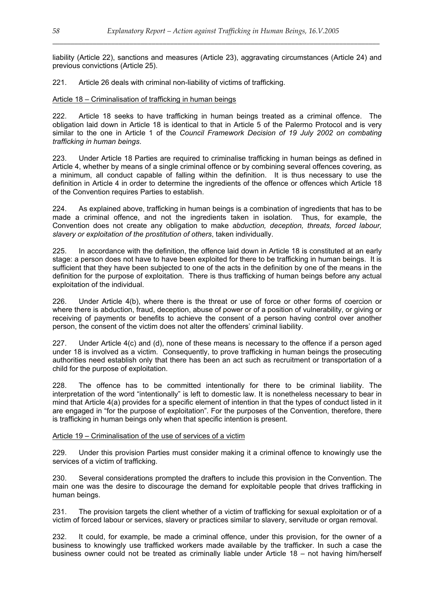liability (Article 22), sanctions and measures (Article 23), aggravating circumstances (Article 24) and previous convictions (Article 25).

*\_\_\_\_\_\_\_\_\_\_\_\_\_\_\_\_\_\_\_\_\_\_\_\_\_\_\_\_\_\_\_\_\_\_\_\_\_\_\_\_\_\_\_\_\_\_\_\_\_\_\_\_\_\_\_\_\_\_\_\_\_\_\_\_\_\_\_\_\_\_\_\_\_\_\_\_\_\_\_\_\_\_\_\_\_\_\_\_\_* 

221. Article 26 deals with criminal non-liability of victims of trafficking.

### Article 18 – Criminalisation of trafficking in human beings

222. Article 18 seeks to have trafficking in human beings treated as a criminal offence. The obligation laid down in Article 18 is identical to that in Article 5 of the Palermo Protocol and is very similar to the one in Article 1 of the *Council Framework Decision of 19 July 2002 on combating trafficking in human beings*.

223. Under Article 18 Parties are required to criminalise trafficking in human beings as defined in Article 4, whether by means of a single criminal offence or by combining several offences covering, as a minimum, all conduct capable of falling within the definition. It is thus necessary to use the definition in Article 4 in order to determine the ingredients of the offence or offences which Article 18 of the Convention requires Parties to establish.

224. As explained above, trafficking in human beings is a combination of ingredients that has to be made a criminal offence, and not the ingredients taken in isolation. Thus, for example, the Convention does not create any obligation to make *abduction, deception, threats, forced labour, slavery or exploitation of the prostitution of others*, taken individually.

225. In accordance with the definition, the offence laid down in Article 18 is constituted at an early stage: a person does not have to have been exploited for there to be trafficking in human beings. It is sufficient that they have been subjected to one of the acts in the definition by one of the means in the definition for the purpose of exploitation. There is thus trafficking of human beings before any actual exploitation of the individual.

226. Under Article 4(b), where there is the threat or use of force or other forms of coercion or where there is abduction, fraud, deception, abuse of power or of a position of vulnerability, or giving or receiving of payments or benefits to achieve the consent of a person having control over another person, the consent of the victim does not alter the offenders' criminal liability.

227. Under Article 4(c) and (d), none of these means is necessary to the offence if a person aged under 18 is involved as a victim. Consequently, to prove trafficking in human beings the prosecuting authorities need establish only that there has been an act such as recruitment or transportation of a child for the purpose of exploitation.

228. The offence has to be committed intentionally for there to be criminal liability. The interpretation of the word "intentionally" is left to domestic law. It is nonetheless necessary to bear in mind that Article 4(a) provides for a specific element of intention in that the types of conduct listed in it are engaged in "for the purpose of exploitation". For the purposes of the Convention, therefore, there is trafficking in human beings only when that specific intention is present.

#### Article 19 – Criminalisation of the use of services of a victim

229. Under this provision Parties must consider making it a criminal offence to knowingly use the services of a victim of trafficking.

230. Several considerations prompted the drafters to include this provision in the Convention. The main one was the desire to discourage the demand for exploitable people that drives trafficking in human beings.

231. The provision targets the client whether of a victim of trafficking for sexual exploitation or of a victim of forced labour or services, slavery or practices similar to slavery, servitude or organ removal.

232. It could, for example, be made a criminal offence, under this provision, for the owner of a business to knowingly use trafficked workers made available by the trafficker. In such a case the business owner could not be treated as criminally liable under Article 18 – not having him/herself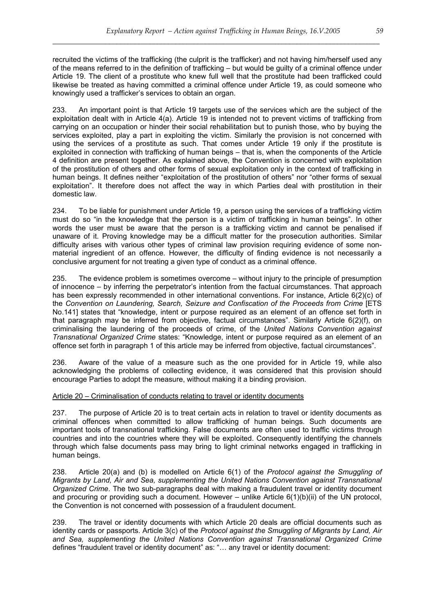recruited the victims of the trafficking (the culprit is the trafficker) and not having him/herself used any of the means referred to in the definition of trafficking – but would be guilty of a criminal offence under Article 19. The client of a prostitute who knew full well that the prostitute had been trafficked could likewise be treated as having committed a criminal offence under Article 19, as could someone who knowingly used a trafficker's services to obtain an organ.

*\_\_\_\_\_\_\_\_\_\_\_\_\_\_\_\_\_\_\_\_\_\_\_\_\_\_\_\_\_\_\_\_\_\_\_\_\_\_\_\_\_\_\_\_\_\_\_\_\_\_\_\_\_\_\_\_\_\_\_\_\_\_\_\_\_\_\_\_\_\_\_\_\_\_\_\_\_\_\_\_\_\_\_\_\_\_\_\_\_* 

233. An important point is that Article 19 targets use of the services which are the subject of the exploitation dealt with in Article 4(a). Article 19 is intended not to prevent victims of trafficking from carrying on an occupation or hinder their social rehabilitation but to punish those, who by buying the services exploited, play a part in exploiting the victim. Similarly the provision is not concerned with using the services of a prostitute as such. That comes under Article 19 only if the prostitute is exploited in connection with trafficking of human beings – that is, when the components of the Article 4 definition are present together. As explained above, the Convention is concerned with exploitation of the prostitution of others and other forms of sexual exploitation only in the context of trafficking in human beings. It defines neither "exploitation of the prostitution of others" nor "other forms of sexual exploitation". It therefore does not affect the way in which Parties deal with prostitution in their domestic law.

234. To be liable for punishment under Article 19, a person using the services of a trafficking victim must do so "in the knowledge that the person is a victim of trafficking in human beings". In other words the user must be aware that the person is a trafficking victim and cannot be penalised if unaware of it. Proving knowledge may be a difficult matter for the prosecution authorities. Similar difficulty arises with various other types of criminal law provision requiring evidence of some nonmaterial ingredient of an offence. However, the difficulty of finding evidence is not necessarily a conclusive argument for not treating a given type of conduct as a criminal offence.

235. The evidence problem is sometimes overcome – without injury to the principle of presumption of innocence – by inferring the perpetrator's intention from the factual circumstances. That approach has been expressly recommended in other international conventions. For instance, Article 6(2)(c) of the *Convention on Laundering, Search, Seizure and Confiscation of the Proceeds from Crime* [ETS No.141] states that "knowledge, intent or purpose required as an element of an offence set forth in that paragraph may be inferred from objective, factual circumstances". Similarly Article 6(2)(f), on criminalising the laundering of the proceeds of crime, of the *United Nations Convention against Transnational Organized Crime* states: "Knowledge, intent or purpose required as an element of an offence set forth in paragraph 1 of this article may be inferred from objective, factual circumstances".

236. Aware of the value of a measure such as the one provided for in Article 19, while also acknowledging the problems of collecting evidence, it was considered that this provision should encourage Parties to adopt the measure, without making it a binding provision.

# Article 20 – Criminalisation of conducts relating to travel or identity documents

237. The purpose of Article 20 is to treat certain acts in relation to travel or identity documents as criminal offences when committed to allow trafficking of human beings. Such documents are important tools of transnational trafficking. False documents are often used to traffic victims through countries and into the countries where they will be exploited. Consequently identifying the channels through which false documents pass may bring to light criminal networks engaged in trafficking in human beings.

238. Article 20(a) and (b) is modelled on Article 6(1) of the *Protocol against the Smuggling of Migrants by Land, Air and Sea, supplementing the United Nations Convention against Transnational Organized Crime*. The two sub-paragraphs deal with making a fraudulent travel or identity document and procuring or providing such a document. However – unlike Article  $6(1)(b)(ii)$  of the UN protocol, the Convention is not concerned with possession of a fraudulent document.

239. The travel or identity documents with which Article 20 deals are official documents such as identity cards or passports. Article 3(c) of the *Protocol against the Smuggling of Migrants by Land, Air and Sea, supplementing the United Nations Convention against Transnational Organized Crime* defines "fraudulent travel or identity document" as: "… any travel or identity document: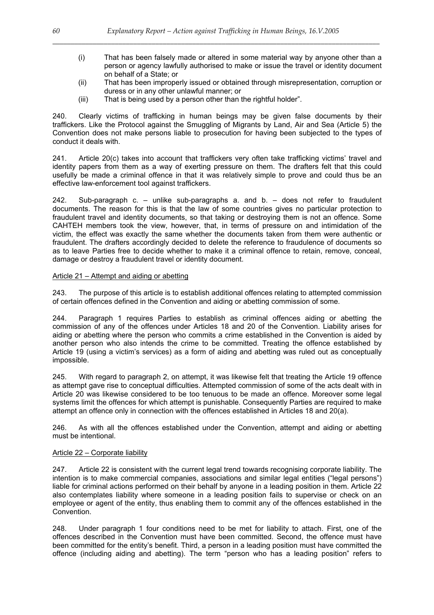- (i) That has been falsely made or altered in some material way by anyone other than a person or agency lawfully authorised to make or issue the travel or identity document on behalf of a State; or
- (ii) That has been improperly issued or obtained through misrepresentation, corruption or duress or in any other unlawful manner; or
- (iii) That is being used by a person other than the rightful holder".

240. Clearly victims of trafficking in human beings may be given false documents by their traffickers. Like the Protocol against the Smuggling of Migrants by Land, Air and Sea (Article 5) the Convention does not make persons liable to prosecution for having been subjected to the types of conduct it deals with.

241. Article 20(c) takes into account that traffickers very often take trafficking victims' travel and identity papers from them as a way of exerting pressure on them. The drafters felt that this could usefully be made a criminal offence in that it was relatively simple to prove and could thus be an effective law-enforcement tool against traffickers.

242. Sub-paragraph c. – unlike sub-paragraphs a. and b. – does not refer to fraudulent documents. The reason for this is that the law of some countries gives no particular protection to fraudulent travel and identity documents, so that taking or destroying them is not an offence. Some CAHTEH members took the view, however, that, in terms of pressure on and intimidation of the victim, the effect was exactly the same whether the documents taken from them were authentic or fraudulent. The drafters accordingly decided to delete the reference to fraudulence of documents so as to leave Parties free to decide whether to make it a criminal offence to retain, remove, conceal, damage or destroy a fraudulent travel or identity document.

### Article 21 – Attempt and aiding or abetting

243. The purpose of this article is to establish additional offences relating to attempted commission of certain offences defined in the Convention and aiding or abetting commission of some.

244. Paragraph 1 requires Parties to establish as criminal offences aiding or abetting the commission of any of the offences under Articles 18 and 20 of the Convention. Liability arises for aiding or abetting where the person who commits a crime established in the Convention is aided by another person who also intends the crime to be committed. Treating the offence established by Article 19 (using a victim's services) as a form of aiding and abetting was ruled out as conceptually impossible.

245. With regard to paragraph 2, on attempt, it was likewise felt that treating the Article 19 offence as attempt gave rise to conceptual difficulties. Attempted commission of some of the acts dealt with in Article 20 was likewise considered to be too tenuous to be made an offence. Moreover some legal systems limit the offences for which attempt is punishable. Consequently Parties are required to make attempt an offence only in connection with the offences established in Articles 18 and 20(a).

246. As with all the offences established under the Convention, attempt and aiding or abetting must be intentional.

## Article 22 – Corporate liability

247. Article 22 is consistent with the current legal trend towards recognising corporate liability. The intention is to make commercial companies, associations and similar legal entities ("legal persons") liable for criminal actions performed on their behalf by anyone in a leading position in them. Article 22 also contemplates liability where someone in a leading position fails to supervise or check on an employee or agent of the entity, thus enabling them to commit any of the offences established in the Convention.

248. Under paragraph 1 four conditions need to be met for liability to attach. First, one of the offences described in the Convention must have been committed. Second, the offence must have been committed for the entity's benefit. Third, a person in a leading position must have committed the offence (including aiding and abetting). The term "person who has a leading position" refers to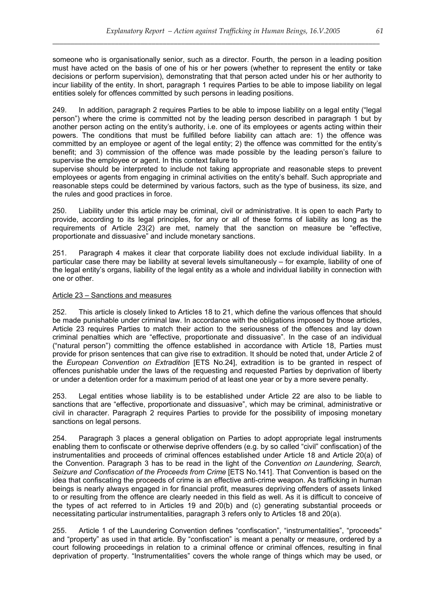someone who is organisationally senior, such as a director. Fourth, the person in a leading position must have acted on the basis of one of his or her powers (whether to represent the entity or take decisions or perform supervision), demonstrating that that person acted under his or her authority to incur liability of the entity. In short, paragraph 1 requires Parties to be able to impose liability on legal entities solely for offences committed by such persons in leading positions.

*\_\_\_\_\_\_\_\_\_\_\_\_\_\_\_\_\_\_\_\_\_\_\_\_\_\_\_\_\_\_\_\_\_\_\_\_\_\_\_\_\_\_\_\_\_\_\_\_\_\_\_\_\_\_\_\_\_\_\_\_\_\_\_\_\_\_\_\_\_\_\_\_\_\_\_\_\_\_\_\_\_\_\_\_\_\_\_\_\_* 

249. In addition, paragraph 2 requires Parties to be able to impose liability on a legal entity ("legal person") where the crime is committed not by the leading person described in paragraph 1 but by another person acting on the entity's authority, i.e. one of its employees or agents acting within their powers. The conditions that must be fulfilled before liability can attach are: 1) the offence was committed by an employee or agent of the legal entity; 2) the offence was committed for the entity's benefit; and 3) commission of the offence was made possible by the leading person's failure to supervise the employee or agent. In this context failure to

supervise should be interpreted to include not taking appropriate and reasonable steps to prevent employees or agents from engaging in criminal activities on the entity's behalf. Such appropriate and reasonable steps could be determined by various factors, such as the type of business, its size, and the rules and good practices in force.

250. Liability under this article may be criminal, civil or administrative. It is open to each Party to provide, according to its legal principles, for any or all of these forms of liability as long as the requirements of Article 23(2) are met, namely that the sanction on measure be "effective, proportionate and dissuasive" and include monetary sanctions.

251. Paragraph 4 makes it clear that corporate liability does not exclude individual liability. In a particular case there may be liability at several levels simultaneously – for example, liability of one of the legal entity's organs, liability of the legal entity as a whole and individual liability in connection with one or other.

### Article 23 – Sanctions and measures

252. This article is closely linked to Articles 18 to 21, which define the various offences that should be made punishable under criminal law. In accordance with the obligations imposed by those articles, Article 23 requires Parties to match their action to the seriousness of the offences and lay down criminal penalties which are "effective, proportionate and dissuasive". In the case of an individual ("natural person") committing the offence established in accordance with Article 18, Parties must provide for prison sentences that can give rise to extradition. It should be noted that, under Article 2 of the *European Convention on Extradition* [ETS No.24], extradition is to be granted in respect of offences punishable under the laws of the requesting and requested Parties by deprivation of liberty or under a detention order for a maximum period of at least one year or by a more severe penalty.

253. Legal entities whose liability is to be established under Article 22 are also to be liable to sanctions that are "effective, proportionate and dissuasive", which may be criminal, administrative or civil in character. Paragraph 2 requires Parties to provide for the possibility of imposing monetary sanctions on legal persons.

254. Paragraph 3 places a general obligation on Parties to adopt appropriate legal instruments enabling them to confiscate or otherwise deprive offenders (e.g. by so called "civil" confiscation) of the instrumentalities and proceeds of criminal offences established under Article 18 and Article 20(a) of the Convention. Paragraph 3 has to be read in the light of the *Convention on Laundering, Search, Seizure and Confiscation of the Proceeds from Crime* [ETS No.141]. That Convention is based on the idea that confiscating the proceeds of crime is an effective anti-crime weapon. As trafficking in human beings is nearly always engaged in for financial profit, measures depriving offenders of assets linked to or resulting from the offence are clearly needed in this field as well. As it is difficult to conceive of the types of act referred to in Articles 19 and 20(b) and (c) generating substantial proceeds or necessitating particular instrumentalities, paragraph 3 refers only to Articles 18 and 20(a).

255. Article 1 of the Laundering Convention defines "confiscation", "instrumentalities", "proceeds" and "property" as used in that article. By "confiscation" is meant a penalty or measure, ordered by a court following proceedings in relation to a criminal offence or criminal offences, resulting in final deprivation of property. "Instrumentalities" covers the whole range of things which may be used, or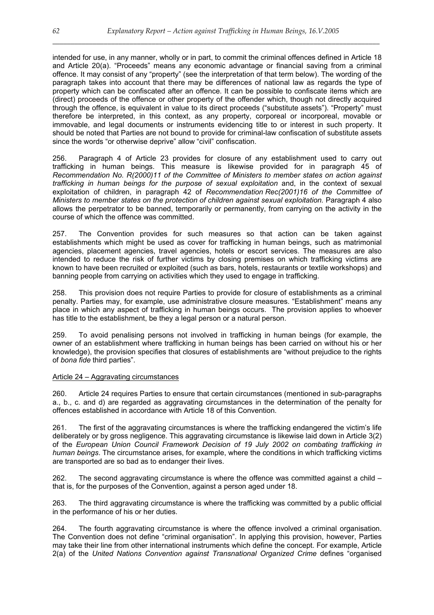intended for use, in any manner, wholly or in part, to commit the criminal offences defined in Article 18 and Article 20(a). "Proceeds" means any economic advantage or financial saving from a criminal offence. It may consist of any "property" (see the interpretation of that term below). The wording of the paragraph takes into account that there may be differences of national law as regards the type of property which can be confiscated after an offence. It can be possible to confiscate items which are (direct) proceeds of the offence or other property of the offender which, though not directly acquired through the offence, is equivalent in value to its direct proceeds ("substitute assets"). "Property" must therefore be interpreted, in this context, as any property, corporeal or incorporeal, movable or immovable, and legal documents or instruments evidencing title to or interest in such property. It should be noted that Parties are not bound to provide for criminal-law confiscation of substitute assets since the words "or otherwise deprive" allow "civil" confiscation.

256. Paragraph 4 of Article 23 provides for closure of any establishment used to carry out trafficking in human beings. This measure is likewise provided for in paragraph 45 of *Recommendation No. R(2000)11 of the Committee of Ministers to member states on action against trafficking in human beings for the purpose of sexual exploitation* and, in the context of sexual exploitation of children, in paragraph 42 of *Recommendation Rec(2001)16 of the Committee of Ministers to member states on the protection of children against sexual exploitation.* Paragraph 4 also allows the perpetrator to be banned, temporarily or permanently, from carrying on the activity in the course of which the offence was committed.

257. The Convention provides for such measures so that action can be taken against establishments which might be used as cover for trafficking in human beings, such as matrimonial agencies, placement agencies, travel agencies, hotels or escort services. The measures are also intended to reduce the risk of further victims by closing premises on which trafficking victims are known to have been recruited or exploited (such as bars, hotels, restaurants or textile workshops) and banning people from carrying on activities which they used to engage in trafficking.

258. This provision does not require Parties to provide for closure of establishments as a criminal penalty. Parties may, for example, use administrative closure measures. "Establishment" means any place in which any aspect of trafficking in human beings occurs. The provision applies to whoever has title to the establishment, be they a legal person or a natural person.

259. To avoid penalising persons not involved in trafficking in human beings (for example, the owner of an establishment where trafficking in human beings has been carried on without his or her knowledge), the provision specifies that closures of establishments are "without prejudice to the rights of *bona fide* third parties".

## Article 24 – Aggravating circumstances

260. Article 24 requires Parties to ensure that certain circumstances (mentioned in sub-paragraphs a., b., c. and d) are regarded as aggravating circumstances in the determination of the penalty for offences established in accordance with Article 18 of this Convention.

261. The first of the aggravating circumstances is where the trafficking endangered the victim's life deliberately or by gross negligence. This aggravating circumstance is likewise laid down in Article 3(2) of the *European Union Council Framework Decision of 19 July 2002 on combating trafficking in human beings*. The circumstance arises, for example, where the conditions in which trafficking victims are transported are so bad as to endanger their lives.

262. The second aggravating circumstance is where the offence was committed against a child – that is, for the purposes of the Convention, against a person aged under 18.

263. The third aggravating circumstance is where the trafficking was committed by a public official in the performance of his or her duties.

264. The fourth aggravating circumstance is where the offence involved a criminal organisation. The Convention does not define "criminal organisation". In applying this provision, however, Parties may take their line from other international instruments which define the concept. For example, Article 2(a) of the *United Nations Convention against Transnational Organized Crime* defines "organised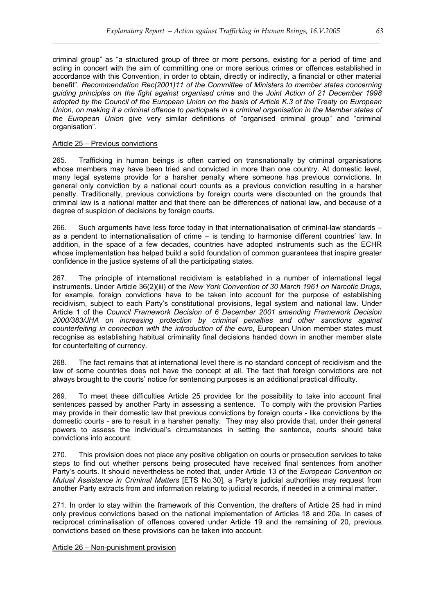criminal group" as "a structured group of three or more persons, existing for a period of time and acting in concert with the aim of committing one or more serious crimes or offences established in accordance with this Convention, in order to obtain, directly or indirectly, a financial or other material benefit". *Recommendation Rec(2001)11 of the Committee of Ministers to member states concerning guiding principles on the fight against organised crime* and the *Joint Action of 21 December 1998 adopted by the Council of the European Union on the basis of Article K.3 of the Treaty on European Union, on making it a criminal offence to participate in a criminal organisation in the Member states of the European Union* give very similar definitions of "organised criminal group" and "criminal organisation".

### Article 25 – Previous convictions

265. Trafficking in human beings is often carried on transnationally by criminal organisations whose members may have been tried and convicted in more than one country. At domestic level, many legal systems provide for a harsher penalty where someone has previous convictions. In general only conviction by a national court counts as a previous conviction resulting in a harsher penalty. Traditionally, previous convictions by foreign courts were discounted on the grounds that criminal law is a national matter and that there can be differences of national law, and because of a degree of suspicion of decisions by foreign courts.

266. Such arguments have less force today in that internationalisation of criminal-law standards – as a pendent to internationalisation of crime – is tending to harmonise different countries' law. In addition, in the space of a few decades, countries have adopted instruments such as the ECHR whose implementation has helped build a solid foundation of common guarantees that inspire greater confidence in the justice systems of all the participating states.

267. The principle of international recidivism is established in a number of international legal instruments. Under Article 36(2)(iii) of the *New York Convention of 30 March 1961 on Narcotic Drugs*, for example, foreign convictions have to be taken into account for the purpose of establishing recidivism, subject to each Party's constitutional provisions, legal system and national law. Under Article 1 of the *Council Framework Decision of 6 December 2001 amending Framework Decision 2000/383/JHA on increasing protection by criminal penalties and other sanctions against counterfeiting in connection with the introduction of the euro*, European Union member states must recognise as establishing habitual criminality final decisions handed down in another member state for counterfeiting of currency.

268. The fact remains that at international level there is no standard concept of recidivism and the law of some countries does not have the concept at all. The fact that foreign convictions are not always brought to the courts' notice for sentencing purposes is an additional practical difficulty.

269. To meet these difficulties Article 25 provides for the possibility to take into account final sentences passed by another Party in assessing a sentence. To comply with the provision Parties may provide in their domestic law that previous convictions by foreign courts - like convictions by the domestic courts - are to result in a harsher penalty. They may also provide that, under their general powers to assess the individual's circumstances in setting the sentence, courts should take convictions into account.

270. This provision does not place any positive obligation on courts or prosecution services to take steps to find out whether persons being prosecuted have received final sentences from another Party's courts. It should nevertheless be noted that, under Article 13 of the *European Convention on Mutual Assistance in Criminal Matters* [ETS No.30], a Party's judicial authorities may request from another Party extracts from and information relating to judicial records, if needed in a criminal matter.

271. In order to stay within the framework of this Convention, the drafters of Article 25 had in mind only previous convictions based on the national implementation of Articles 18 and 20a. In cases of reciprocal criminalisation of offences covered under Article 19 and the remaining of 20, previous convictions based on these provisions can be taken into account.

#### Article 26 – Non-punishment provision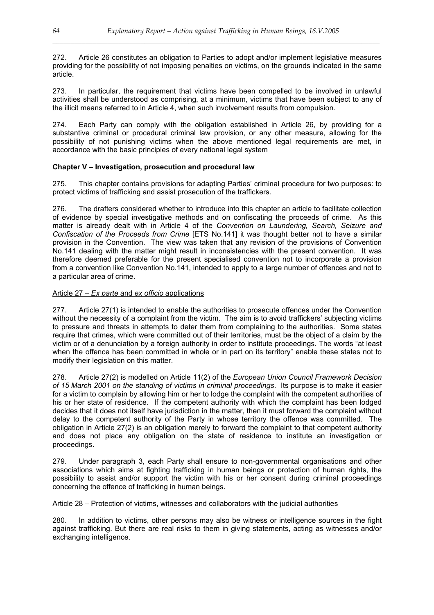272. Article 26 constitutes an obligation to Parties to adopt and/or implement legislative measures providing for the possibility of not imposing penalties on victims, on the grounds indicated in the same article.

*\_\_\_\_\_\_\_\_\_\_\_\_\_\_\_\_\_\_\_\_\_\_\_\_\_\_\_\_\_\_\_\_\_\_\_\_\_\_\_\_\_\_\_\_\_\_\_\_\_\_\_\_\_\_\_\_\_\_\_\_\_\_\_\_\_\_\_\_\_\_\_\_\_\_\_\_\_\_\_\_\_\_\_\_\_\_\_\_\_* 

273. In particular, the requirement that victims have been compelled to be involved in unlawful activities shall be understood as comprising, at a minimum, victims that have been subject to any of the illicit means referred to in Article 4, when such involvement results from compulsion.

274. Each Party can comply with the obligation established in Article 26, by providing for a substantive criminal or procedural criminal law provision, or any other measure, allowing for the possibility of not punishing victims when the above mentioned legal requirements are met, in accordance with the basic principles of every national legal system

# **Chapter V – Investigation, prosecution and procedural law**

275. This chapter contains provisions for adapting Parties' criminal procedure for two purposes: to protect victims of trafficking and assist prosecution of the traffickers.

276. The drafters considered whether to introduce into this chapter an article to facilitate collection of evidence by special investigative methods and on confiscating the proceeds of crime. As this matter is already dealt with in Article 4 of the *Convention on Laundering, Search, Seizure and Confiscation of the Proceeds from Crime* [ETS No.141] it was thought better not to have a similar provision in the Convention. The view was taken that any revision of the provisions of Convention No.141 dealing with the matter might result in inconsistencies with the present convention. It was therefore deemed preferable for the present specialised convention not to incorporate a provision from a convention like Convention No.141, intended to apply to a large number of offences and not to a particular area of crime.

# Article 27 – *Ex parte* and *ex officio* applications

277. Article 27(1) is intended to enable the authorities to prosecute offences under the Convention without the necessity of a complaint from the victim. The aim is to avoid traffickers' subjecting victims to pressure and threats in attempts to deter them from complaining to the authorities. Some states require that crimes, which were committed out of their territories, must be the object of a claim by the victim or of a denunciation by a foreign authority in order to institute proceedings. The words "at least when the offence has been committed in whole or in part on its territory" enable these states not to modify their legislation on this matter.

278. Article 27(2) is modelled on Article 11(2) of the *European Union Council Framework Decision of 15 March 2001 on the standing of victims in criminal proceedings*. Its purpose is to make it easier for a victim to complain by allowing him or her to lodge the complaint with the competent authorities of his or her state of residence. If the competent authority with which the complaint has been lodged decides that it does not itself have jurisdiction in the matter, then it must forward the complaint without delay to the competent authority of the Party in whose territory the offence was committed. The obligation in Article 27(2) is an obligation merely to forward the complaint to that competent authority and does not place any obligation on the state of residence to institute an investigation or proceedings.

279. Under paragraph 3, each Party shall ensure to non-governmental organisations and other associations which aims at fighting trafficking in human beings or protection of human rights, the possibility to assist and/or support the victim with his or her consent during criminal proceedings concerning the offence of trafficking in human beings.

## Article 28 – Protection of victims, witnesses and collaborators with the judicial authorities

280. In addition to victims, other persons may also be witness or intelligence sources in the fight against trafficking. But there are real risks to them in giving statements, acting as witnesses and/or exchanging intelligence.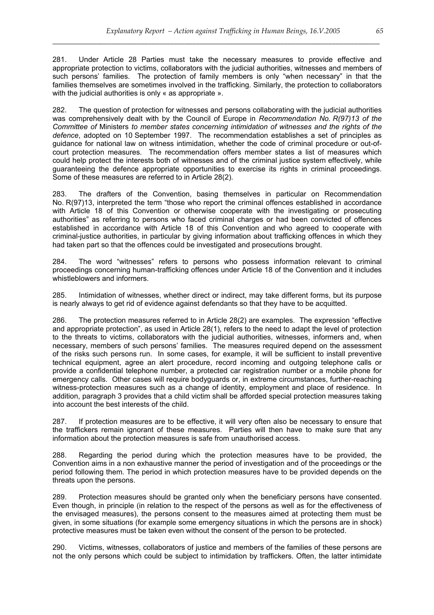281. Under Article 28 Parties must take the necessary measures to provide effective and appropriate protection to victims, collaborators with the judicial authorities, witnesses and members of such persons' families. The protection of family members is only "when necessary" in that the families themselves are sometimes involved in the trafficking. Similarly, the protection to collaborators with the judicial authorities is only « as appropriate ».

*\_\_\_\_\_\_\_\_\_\_\_\_\_\_\_\_\_\_\_\_\_\_\_\_\_\_\_\_\_\_\_\_\_\_\_\_\_\_\_\_\_\_\_\_\_\_\_\_\_\_\_\_\_\_\_\_\_\_\_\_\_\_\_\_\_\_\_\_\_\_\_\_\_\_\_\_\_\_\_\_\_\_\_\_\_\_\_\_\_* 

282. The question of protection for witnesses and persons collaborating with the judicial authorities was comprehensively dealt with by the Council of Europe in *Recommendation No. R(97)13 of the Committee of* Ministers *to member states concerning intimidation of witnesses and the rights of the defence*, adopted on 10 September 1997. The recommendation establishes a set of principles as guidance for national law on witness intimidation, whether the code of criminal procedure or out-ofcourt protection measures. The recommendation offers member states a list of measures which could help protect the interests both of witnesses and of the criminal justice system effectively, while guaranteeing the defence appropriate opportunities to exercise its rights in criminal proceedings. Some of these measures are referred to in Article 28(2).

283. The drafters of the Convention, basing themselves in particular on Recommendation No. R(97)13, interpreted the term "those who report the criminal offences established in accordance with Article 18 of this Convention or otherwise cooperate with the investigating or prosecuting authorities" as referring to persons who faced criminal charges or had been convicted of offences established in accordance with Article 18 of this Convention and who agreed to cooperate with criminal-justice authorities, in particular by giving information about trafficking offences in which they had taken part so that the offences could be investigated and prosecutions brought.

284. The word "witnesses" refers to persons who possess information relevant to criminal proceedings concerning human-trafficking offences under Article 18 of the Convention and it includes whistleblowers and informers.

285. Intimidation of witnesses, whether direct or indirect, may take different forms, but its purpose is nearly always to get rid of evidence against defendants so that they have to be acquitted.

286. The protection measures referred to in Article 28(2) are examples. The expression "effective and appropriate protection", as used in Article 28(1), refers to the need to adapt the level of protection to the threats to victims, collaborators with the judicial authorities, witnesses, informers and, when necessary, members of such persons' families. The measures required depend on the assessment of the risks such persons run. In some cases, for example, it will be sufficient to install preventive technical equipment, agree an alert procedure, record incoming and outgoing telephone calls or provide a confidential telephone number, a protected car registration number or a mobile phone for emergency calls. Other cases will require bodyguards or, in extreme circumstances, further-reaching witness-protection measures such as a change of identity, employment and place of residence. In addition, paragraph 3 provides that a child victim shall be afforded special protection measures taking into account the best interests of the child.

287. If protection measures are to be effective, it will very often also be necessary to ensure that the traffickers remain ignorant of these measures. Parties will then have to make sure that any information about the protection measures is safe from unauthorised access.

288. Regarding the period during which the protection measures have to be provided, the Convention aims in a non exhaustive manner the period of investigation and of the proceedings or the period following them. The period in which protection measures have to be provided depends on the threats upon the persons.

289. Protection measures should be granted only when the beneficiary persons have consented. Even though, in principle (in relation to the respect of the persons as well as for the effectiveness of the envisaged measures), the persons consent to the measures aimed at protecting them must be given, in some situations (for example some emergency situations in which the persons are in shock) protective measures must be taken even without the consent of the person to be protected.

290. Victims, witnesses, collaborators of justice and members of the families of these persons are not the only persons which could be subject to intimidation by traffickers. Often, the latter intimidate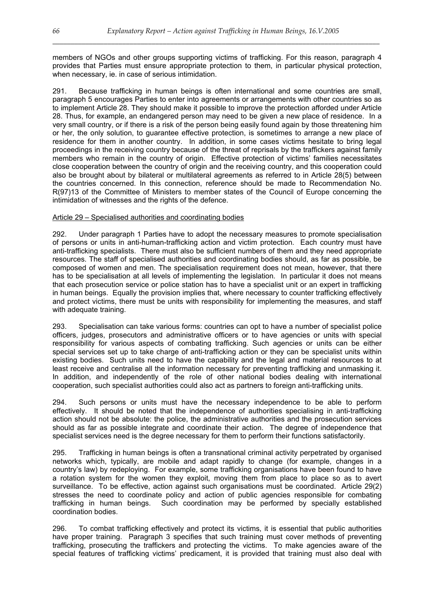members of NGOs and other groups supporting victims of trafficking. For this reason, paragraph 4 provides that Parties must ensure appropriate protection to them, in particular physical protection, when necessary, ie. in case of serious intimidation.

*\_\_\_\_\_\_\_\_\_\_\_\_\_\_\_\_\_\_\_\_\_\_\_\_\_\_\_\_\_\_\_\_\_\_\_\_\_\_\_\_\_\_\_\_\_\_\_\_\_\_\_\_\_\_\_\_\_\_\_\_\_\_\_\_\_\_\_\_\_\_\_\_\_\_\_\_\_\_\_\_\_\_\_\_\_\_\_\_\_* 

291. Because trafficking in human beings is often international and some countries are small, paragraph 5 encourages Parties to enter into agreements or arrangements with other countries so as to implement Article 28. They should make it possible to improve the protection afforded under Article 28. Thus, for example, an endangered person may need to be given a new place of residence. In a very small country, or if there is a risk of the person being easily found again by those threatening him or her, the only solution, to guarantee effective protection, is sometimes to arrange a new place of residence for them in another country. In addition, in some cases victims hesitate to bring legal proceedings in the receiving country because of the threat of reprisals by the traffickers against family members who remain in the country of origin. Effective protection of victims' families necessitates close cooperation between the country of origin and the receiving country, and this cooperation could also be brought about by bilateral or multilateral agreements as referred to in Article 28(5) between the countries concerned. In this connection, reference should be made to Recommendation No. R(97)13 of the Committee of Ministers to member states of the Council of Europe concerning the intimidation of witnesses and the rights of the defence.

### Article 29 – Specialised authorities and coordinating bodies

292. Under paragraph 1 Parties have to adopt the necessary measures to promote specialisation of persons or units in anti-human-trafficking action and victim protection. Each country must have anti-trafficking specialists. There must also be sufficient numbers of them and they need appropriate resources. The staff of specialised authorities and coordinating bodies should, as far as possible, be composed of women and men. The specialisation requirement does not mean, however, that there has to be specialisation at all levels of implementing the legislation. In particular it does not means that each prosecution service or police station has to have a specialist unit or an expert in trafficking in human beings. Equally the provision implies that, where necessary to counter trafficking effectively and protect victims, there must be units with responsibility for implementing the measures, and staff with adequate training.

293. Specialisation can take various forms: countries can opt to have a number of specialist police officers, judges, prosecutors and administrative officers or to have agencies or units with special responsibility for various aspects of combating trafficking. Such agencies or units can be either special services set up to take charge of anti-trafficking action or they can be specialist units within existing bodies. Such units need to have the capability and the legal and material resources to at least receive and centralise all the information necessary for preventing trafficking and unmasking it. In addition, and independently of the role of other national bodies dealing with international cooperation, such specialist authorities could also act as partners to foreign anti-trafficking units.

294. Such persons or units must have the necessary independence to be able to perform effectively. It should be noted that the independence of authorities specialising in anti-trafficking action should not be absolute: the police, the administrative authorities and the prosecution services should as far as possible integrate and coordinate their action. The degree of independence that specialist services need is the degree necessary for them to perform their functions satisfactorily.

295. Trafficking in human beings is often a transnational criminal activity perpetrated by organised networks which, typically, are mobile and adapt rapidly to change (for example, changes in a country's law) by redeploying. For example, some trafficking organisations have been found to have a rotation system for the women they exploit, moving them from place to place so as to avert surveillance. To be effective, action against such organisations must be coordinated. Article 29(2) stresses the need to coordinate policy and action of public agencies responsible for combating trafficking in human beings. Such coordination may be performed by specially established coordination bodies.

296. To combat trafficking effectively and protect its victims, it is essential that public authorities have proper training. Paragraph 3 specifies that such training must cover methods of preventing trafficking, prosecuting the traffickers and protecting the victims. To make agencies aware of the special features of trafficking victims' predicament, it is provided that training must also deal with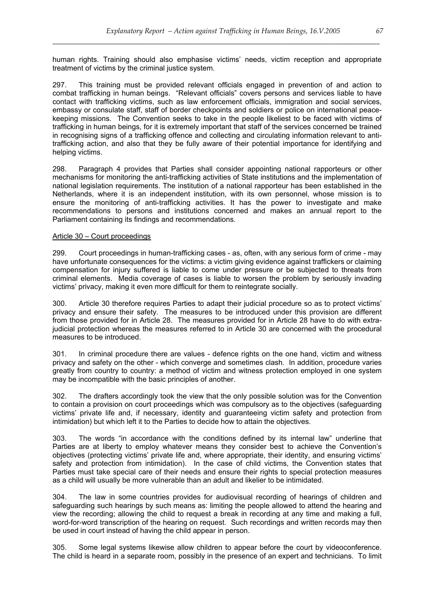human rights. Training should also emphasise victims' needs, victim reception and appropriate treatment of victims by the criminal justice system.

*\_\_\_\_\_\_\_\_\_\_\_\_\_\_\_\_\_\_\_\_\_\_\_\_\_\_\_\_\_\_\_\_\_\_\_\_\_\_\_\_\_\_\_\_\_\_\_\_\_\_\_\_\_\_\_\_\_\_\_\_\_\_\_\_\_\_\_\_\_\_\_\_\_\_\_\_\_\_\_\_\_\_\_\_\_\_\_\_\_* 

297. This training must be provided relevant officials engaged in prevention of and action to combat trafficking in human beings. "Relevant officials" covers persons and services liable to have contact with trafficking victims, such as law enforcement officials, immigration and social services, embassy or consulate staff, staff of border checkpoints and soldiers or police on international peacekeeping missions. The Convention seeks to take in the people likeliest to be faced with victims of trafficking in human beings, for it is extremely important that staff of the services concerned be trained in recognising signs of a trafficking offence and collecting and circulating information relevant to antitrafficking action, and also that they be fully aware of their potential importance for identifying and helping victims.

298. Paragraph 4 provides that Parties shall consider appointing national rapporteurs or other mechanisms for monitoring the anti-trafficking activities of State institutions and the implementation of national legislation requirements. The institution of a national rapporteur has been established in the Netherlands, where it is an independent institution, with its own personnel, whose mission is to ensure the monitoring of anti-trafficking activities. It has the power to investigate and make recommendations to persons and institutions concerned and makes an annual report to the Parliament containing its findings and recommendations.

## Article 30 – Court proceedings

299. Court proceedings in human-trafficking cases - as, often, with any serious form of crime - may have unfortunate consequences for the victims: a victim giving evidence against traffickers or claiming compensation for injury suffered is liable to come under pressure or be subjected to threats from criminal elements. Media coverage of cases is liable to worsen the problem by seriously invading victims' privacy, making it even more difficult for them to reintegrate socially.

300. Article 30 therefore requires Parties to adapt their judicial procedure so as to protect victims' privacy and ensure their safety. The measures to be introduced under this provision are different from those provided for in Article 28. The measures provided for in Article 28 have to do with extrajudicial protection whereas the measures referred to in Article 30 are concerned with the procedural measures to be introduced.

301. In criminal procedure there are values - defence rights on the one hand, victim and witness privacy and safety on the other - which converge and sometimes clash. In addition, procedure varies greatly from country to country: a method of victim and witness protection employed in one system may be incompatible with the basic principles of another.

302. The drafters accordingly took the view that the only possible solution was for the Convention to contain a provision on court proceedings which was compulsory as to the objectives (safeguarding victims' private life and, if necessary, identity and guaranteeing victim safety and protection from intimidation) but which left it to the Parties to decide how to attain the objectives.

303. The words "in accordance with the conditions defined by its internal law" underline that Parties are at liberty to employ whatever means they consider best to achieve the Convention's objectives (protecting victims' private life and, where appropriate, their identity, and ensuring victims' safety and protection from intimidation). In the case of child victims, the Convention states that Parties must take special care of their needs and ensure their rights to special protection measures as a child will usually be more vulnerable than an adult and likelier to be intimidated.

304. The law in some countries provides for audiovisual recording of hearings of children and safeguarding such hearings by such means as: limiting the people allowed to attend the hearing and view the recording; allowing the child to request a break in recording at any time and making a full, word-for-word transcription of the hearing on request. Such recordings and written records may then be used in court instead of having the child appear in person.

305. Some legal systems likewise allow children to appear before the court by videoconference. The child is heard in a separate room, possibly in the presence of an expert and technicians. To limit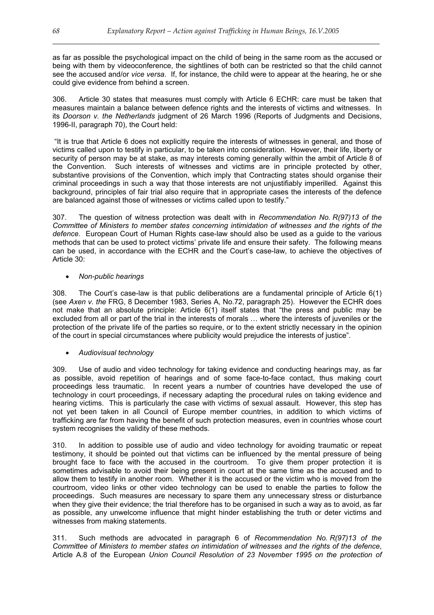as far as possible the psychological impact on the child of being in the same room as the accused or being with them by videoconference, the sightlines of both can be restricted so that the child cannot see the accused and/or *vice versa*. If, for instance, the child were to appear at the hearing, he or she could give evidence from behind a screen.

*\_\_\_\_\_\_\_\_\_\_\_\_\_\_\_\_\_\_\_\_\_\_\_\_\_\_\_\_\_\_\_\_\_\_\_\_\_\_\_\_\_\_\_\_\_\_\_\_\_\_\_\_\_\_\_\_\_\_\_\_\_\_\_\_\_\_\_\_\_\_\_\_\_\_\_\_\_\_\_\_\_\_\_\_\_\_\_\_\_* 

306. Article 30 states that measures must comply with Article 6 ECHR: care must be taken that measures maintain a balance between defence rights and the interests of victims and witnesses. In its *Doorson v. the Netherlands* judgment of 26 March 1996 (Reports of Judgments and Decisions, 1996-II, paragraph 70), the Court held:

 "It is true that Article 6 does not explicitly require the interests of witnesses in general, and those of victims called upon to testify in particular, to be taken into consideration. However, their life, liberty or security of person may be at stake, as may interests coming generally within the ambit of Article 8 of the Convention. Such interests of witnesses and victims are in principle protected by other, substantive provisions of the Convention, which imply that Contracting states should organise their criminal proceedings in such a way that those interests are not unjustifiably imperilled. Against this background, principles of fair trial also require that in appropriate cases the interests of the defence are balanced against those of witnesses or victims called upon to testify."

307. The question of witness protection was dealt with in *Recommendation No. R(97)13 of the Committee of Ministers to member states concerning intimidation of witnesses and the rights of the defence*. European Court of Human Rights case-law should also be used as a guide to the various methods that can be used to protect victims' private life and ensure their safety. The following means can be used, in accordance with the ECHR and the Court's case-law, to achieve the objectives of Article 30:

## • *Non-public hearings*

308. The Court's case-law is that public deliberations are a fundamental principle of Article 6(1) (see *Axen v. the* FRG, 8 December 1983, Series A, No.72, paragraph 25). However the ECHR does not make that an absolute principle: Article 6(1) itself states that "the press and public may be excluded from all or part of the trial in the interests of morals … where the interests of juveniles or the protection of the private life of the parties so require, or to the extent strictly necessary in the opinion of the court in special circumstances where publicity would prejudice the interests of justice".

## • *Audiovisual technology*

309. Use of audio and video technology for taking evidence and conducting hearings may, as far as possible, avoid repetition of hearings and of some face-to-face contact, thus making court proceedings less traumatic. In recent years a number of countries have developed the use of technology in court proceedings, if necessary adapting the procedural rules on taking evidence and hearing victims. This is particularly the case with victims of sexual assault. However, this step has not yet been taken in all Council of Europe member countries, in addition to which victims of trafficking are far from having the benefit of such protection measures, even in countries whose court system recognises the validity of these methods.

310. In addition to possible use of audio and video technology for avoiding traumatic or repeat testimony, it should be pointed out that victims can be influenced by the mental pressure of being brought face to face with the accused in the courtroom. To give them proper protection it is sometimes advisable to avoid their being present in court at the same time as the accused and to allow them to testify in another room. Whether it is the accused or the victim who is moved from the courtroom, video links or other video technology can be used to enable the parties to follow the proceedings. Such measures are necessary to spare them any unnecessary stress or disturbance when they give their evidence; the trial therefore has to be organised in such a way as to avoid, as far as possible, any unwelcome influence that might hinder establishing the truth or deter victims and witnesses from making statements.

311. Such methods are advocated in paragraph 6 of *Recommendation No. R(97)13 of the Committee of Ministers to member states on intimidation of witnesses and the rights of the defence*, Article A.8 of the European *Union Council Resolution of 23 November 1995 on the protection of*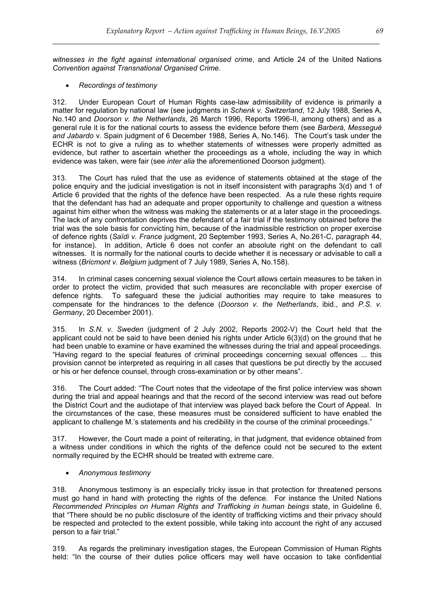*witnesses in the fight against international organised crime*, and Article 24 of the United Nations *Convention against Transnational Organised Crime*.

*\_\_\_\_\_\_\_\_\_\_\_\_\_\_\_\_\_\_\_\_\_\_\_\_\_\_\_\_\_\_\_\_\_\_\_\_\_\_\_\_\_\_\_\_\_\_\_\_\_\_\_\_\_\_\_\_\_\_\_\_\_\_\_\_\_\_\_\_\_\_\_\_\_\_\_\_\_\_\_\_\_\_\_\_\_\_\_\_\_* 

## • *Recordings of testimony*

312. Under European Court of Human Rights case-law admissibility of evidence is primarily a matter for regulation by national law (see judgments in *Schenk v. Switzerland*, 12 July 1988, Series A, No.140 and *Doorson v. the Netherlands*, 26 March 1996, Reports 1996-II, among others) and as a general rule it is for the national courts to assess the evidence before them (see *Barberà, Messegué and Jabardo* v. Spain judgment of 6 December 1988, Series A, No.146). The Court's task under the ECHR is not to give a ruling as to whether statements of witnesses were properly admitted as evidence, but rather to ascertain whether the proceedings as a whole, including the way in which evidence was taken, were fair (see *inter alia* the aforementioned Doorson judgment).

313. The Court has ruled that the use as evidence of statements obtained at the stage of the police enquiry and the judicial investigation is not in itself inconsistent with paragraphs 3(d) and 1 of Article 6 provided that the rights of the defence have been respected. As a rule these rights require that the defendant has had an adequate and proper opportunity to challenge and question a witness against him either when the witness was making the statements or at a later stage in the proceedings. The lack of any confrontation deprives the defendant of a fair trial if the testimony obtained before the trial was the sole basis for convicting him, because of the inadmissible restriction on proper exercise of defence rights (*Saïdi v. France* judgment, 20 September 1993, Series A, No.261-C, paragraph 44, for instance). In addition, Article 6 does not confer an absolute right on the defendant to call witnesses. It is normally for the national courts to decide whether it is necessary or advisable to call a witness (*Bricmont v. Belgium* judgment of 7 July 1989, Series A, No.158).

314. In criminal cases concerning sexual violence the Court allows certain measures to be taken in order to protect the victim, provided that such measures are reconcilable with proper exercise of defence rights. To safeguard these the judicial authorities may require to take measures to compensate for the hindrances to the defence (*Doorson v. the Netherlands*, ibid., and *P.S. v. Germany*, 20 December 2001).

315. In *S.N. v. Sweden* (judgment of 2 July 2002, Reports 2002-V) the Court held that the applicant could not be said to have been denied his rights under Article 6(3)(d) on the ground that he had been unable to examine or have examined the witnesses during the trial and appeal proceedings. "Having regard to the special features of criminal proceedings concerning sexual offences ... this provision cannot be interpreted as requiring in all cases that questions be put directly by the accused or his or her defence counsel, through cross-examination or by other means".

316. The Court added: "The Court notes that the videotape of the first police interview was shown during the trial and appeal hearings and that the record of the second interview was read out before the District Court and the audiotape of that interview was played back before the Court of Appeal. In the circumstances of the case, these measures must be considered sufficient to have enabled the applicant to challenge M.'s statements and his credibility in the course of the criminal proceedings."

317. However, the Court made a point of reiterating, in that judgment, that evidence obtained from a witness under conditions in which the rights of the defence could not be secured to the extent normally required by the ECHR should be treated with extreme care.

## • *Anonymous testimony*

318. Anonymous testimony is an especially tricky issue in that protection for threatened persons must go hand in hand with protecting the rights of the defence. For instance the United Nations *Recommended Principles on Human Rights and Trafficking in human beings* state, in Guideline 6, that "There should be no public disclosure of the identity of trafficking victims and their privacy should be respected and protected to the extent possible, while taking into account the right of any accused person to a fair trial."

319. As regards the preliminary investigation stages, the European Commission of Human Rights held: "In the course of their duties police officers may well have occasion to take confidential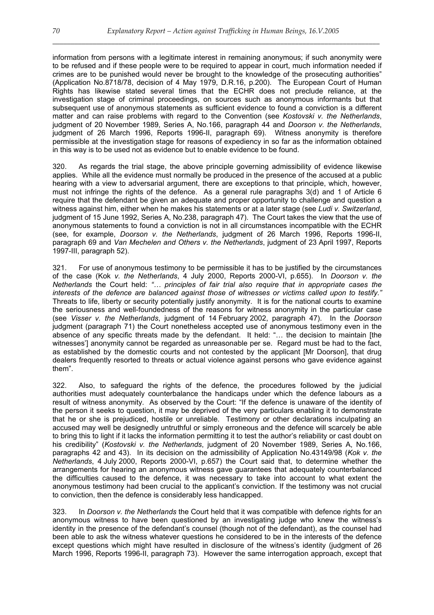information from persons with a legitimate interest in remaining anonymous; if such anonymity were to be refused and if these people were to be required to appear in court, much information needed if crimes are to be punished would never be brought to the knowledge of the prosecuting authorities" (Application No.8718/78, decision of 4 May 1979, D.R.16, p.200). The European Court of Human Rights has likewise stated several times that the ECHR does not preclude reliance, at the investigation stage of criminal proceedings, on sources such as anonymous informants but that subsequent use of anonymous statements as sufficient evidence to found a conviction is a different matter and can raise problems with regard to the Convention (see *Kostovski v. the Netherlands*, judgment of 20 November 1989, Series A, No.166, paragraph 44 and *Doorson v. the Netherlands*, judgment of 26 March 1996, Reports 1996-II, paragraph 69). Witness anonymity is therefore permissible at the investigation stage for reasons of expediency in so far as the information obtained in this way is to be used not as evidence but to enable evidence to be found.

320. As regards the trial stage, the above principle governing admissibility of evidence likewise applies. While all the evidence must normally be produced in the presence of the accused at a public hearing with a view to adversarial argument, there are exceptions to that principle, which, however, must not infringe the rights of the defence. As a general rule paragraphs 3(d) and 1 of Article 6 require that the defendant be given an adequate and proper opportunity to challenge and question a witness against him, either when he makes his statements or at a later stage (see *Ludi v. Switzerland*, judgment of 15 June 1992, Series A, No.238, paragraph 47). The Court takes the view that the use of anonymous statements to found a conviction is not in all circumstances incompatible with the ECHR (see, for example, *Doorson v. the Netherlands*, judgment of 26 March 1996, Reports 1996-II, paragraph 69 and *Van Mechelen and Others v. the Netherlands*, judgment of 23 April 1997, Reports 1997-III, paragraph 52).

321. For use of anonymous testimony to be permissible it has to be justified by the circumstances of the case (Kok *v. the Netherlands*, 4 July 2000, Reports 2000-VI, p.655). In *Doorson v. the Netherlands* the Court held: *"… principles of fair trial also require that in appropriate cases the interests of the defence are balanced against those of witnesses or victims called upon to testify."* Threats to life, liberty or security potentially justify anonymity. It is for the national courts to examine the seriousness and well-foundedness of the reasons for witness anonymity in the particular case (see *Visser v. the Netherlands*, judgment of 14 February 2002, paragraph 47). In the *Doorson* judgment (paragraph 71) the Court nonetheless accepted use of anonymous testimony even in the absence of any specific threats made by the defendant. It held: "… the decision to maintain [the witnesses'] anonymity cannot be regarded as unreasonable per se. Regard must be had to the fact, as established by the domestic courts and not contested by the applicant [Mr Doorson], that drug dealers frequently resorted to threats or actual violence against persons who gave evidence against them".

322. Also, to safeguard the rights of the defence, the procedures followed by the judicial authorities must adequately counterbalance the handicaps under which the defence labours as a result of witness anonymity. As observed by the Court: "If the defence is unaware of the identity of the person it seeks to question, it may be deprived of the very particulars enabling it to demonstrate that he or she is prejudiced, hostile or unreliable. Testimony or other declarations inculpating an accused may well be designedly untruthful or simply erroneous and the defence will scarcely be able to bring this to light if it lacks the information permitting it to test the author's reliability or cast doubt on his credibility" (*Kostovski v. the Netherlands*, judgment of 20 November 1989, Series A, No.166, paragraphs 42 and 43). In its decision on the admissibility of Application No.43149/98 (*Kok v. the Netherlands*, 4 July 2000, Reports 2000-VI, p.657) the Court said that, to determine whether the arrangements for hearing an anonymous witness gave guarantees that adequately counterbalanced the difficulties caused to the defence, it was necessary to take into account to what extent the anonymous testimony had been crucial to the applicant's conviction. If the testimony was not crucial to conviction, then the defence is considerably less handicapped.

323. In *Doorson v. the Netherlands* the Court held that it was compatible with defence rights for an anonymous witness to have been questioned by an investigating judge who knew the witness's identity in the presence of the defendant's counsel (though not of the defendant), as the counsel had been able to ask the witness whatever questions he considered to be in the interests of the defence except questions which might have resulted in disclosure of the witness's identity (judgment of 26 March 1996, Reports 1996-II, paragraph 73). However the same interrogation approach, except that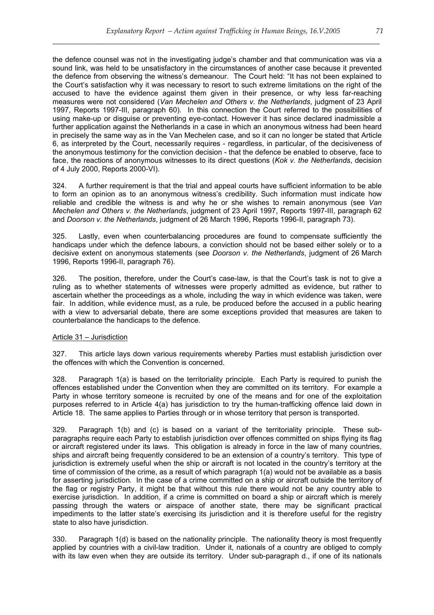the defence counsel was not in the investigating judge's chamber and that communication was via a sound link, was held to be unsatisfactory in the circumstances of another case because it prevented the defence from observing the witness's demeanour. The Court held: "It has not been explained to the Court's satisfaction why it was necessary to resort to such extreme limitations on the right of the accused to have the evidence against them given in their presence, or why less far-reaching measures were not considered (*Van Mechelen and Others v. the Netherlands*, judgment of 23 April 1997, Reports 1997-III, paragraph 60). In this connection the Court referred to the possibilities of using make-up or disguise or preventing eye-contact. However it has since declared inadmissible a further application against the Netherlands in a case in which an anonymous witness had been heard in precisely the same way as in the Van Mechelen case, and so it can no longer be stated that Article 6, as interpreted by the Court, necessarily requires - regardless, in particular, of the decisiveness of the anonymous testimony for the conviction decision - that the defence be enabled to observe, face to face, the reactions of anonymous witnesses to its direct questions (*Kok v. the Netherlands*, decision of 4 July 2000, Reports 2000-VI).

324. A further requirement is that the trial and appeal courts have sufficient information to be able to form an opinion as to an anonymous witness's credibility. Such information must indicate how reliable and credible the witness is and why he or she wishes to remain anonymous (see *Van Mechelen and Others v. the Netherlands*, judgment of 23 April 1997, Reports 1997-III, paragraph 62 and *Doorson v. the Netherlands*, judgment of 26 March 1996, Reports 1996-II, paragraph 73).

325. Lastly, even when counterbalancing procedures are found to compensate sufficiently the handicaps under which the defence labours, a conviction should not be based either solely or to a decisive extent on anonymous statements (see *Doorson v. the Netherlands*, judgment of 26 March 1996, Reports 1996-II, paragraph 76).

326. The position, therefore, under the Court's case-law, is that the Court's task is not to give a ruling as to whether statements of witnesses were properly admitted as evidence, but rather to ascertain whether the proceedings as a whole, including the way in which evidence was taken, were fair. In addition, while evidence must, as a rule, be produced before the accused in a public hearing with a view to adversarial debate, there are some exceptions provided that measures are taken to counterbalance the handicaps to the defence.

#### Article 31 – Jurisdiction

327. This article lays down various requirements whereby Parties must establish jurisdiction over the offences with which the Convention is concerned.

328. Paragraph 1(a) is based on the territoriality principle. Each Party is required to punish the offences established under the Convention when they are committed on its territory. For example a Party in whose territory someone is recruited by one of the means and for one of the exploitation purposes referred to in Article 4(a) has jurisdiction to try the human-trafficking offence laid down in Article 18. The same applies to Parties through or in whose territory that person is transported.

329. Paragraph 1(b) and (c) is based on a variant of the territoriality principle. These subparagraphs require each Party to establish jurisdiction over offences committed on ships flying its flag or aircraft registered under its laws. This obligation is already in force in the law of many countries, ships and aircraft being frequently considered to be an extension of a country's territory. This type of jurisdiction is extremely useful when the ship or aircraft is not located in the country's territory at the time of commission of the crime, as a result of which paragraph 1(a) would not be available as a basis for asserting jurisdiction. In the case of a crime committed on a ship or aircraft outside the territory of the flag or registry Party, it might be that without this rule there would not be any country able to exercise jurisdiction. In addition, if a crime is committed on board a ship or aircraft which is merely passing through the waters or airspace of another state, there may be significant practical impediments to the latter state's exercising its jurisdiction and it is therefore useful for the registry state to also have jurisdiction.

330. Paragraph 1(d) is based on the nationality principle. The nationality theory is most frequently applied by countries with a civil-law tradition. Under it, nationals of a country are obliged to comply with its law even when they are outside its territory. Under sub-paragraph d., if one of its nationals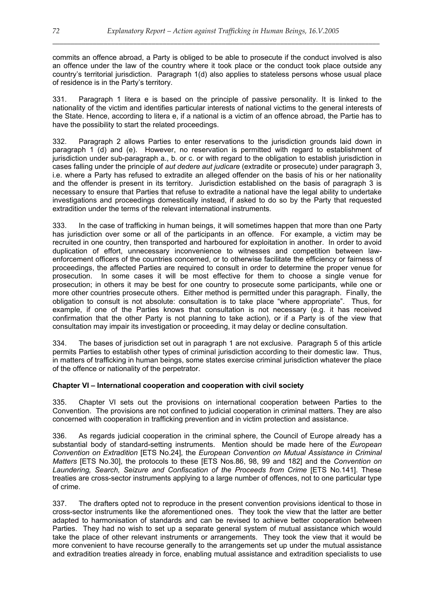commits an offence abroad, a Party is obliged to be able to prosecute if the conduct involved is also an offence under the law of the country where it took place or the conduct took place outside any country's territorial jurisdiction. Paragraph 1(d) also applies to stateless persons whose usual place of residence is in the Party's territory.

*\_\_\_\_\_\_\_\_\_\_\_\_\_\_\_\_\_\_\_\_\_\_\_\_\_\_\_\_\_\_\_\_\_\_\_\_\_\_\_\_\_\_\_\_\_\_\_\_\_\_\_\_\_\_\_\_\_\_\_\_\_\_\_\_\_\_\_\_\_\_\_\_\_\_\_\_\_\_\_\_\_\_\_\_\_\_\_\_\_* 

331. Paragraph 1 litera e is based on the principle of passive personality. It is linked to the nationality of the victim and identifies particular interests of national victims to the general interests of the State. Hence, according to litera e, if a national is a victim of an offence abroad, the Partie has to have the possibility to start the related proceedings.

332. Paragraph 2 allows Parties to enter reservations to the jurisdiction grounds laid down in paragraph 1 (d) and (e). However, no reservation is permitted with regard to establishment of jurisdiction under sub-paragraph a., b. or c. or with regard to the obligation to establish jurisdiction in cases falling under the principle of *aut dedere aut judicare* (extradite or prosecute) under paragraph 3, i.e. where a Party has refused to extradite an alleged offender on the basis of his or her nationality and the offender is present in its territory. Jurisdiction established on the basis of paragraph 3 is necessary to ensure that Parties that refuse to extradite a national have the legal ability to undertake investigations and proceedings domestically instead, if asked to do so by the Party that requested extradition under the terms of the relevant international instruments.

333. In the case of trafficking in human beings, it will sometimes happen that more than one Party has jurisdiction over some or all of the participants in an offence. For example, a victim may be recruited in one country, then transported and harboured for exploitation in another. In order to avoid duplication of effort, unnecessary inconvenience to witnesses and competition between lawenforcement officers of the countries concerned, or to otherwise facilitate the efficiency or fairness of proceedings, the affected Parties are required to consult in order to determine the proper venue for prosecution. In some cases it will be most effective for them to choose a single venue for prosecution; in others it may be best for one country to prosecute some participants, while one or more other countries prosecute others. Either method is permitted under this paragraph. Finally, the obligation to consult is not absolute: consultation is to take place "where appropriate". Thus, for example, if one of the Parties knows that consultation is not necessary (e.g. it has received confirmation that the other Party is not planning to take action), or if a Party is of the view that consultation may impair its investigation or proceeding, it may delay or decline consultation.

334. The bases of jurisdiction set out in paragraph 1 are not exclusive. Paragraph 5 of this article permits Parties to establish other types of criminal jurisdiction according to their domestic law. Thus, in matters of trafficking in human beings, some states exercise criminal jurisdiction whatever the place of the offence or nationality of the perpetrator.

## **Chapter VI – International cooperation and cooperation with civil society**

335. Chapter VI sets out the provisions on international cooperation between Parties to the Convention. The provisions are not confined to judicial cooperation in criminal matters. They are also concerned with cooperation in trafficking prevention and in victim protection and assistance.

336. As regards judicial cooperation in the criminal sphere, the Council of Europe already has a substantial body of standard-setting instruments. Mention should be made here of the *European Convention on Extradition* [ETS No.24], the *European Convention on Mutual Assistance in Criminal Matters* [ETS No.30], the protocols to these [ETS Nos.86, 98, 99 and 182] and the *Convention on Laundering, Search, Seizure and Confiscation of the Proceeds from Crime* [ETS No.141]. These treaties are cross-sector instruments applying to a large number of offences, not to one particular type of crime.

337. The drafters opted not to reproduce in the present convention provisions identical to those in cross-sector instruments like the aforementioned ones. They took the view that the latter are better adapted to harmonisation of standards and can be revised to achieve better cooperation between Parties. They had no wish to set up a separate general system of mutual assistance which would take the place of other relevant instruments or arrangements. They took the view that it would be more convenient to have recourse generally to the arrangements set up under the mutual assistance and extradition treaties already in force, enabling mutual assistance and extradition specialists to use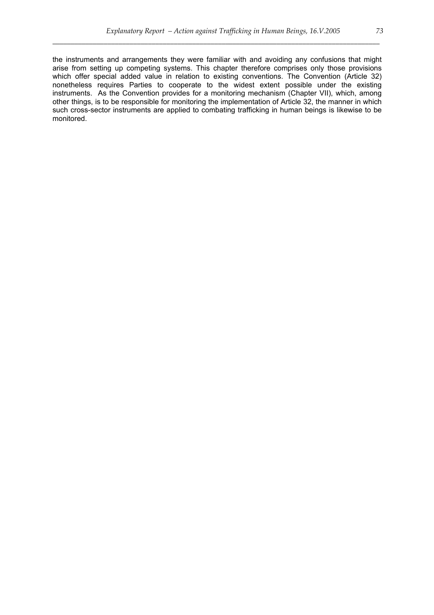the instruments and arrangements they were familiar with and avoiding any confusions that might arise from setting up competing systems. This chapter therefore comprises only those provisions which offer special added value in relation to existing conventions. The Convention (Article 32) nonetheless requires Parties to cooperate to the widest extent possible under the existing instruments. As the Convention provides for a monitoring mechanism (Chapter VII), which, among other things, is to be responsible for monitoring the implementation of Article 32, the manner in which such cross-sector instruments are applied to combating trafficking in human beings is likewise to be monitored.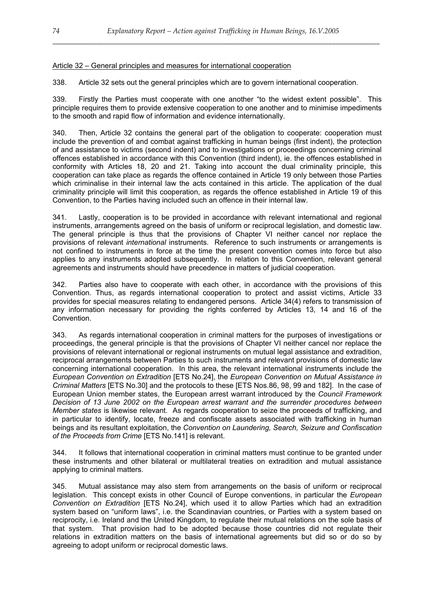### Article 32 – General principles and measures for international cooperation

338. Article 32 sets out the general principles which are to govern international cooperation.

339. Firstly the Parties must cooperate with one another "to the widest extent possible". This principle requires them to provide extensive cooperation to one another and to minimise impediments to the smooth and rapid flow of information and evidence internationally.

340. Then, Article 32 contains the general part of the obligation to cooperate: cooperation must include the prevention of and combat against trafficking in human beings (first indent), the protection of and assistance to victims (second indent) and to investigations or proceedings concerning criminal offences established in accordance with this Convention (third indent), ie. the offences established in conformity with Articles 18, 20 and 21. Taking into account the dual criminality principle, this cooperation can take place as regards the offence contained in Article 19 only between those Parties which criminalise in their internal law the acts contained in this article. The application of the dual criminality principle will limit this cooperation, as regards the offence established in Article 19 of this Convention, to the Parties having included such an offence in their internal law.

341. Lastly, cooperation is to be provided in accordance with relevant international and regional instruments, arrangements agreed on the basis of uniform or reciprocal legislation, and domestic law. The general principle is thus that the provisions of Chapter VI neither cancel nor replace the provisions of relevant *international* instruments. Reference to such instruments or arrangements is not confined to instruments in force at the time the present convention comes into force but also applies to any instruments adopted subsequently. In relation to this Convention, relevant general agreements and instruments should have precedence in matters of judicial cooperation.

342. Parties also have to cooperate with each other, in accordance with the provisions of this Convention. Thus, as regards international cooperation to protect and assist victims, Article 33 provides for special measures relating to endangered persons. Article 34(4) refers to transmission of any information necessary for providing the rights conferred by Articles 13, 14 and 16 of the Convention.

343. As regards international cooperation in criminal matters for the purposes of investigations or proceedings, the general principle is that the provisions of Chapter VI neither cancel nor replace the provisions of relevant international or regional instruments on mutual legal assistance and extradition, reciprocal arrangements between Parties to such instruments and relevant provisions of domestic law concerning international cooperation. In this area, the relevant international instruments include the *European Convention on Extradition* [ETS No.24], the *European Convention on Mutual Assistance in Criminal Matters* [ETS No.30] and the protocols to these [ETS Nos.86, 98, 99 and 182]. In the case of European Union member states, the European arrest warrant introduced by the *Council Framework Decision of 13 June 2002 on the European arrest warrant and the surrender procedures between Member states* is likewise relevant. As regards cooperation to seize the proceeds of trafficking, and in particular to identify, locate, freeze and confiscate assets associated with trafficking in human beings and its resultant exploitation, the *Convention on Laundering, Search, Seizure and Confiscation of the Proceeds from Crime* [ETS No.141] is relevant.

344. It follows that international cooperation in criminal matters must continue to be granted under these instruments and other bilateral or multilateral treaties on extradition and mutual assistance applying to criminal matters.

345. Mutual assistance may also stem from arrangements on the basis of uniform or reciprocal legislation. This concept exists in other Council of Europe conventions, in particular the *European Convention on Extradition* [ETS No.24], which used it to allow Parties which had an extradition system based on "uniform laws", i.e. the Scandinavian countries, or Parties with a system based on reciprocity, i.e. Ireland and the United Kingdom, to regulate their mutual relations on the sole basis of that system. That provision had to be adopted because those countries did not regulate their relations in extradition matters on the basis of international agreements but did so or do so by agreeing to adopt uniform or reciprocal domestic laws.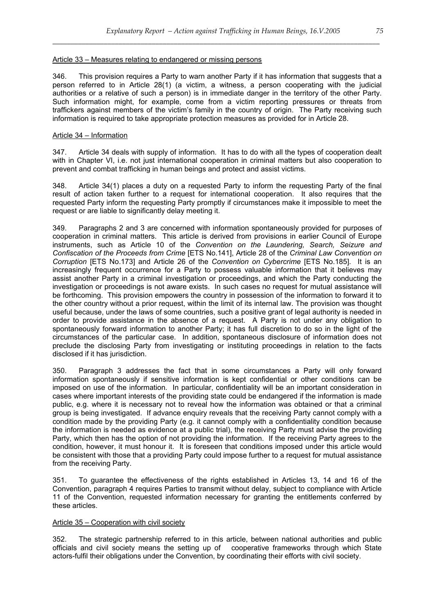#### Article 33 – Measures relating to endangered or missing persons

346. This provision requires a Party to warn another Party if it has information that suggests that a person referred to in Article 28(1) (a victim, a witness, a person cooperating with the judicial authorities or a relative of such a person) is in immediate danger in the territory of the other Party. Such information might, for example, come from a victim reporting pressures or threats from traffickers against members of the victim's family in the country of origin. The Party receiving such information is required to take appropriate protection measures as provided for in Article 28.

### Article 34 – Information

347. Article 34 deals with supply of information. It has to do with all the types of cooperation dealt with in Chapter VI, i.e. not just international cooperation in criminal matters but also cooperation to prevent and combat trafficking in human beings and protect and assist victims.

348. Article 34(1) places a duty on a requested Party to inform the requesting Party of the final result of action taken further to a request for international cooperation. It also requires that the requested Party inform the requesting Party promptly if circumstances make it impossible to meet the request or are liable to significantly delay meeting it.

349. Paragraphs 2 and 3 are concerned with information spontaneously provided for purposes of cooperation in criminal matters. This article is derived from provisions in earlier Council of Europe instruments, such as Article 10 of the *Convention on the Laundering, Search, Seizure and Confiscation of the Proceeds from Crime* [ETS No.141], Article 28 of the *Criminal Law Convention on Corruption* [ETS No.173] and Article 26 of the *Convention on Cybercrime* [ETS No.185]. It is an increasingly frequent occurrence for a Party to possess valuable information that it believes may assist another Party in a criminal investigation or proceedings, and which the Party conducting the investigation or proceedings is not aware exists. In such cases no request for mutual assistance will be forthcoming. This provision empowers the country in possession of the information to forward it to the other country without a prior request, within the limit of its internal law. The provision was thought useful because, under the laws of some countries, such a positive grant of legal authority is needed in order to provide assistance in the absence of a request. A Party is not under any obligation to spontaneously forward information to another Party; it has full discretion to do so in the light of the circumstances of the particular case. In addition, spontaneous disclosure of information does not preclude the disclosing Party from investigating or instituting proceedings in relation to the facts disclosed if it has jurisdiction.

350. Paragraph 3 addresses the fact that in some circumstances a Party will only forward information spontaneously if sensitive information is kept confidential or other conditions can be imposed on use of the information. In particular, confidentiality will be an important consideration in cases where important interests of the providing state could be endangered if the information is made public, e.g. where it is necessary not to reveal how the information was obtained or that a criminal group is being investigated. If advance enquiry reveals that the receiving Party cannot comply with a condition made by the providing Party (e.g. it cannot comply with a confidentiality condition because the information is needed as evidence at a public trial), the receiving Party must advise the providing Party, which then has the option of not providing the information. If the receiving Party agrees to the condition, however, it must honour it. It is foreseen that conditions imposed under this article would be consistent with those that a providing Party could impose further to a request for mutual assistance from the receiving Party.

351. To guarantee the effectiveness of the rights established in Articles 13, 14 and 16 of the Convention, paragraph 4 requires Parties to transmit without delay, subject to compliance with Article 11 of the Convention, requested information necessary for granting the entitlements conferred by these articles.

### Article 35 – Cooperation with civil society

352. The strategic partnership referred to in this article, between national authorities and public officials and civil society means the setting up of cooperative frameworks through which State actors-fulfil their obligations under the Convention, by coordinating their efforts with civil society.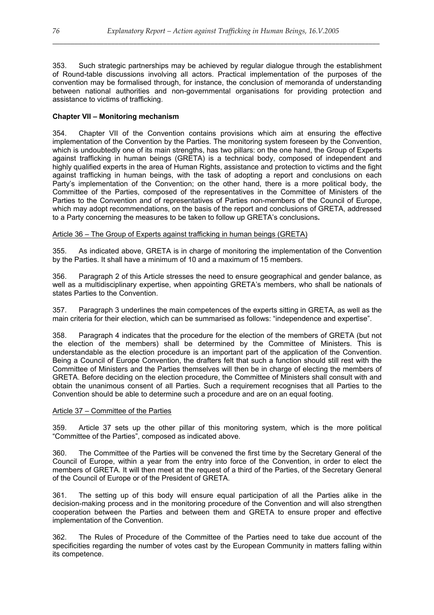353. Such strategic partnerships may be achieved by regular dialogue through the establishment of Round-table discussions involving all actors. Practical implementation of the purposes of the convention may be formalised through, for instance, the conclusion of memoranda of understanding between national authorities and non-governmental organisations for providing protection and assistance to victims of trafficking.

# **Chapter VII – Monitoring mechanism**

354. Chapter VII of the Convention contains provisions which aim at ensuring the effective implementation of the Convention by the Parties. The monitoring system foreseen by the Convention, which is undoubtedly one of its main strengths, has two pillars: on the one hand, the Group of Experts against trafficking in human beings (GRETA) is a technical body, composed of independent and highly qualified experts in the area of Human Rights, assistance and protection to victims and the fight against trafficking in human beings, with the task of adopting a report and conclusions on each Party's implementation of the Convention; on the other hand, there is a more political body, the Committee of the Parties, composed of the representatives in the Committee of Ministers of the Parties to the Convention and of representatives of Parties non-members of the Council of Europe, which may adopt recommendations, on the basis of the report and conclusions of GRETA, addressed to a Party concerning the measures to be taken to follow up GRETA's conclusions**.**

## Article 36 – The Group of Experts against trafficking in human beings (GRETA)

355. As indicated above, GRETA is in charge of monitoring the implementation of the Convention by the Parties. It shall have a minimum of 10 and a maximum of 15 members.

356. Paragraph 2 of this Article stresses the need to ensure geographical and gender balance, as well as a multidisciplinary expertise, when appointing GRETA's members, who shall be nationals of states Parties to the Convention.

357. Paragraph 3 underlines the main competences of the experts sitting in GRETA, as well as the main criteria for their election, which can be summarised as follows: "independence and expertise".

358. Paragraph 4 indicates that the procedure for the election of the members of GRETA (but not the election of the members) shall be determined by the Committee of Ministers. This is understandable as the election procedure is an important part of the application of the Convention. Being a Council of Europe Convention, the drafters felt that such a function should still rest with the Committee of Ministers and the Parties themselves will then be in charge of electing the members of GRETA. Before deciding on the election procedure, the Committee of Ministers shall consult with and obtain the unanimous consent of all Parties. Such a requirement recognises that all Parties to the Convention should be able to determine such a procedure and are on an equal footing.

# Article 37 – Committee of the Parties

359. Article 37 sets up the other pillar of this monitoring system, which is the more political "Committee of the Parties", composed as indicated above.

360. The Committee of the Parties will be convened the first time by the Secretary General of the Council of Europe, within a year from the entry into force of the Convention, in order to elect the members of GRETA. It will then meet at the request of a third of the Parties, of the Secretary General of the Council of Europe or of the President of GRETA.

361. The setting up of this body will ensure equal participation of all the Parties alike in the decision-making process and in the monitoring procedure of the Convention and will also strengthen cooperation between the Parties and between them and GRETA to ensure proper and effective implementation of the Convention.

362. The Rules of Procedure of the Committee of the Parties need to take due account of the specificities regarding the number of votes cast by the European Community in matters falling within its competence.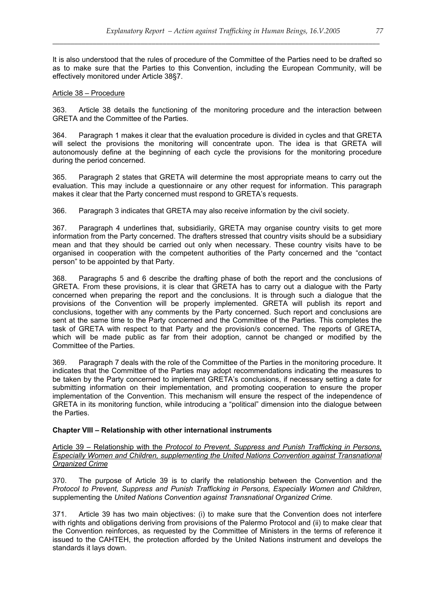It is also understood that the rules of procedure of the Committee of the Parties need to be drafted so as to make sure that the Parties to this Convention, including the European Community, will be effectively monitored under Article 38§7.

*\_\_\_\_\_\_\_\_\_\_\_\_\_\_\_\_\_\_\_\_\_\_\_\_\_\_\_\_\_\_\_\_\_\_\_\_\_\_\_\_\_\_\_\_\_\_\_\_\_\_\_\_\_\_\_\_\_\_\_\_\_\_\_\_\_\_\_\_\_\_\_\_\_\_\_\_\_\_\_\_\_\_\_\_\_\_\_\_\_* 

### Article 38 – Procedure

363. Article 38 details the functioning of the monitoring procedure and the interaction between GRETA and the Committee of the Parties.

364. Paragraph 1 makes it clear that the evaluation procedure is divided in cycles and that GRETA will select the provisions the monitoring will concentrate upon. The idea is that GRETA will autonomously define at the beginning of each cycle the provisions for the monitoring procedure during the period concerned.

365. Paragraph 2 states that GRETA will determine the most appropriate means to carry out the evaluation. This may include a questionnaire or any other request for information. This paragraph makes it clear that the Party concerned must respond to GRETA's requests.

366. Paragraph 3 indicates that GRETA may also receive information by the civil society.

367. Paragraph 4 underlines that, subsidiarily, GRETA may organise country visits to get more information from the Party concerned. The drafters stressed that country visits should be a subsidiary mean and that they should be carried out only when necessary. These country visits have to be organised in cooperation with the competent authorities of the Party concerned and the "contact person" to be appointed by that Party.

368. Paragraphs 5 and 6 describe the drafting phase of both the report and the conclusions of GRETA. From these provisions, it is clear that GRETA has to carry out a dialogue with the Party concerned when preparing the report and the conclusions. It is through such a dialogue that the provisions of the Convention will be properly implemented. GRETA will publish its report and conclusions, together with any comments by the Party concerned. Such report and conclusions are sent at the same time to the Party concerned and the Committee of the Parties. This completes the task of GRETA with respect to that Party and the provision/s concerned. The reports of GRETA, which will be made public as far from their adoption, cannot be changed or modified by the Committee of the Parties.

369. Paragraph 7 deals with the role of the Committee of the Parties in the monitoring procedure. It indicates that the Committee of the Parties may adopt recommendations indicating the measures to be taken by the Party concerned to implement GRETA's conclusions, if necessary setting a date for submitting information on their implementation, and promoting cooperation to ensure the proper implementation of the Convention. This mechanism will ensure the respect of the independence of GRETA in its monitoring function, while introducing a "political" dimension into the dialogue between the Parties.

## **Chapter VIII – Relationship with other international instruments**

### Article 39 – Relationship with the *Protocol to Prevent, Suppress and Punish Trafficking in Persons, Especially Women and Children, supplementing the United Nations Convention against Transnational Organized Crime*

370. The purpose of Article 39 is to clarify the relationship between the Convention and the *Protocol to Prevent, Suppress and Punish Trafficking in Persons, Especially Women and Children*, supplementing the *United Nations Convention against Transnational Organized Crime.*

371. Article 39 has two main objectives: (i) to make sure that the Convention does not interfere with rights and obligations deriving from provisions of the Palermo Protocol and (ii) to make clear that the Convention reinforces, as requested by the Committee of Ministers in the terms of reference it issued to the CAHTEH, the protection afforded by the United Nations instrument and develops the standards it lays down.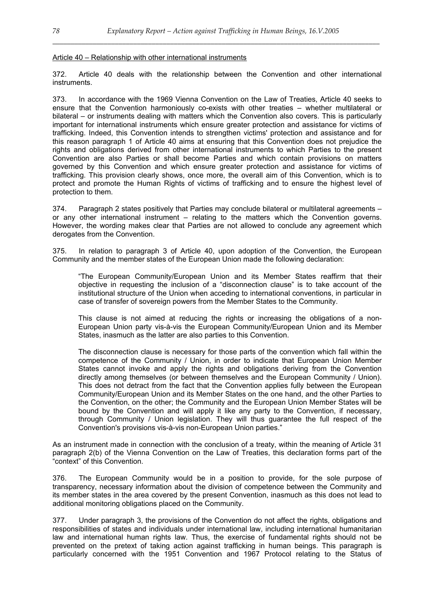### Article 40 – Relationship with other international instruments

372. Article 40 deals with the relationship between the Convention and other international instruments.

373. In accordance with the 1969 Vienna Convention on the Law of Treaties, Article 40 seeks to ensure that the Convention harmoniously co-exists with other treaties – whether multilateral or bilateral – or instruments dealing with matters which the Convention also covers. This is particularly important for international instruments which ensure greater protection and assistance for victims of trafficking. Indeed, this Convention intends to strengthen victims' protection and assistance and for this reason paragraph 1 of Article 40 aims at ensuring that this Convention does not prejudice the rights and obligations derived from other international instruments to which Parties to the present Convention are also Parties or shall become Parties and which contain provisions on matters governed by this Convention and which ensure greater protection and assistance for victims of trafficking. This provision clearly shows, once more, the overall aim of this Convention, which is to protect and promote the Human Rights of victims of trafficking and to ensure the highest level of protection to them.

374. Paragraph 2 states positively that Parties may conclude bilateral or multilateral agreements – or any other international instrument – relating to the matters which the Convention governs. However, the wording makes clear that Parties are not allowed to conclude any agreement which derogates from the Convention.

375. In relation to paragraph 3 of Article 40, upon adoption of the Convention, the European Community and the member states of the European Union made the following declaration:

"The European Community/European Union and its Member States reaffirm that their objective in requesting the inclusion of a "disconnection clause" is to take account of the institutional structure of the Union when acceding to international conventions, in particular in case of transfer of sovereign powers from the Member States to the Community.

This clause is not aimed at reducing the rights or increasing the obligations of a non-European Union party vis-à-vis the European Community/European Union and its Member States, inasmuch as the latter are also parties to this Convention.

The disconnection clause is necessary for those parts of the convention which fall within the competence of the Community / Union, in order to indicate that European Union Member States cannot invoke and apply the rights and obligations deriving from the Convention directly among themselves (or between themselves and the European Community / Union). This does not detract from the fact that the Convention applies fully between the European Community/European Union and its Member States on the one hand, and the other Parties to the Convention, on the other; the Community and the European Union Member States will be bound by the Convention and will apply it like any party to the Convention, if necessary, through Community / Union legislation. They will thus guarantee the full respect of the Convention's provisions vis-à-vis non-European Union parties."

As an instrument made in connection with the conclusion of a treaty, within the meaning of Article 31 paragraph 2(b) of the Vienna Convention on the Law of Treaties, this declaration forms part of the "context" of this Convention.

376. The European Community would be in a position to provide, for the sole purpose of transparency, necessary information about the division of competence between the Community and its member states in the area covered by the present Convention, inasmuch as this does not lead to additional monitoring obligations placed on the Community.

377. Under paragraph 3, the provisions of the Convention do not affect the rights, obligations and responsibilities of states and individuals under international law, including international humanitarian law and international human rights law. Thus, the exercise of fundamental rights should not be prevented on the pretext of taking action against trafficking in human beings. This paragraph is particularly concerned with the 1951 Convention and 1967 Protocol relating to the Status of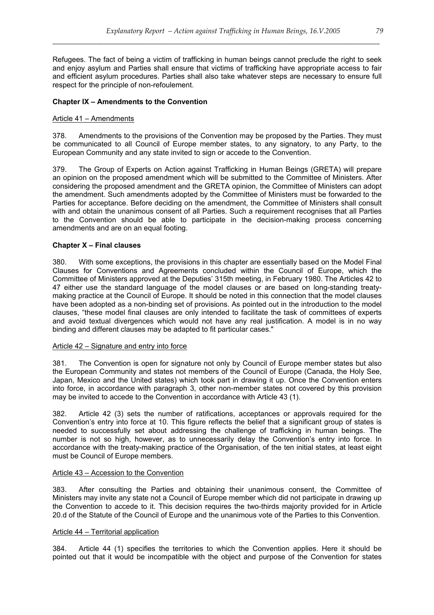Refugees. The fact of being a victim of trafficking in human beings cannot preclude the right to seek and enjoy asylum and Parties shall ensure that victims of trafficking have appropriate access to fair and efficient asylum procedures. Parties shall also take whatever steps are necessary to ensure full respect for the principle of non-refoulement.

*\_\_\_\_\_\_\_\_\_\_\_\_\_\_\_\_\_\_\_\_\_\_\_\_\_\_\_\_\_\_\_\_\_\_\_\_\_\_\_\_\_\_\_\_\_\_\_\_\_\_\_\_\_\_\_\_\_\_\_\_\_\_\_\_\_\_\_\_\_\_\_\_\_\_\_\_\_\_\_\_\_\_\_\_\_\_\_\_\_* 

# **Chapter IX – Amendments to the Convention**

## Article 41 – Amendments

378. Amendments to the provisions of the Convention may be proposed by the Parties. They must be communicated to all Council of Europe member states, to any signatory, to any Party, to the European Community and any state invited to sign or accede to the Convention.

379. The Group of Experts on Action against Trafficking in Human Beings (GRETA) will prepare an opinion on the proposed amendment which will be submitted to the Committee of Ministers. After considering the proposed amendment and the GRETA opinion, the Committee of Ministers can adopt the amendment. Such amendments adopted by the Committee of Ministers must be forwarded to the Parties for acceptance. Before deciding on the amendment, the Committee of Ministers shall consult with and obtain the unanimous consent of all Parties. Such a requirement recognises that all Parties to the Convention should be able to participate in the decision-making process concerning amendments and are on an equal footing.

## **Chapter X – Final clauses**

380. With some exceptions, the provisions in this chapter are essentially based on the Model Final Clauses for Conventions and Agreements concluded within the Council of Europe, which the Committee of Ministers approved at the Deputies' 315th meeting, in February 1980. The Articles 42 to 47 either use the standard language of the model clauses or are based on long-standing treatymaking practice at the Council of Europe. It should be noted in this connection that the model clauses have been adopted as a non-binding set of provisions. As pointed out in the introduction to the model clauses, "these model final clauses are only intended to facilitate the task of committees of experts and avoid textual divergences which would not have any real justification. A model is in no way binding and different clauses may be adapted to fit particular cases."

### Article 42 – Signature and entry into force

381. The Convention is open for signature not only by Council of Europe member states but also the European Community and states not members of the Council of Europe (Canada, the Holy See, Japan, Mexico and the United states) which took part in drawing it up. Once the Convention enters into force, in accordance with paragraph 3, other non-member states not covered by this provision may be invited to accede to the Convention in accordance with Article 43 (1).

382. Article 42 (3) sets the number of ratifications, acceptances or approvals required for the Convention's entry into force at 10. This figure reflects the belief that a significant group of states is needed to successfully set about addressing the challenge of trafficking in human beings. The number is not so high, however, as to unnecessarily delay the Convention's entry into force. In accordance with the treaty-making practice of the Organisation, of the ten initial states, at least eight must be Council of Europe members.

## Article 43 – Accession to the Convention

383. After consulting the Parties and obtaining their unanimous consent, the Committee of Ministers may invite any state not a Council of Europe member which did not participate in drawing up the Convention to accede to it. This decision requires the two-thirds majority provided for in Article 20.d of the Statute of the Council of Europe and the unanimous vote of the Parties to this Convention.

## Article 44 – Territorial application

384. Article 44 (1) specifies the territories to which the Convention applies. Here it should be pointed out that it would be incompatible with the object and purpose of the Convention for states